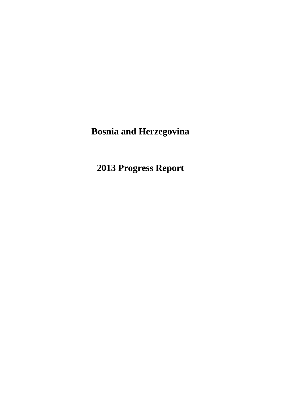# **Bosnia and Herzegovina**

**2013 Progress Report**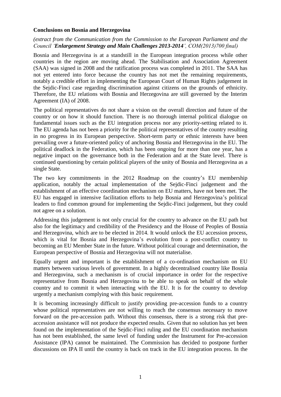#### **Conclusions on Bosnia and Herzegovina**

#### *(extract from the Communication from the Commission to the European Parliament and the Council 'Enlargement Strategy and Main Challenges 2013-2014', COM(2013)700 final)*

Bosnia and Herzegovina is at a standstill in the European integration process while other countries in the region are moving ahead. The Stabilisation and Association Agreement (SAA) was signed in 2008 and the ratification process was completed in 2011. The SAA has not yet entered into force because the country has not met the remaining requirements, notably a credible effort in implementing the European Court of Human Rights judgement in the Sejdic-Finci case regarding discrimination against citizens on the grounds of ethnicity. Therefore, the EU relations with Bosnia and Herzegovina are still governed by the Interim Agreement (IA) of 2008.

The political representatives do not share a vision on the overall direction and future of the country or on how it should function. There is no thorough internal political dialogue on fundamental issues such as the EU integration process nor any priority-setting related to it. The EU agenda has not been a priority for the political representatives of the country resulting in no progress in its European perspective. Short-term party or ethnic interests have been prevailing over a future-oriented policy of anchoring Bosnia and Herzegovina in the EU. The political deadlock in the Federation, which has been ongoing for more than one year, has a negative impact on the governance both in the Federation and at the State level. There is continued questioning by certain political players of the unity of Bosnia and Herzegovina as a single State.

The two key commitments in the 2012 Roadmap on the country's EU membership application, notably the actual implementation of the Sejdic-Finci judgement and the establishment of an effective coordination mechanism on EU matters, have not been met. The EU has engaged in intensive facilitation efforts to help Bosnia and Herzegovina's political leaders to find common ground for implementing the Sejdic-Finci judgement, but they could not agree on a solution.

Addressing this judgement is not only crucial for the country to advance on the EU path but also for the legitimacy and credibility of the Presidency and the House of Peoples of Bosnia and Herzegovina, which are to be elected in 2014. It would unlock the EU accession process, which is vital for Bosnia and Herzegovina's evolution from a post-conflict country to becoming an EU Member State in the future. Without political courage and determination, the European perspective of Bosnia and Herzegovina will not materialise.

Equally urgent and important is the establishment of a co-ordination mechanism on EU matters between various levels of government. In a highly decentralised country like Bosnia and Herzegovina, such a mechanism is of crucial importance in order for the respective representative from Bosnia and Herzegovina to be able to speak on behalf of the whole country and to commit it when interacting with the EU. It is for the country to develop urgently a mechanism complying with this basic requirement.

It is becoming increasingly difficult to justify providing pre-accession funds to a country whose political representatives are not willing to reach the consensus necessary to move forward on the pre-accession path. Without this consensus, there is a strong risk that preaccession assistance will not produce the expected results. Given that no solution has yet been found on the implementation of the Sejdic-Finci ruling and the EU coordination mechanism has not been established, the same level of funding under the Instrument for Pre-accession Assistance (IPA) cannot be maintained. The Commission has decided to postpone further discussions on IPA II until the country is back on track in the EU integration process. In the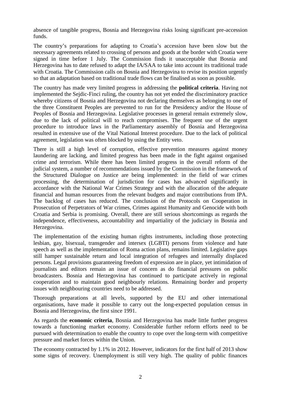absence of tangible progress, Bosnia and Herzegovina risks losing significant pre-accession funds.

The country's preparations for adapting to Croatia's accession have been slow but the necessary agreements related to crossing of persons and goods at the border with Croatia were signed in time before 1 July. The Commission finds it unacceptable that Bosnia and Herzegovina has to date refused to adapt the IA/SAA to take into account its traditional trade with Croatia. The Commission calls on Bosnia and Herzegovina to revise its position urgently so that an adaptation based on traditional trade flows can be finalised as soon as possible.

The country has made very limited progress in addressing the **political criteria**. Having not implemented the Sejdic-Finci ruling, the country has not yet ended the discriminatory practice whereby citizens of Bosnia and Herzegovina not declaring themselves as belonging to one of the three Constituent Peoples are prevented to run for the Presidency and/or the House of Peoples of Bosnia and Herzegovina. Legislative processes in general remain extremely slow, due to the lack of political will to reach compromises. The frequent use of the urgent procedure to introduce laws in the Parliamentary assembly of Bosnia and Herzegovina resulted in extensive use of the Vital National Interest procedure. Due to the lack of political agreement, legislation was often blocked by using the Entity veto.

There is still a high level of corruption, effective prevention measures against money laundering are lacking, and limited progress has been made in the fight against organised crime and terrorism. While there has been limited progress in the overall reform of the judicial system, a number of recommendations issued by the Commission in the framework of the Structured Dialogue on Justice are being implemented: in the field of war crimes processing, the determination of jurisdiction for cases has advanced significantly in accordance with the National War Crimes Strategy and with the allocation of the adequate financial and human resources from the relevant budgets and major contributions from IPA. The backlog of cases has reduced. The conclusion of the Protocols on Cooperation in Prosecution of Perpetrators of War crimes, Crimes against Humanity and Genocide with both Croatia and Serbia is promising. Overall, there are still serious shortcomings as regards the independence, effectiveness, accountability and impartiality of the judiciary in Bosnia and Herzegovina.

The implementation of the existing human rights instruments, including those protecting lesbian, gay, bisexual, transgender and intersex (LGBTI) persons from violence and hate speech as well as the implementation of Roma action plans, remains limited. Legislative gaps still hamper sustainable return and local integration of refugees and internally displaced persons. Legal provisions guaranteeing freedom of expression are in place, yet intimidation of journalists and editors remain an issue of concern as do financial pressures on public broadcasters. Bosnia and Herzegovina has continued to participate actively in regional cooperation and to maintain good neighbourly relations. Remaining border and property issues with neighbouring countries need to be addressed.

Thorough preparations at all levels, supported by the EU and other international organisations, have made it possible to carry out the long-expected population census in Bosnia and Herzegovina, the first since 1991.

As regards the **economic criteria**, Bosnia and Herzegovina has made little further progress towards a functioning market economy. Considerable further reform efforts need to be pursued with determination to enable the country to cope over the long-term with competitive pressure and market forces within the Union.

The economy contracted by 1.1% in 2012. However, indicators for the first half of 2013 show some signs of recovery. Unemployment is still very high. The quality of public finances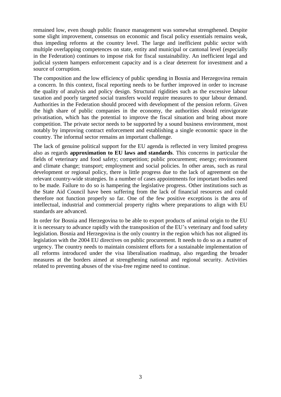remained low, even though public finance management was somewhat strengthened. Despite some slight improvement, consensus on economic and fiscal policy essentials remains weak, thus impeding reforms at the country level. The large and inefficient public sector with multiple overlapping competences on state, entity and municipal or cantonal level (especially in the Federation) continues to impose risk for fiscal sustainability. An inefficient legal and judicial system hampers enforcement capacity and is a clear deterrent for investment and a source of corruption.

The composition and the low efficiency of public spending in Bosnia and Herzegovina remain a concern. In this context, fiscal reporting needs to be further improved in order to increase the quality of analysis and policy design. Structural rigidities such as the excessive labour taxation and poorly targeted social transfers would require measures to spur labour demand. Authorities in the Federation should proceed with development of the pension reform. Given the high share of public companies in the economy, the authorities should reinvigorate privatisation, which has the potential to improve the fiscal situation and bring about more competition. The private sector needs to be supported by a sound business environment, most notably by improving contract enforcement and establishing a single economic space in the country. The informal sector remains an important challenge.

The lack of genuine political support for the EU agenda is reflected in very limited progress also as regards **approximation to EU laws and standards**. This concerns in particular the fields of veterinary and food safety; competition; public procurement; energy; environment and climate change; transport; employment and social policies. In other areas, such as rural development or regional policy, there is little progress due to the lack of agreement on the relevant country-wide strategies. In a number of cases appointments for important bodies need to be made. Failure to do so is hampering the legislative progress. Other institutions such as the State Aid Council have been suffering from the lack of financial resources and could therefore not function properly so far. One of the few positive exceptions is the area of intellectual, industrial and commercial property rights where preparations to align with EU standards are advanced.

In order for Bosnia and Herzegovina to be able to export products of animal origin to the EU it is necessary to advance rapidly with the transposition of the EU's veterinary and food safety legislation. Bosnia and Herzegovina is the only country in the region which has not aligned its legislation with the 2004 EU directives on public procurement. It needs to do so as a matter of urgency. The country needs to maintain consistent efforts for a sustainable implementation of all reforms introduced under the visa liberalisation roadmap, also regarding the broader measures at the borders aimed at strengthening national and regional security. Activities related to preventing abuses of the visa-free regime need to continue.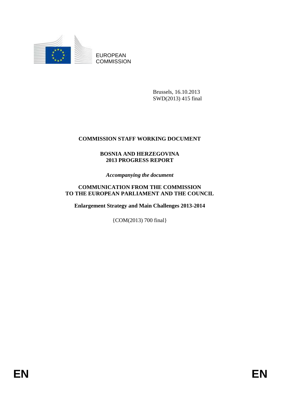

EUROPEAN **COMMISSION** 

> Brussels, 16.10.2013 SWD(2013) 415 final

# **COMMISSION STAFF WORKING DOCUMENT**

# **BOSNIA AND HERZEGOVINA 2013 PROGRESS REPORT**

*Accompanying the document*

### **COMMUNICATION FROM THE COMMISSION TO THE EUROPEAN PARLIAMENT AND THE COUNCIL**

**Enlargement Strategy and Main Challenges 2013-2014**

{COM(2013) 700 final}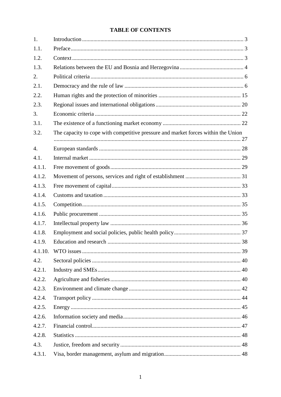# **TABLE OF CONTENTS**

| 1.      |                                                                                   |  |
|---------|-----------------------------------------------------------------------------------|--|
| 1.1.    |                                                                                   |  |
| 1.2.    |                                                                                   |  |
| 1.3.    |                                                                                   |  |
| 2.      |                                                                                   |  |
| 2.1.    |                                                                                   |  |
| 2.2.    |                                                                                   |  |
| 2.3.    |                                                                                   |  |
| 3.      |                                                                                   |  |
| 3.1.    |                                                                                   |  |
| 3.2.    | The capacity to cope with competitive pressure and market forces within the Union |  |
| 4.      |                                                                                   |  |
| 4.1.    |                                                                                   |  |
| 4.1.1.  |                                                                                   |  |
| 4.1.2.  |                                                                                   |  |
| 4.1.3.  |                                                                                   |  |
| 4.1.4.  |                                                                                   |  |
| 4.1.5.  |                                                                                   |  |
| 4.1.6.  |                                                                                   |  |
| 4.1.7.  |                                                                                   |  |
| 4.1.8.  |                                                                                   |  |
| 4.1.9.  |                                                                                   |  |
| 4.1.10. |                                                                                   |  |
| 4.2.    |                                                                                   |  |
| 4.2.1.  |                                                                                   |  |
| 4.2.2.  |                                                                                   |  |
| 4.2.3.  |                                                                                   |  |
| 4.2.4.  |                                                                                   |  |
| 4.2.5.  |                                                                                   |  |
| 4.2.6.  |                                                                                   |  |
| 4.2.7.  |                                                                                   |  |
| 4.2.8.  |                                                                                   |  |
| 4.3.    |                                                                                   |  |
| 4.3.1.  |                                                                                   |  |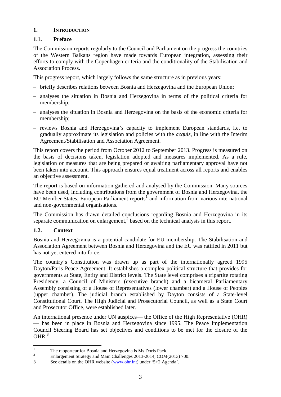# <span id="page-7-0"></span>**1. INTRODUCTION**

# <span id="page-7-1"></span>**1.1. Preface**

The Commission reports regularly to the Council and Parliament on the progress the countries of the Western Balkans region have made towards European integration, assessing their efforts to comply with the Copenhagen criteria and the conditionality of the Stabilisation and Association Process.

This progress report, which largely follows the same structure as in previous years:

- briefly describes relations between Bosnia and Herzegovina and the European Union;
- analyses the situation in Bosnia and Herzegovina in terms of the political criteria for membership;
- analyses the situation in Bosnia and Herzegovina on the basis of the economic criteria for membership;
- reviews Bosnia and Herzegovina's capacity to implement European standards, i.e. to gradually approximate its legislation and policies with the *acquis*, in line with the Interim Agreement/Stabilisation and Association Agreement.

This report covers the period from October 2012 to September 2013. Progress is measured on the basis of decisions taken, legislation adopted and measures implemented. As a rule, legislation or measures that are being prepared or awaiting parliamentary approval have not been taken into account. This approach ensures equal treatment across all reports and enables an objective assessment.

The report is based on information gathered and analysed by the Commission. Many sources have been used, including contributions from the government of Bosnia and Herzegovina, the EU Member States, European Parliament reports<sup>1</sup> and information from various international and non-governmental organisations.

The Commission has drawn detailed conclusions regarding Bosnia and Herzegovina in its separate communication on enlargement, $<sup>2</sup>$  based on the technical analysis in this report.</sup>

# <span id="page-7-2"></span>**1.2. Context**

Bosnia and Herzegovina is a potential candidate for EU membership. The Stabilisation and Association Agreement between Bosnia and Herzegovina and the EU was ratified in 2011 but has not yet entered into force.

The country's Constitution was drawn up as part of the internationally agreed 1995 Dayton/Paris Peace Agreement. It establishes a complex political structure that provides for governments at State, Entity and District levels. The State level comprises a tripartite rotating Presidency, a Council of Ministers (executive branch) and a bicameral Parliamentary Assembly consisting of a House of Representatives (lower chamber) and a House of Peoples (upper chamber). The judicial branch established by Dayton consists of a State-level Constitutional Court. The High Judicial and Prosecutorial Council, as well as a State Court and Prosecutor Office, were established later.

An international presence under UN auspices— the Office of the High Representative (OHR) — has been in place in Bosnia and Herzegovina since 1995. The Peace Implementation Council Steering Board has set objectives and conditions to be met for the closure of the  $OHR<sup>3</sup>$ 

 $\mathbf{1}$ <sup>1</sup> The rapporteur for Bosnia and Herzegovina is Ms Doris Pack.

<sup>2</sup> Enlargement Strategy and Main Challenges 2013-2014, COM(2013) 700.

<sup>3</sup> See details on the OHR website [\(www.ohr.int\)](http://www.ohr.int/) under '5+2 Agenda'.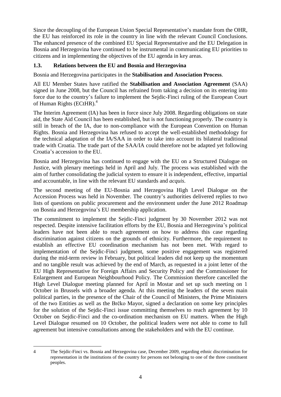Since the decoupling of the European Union Special Representative's mandate from the OHR, the EU has reinforced its role in the country in line with the relevant Council Conclusions. The enhanced presence of the combined EU Special Representative and the EU Delegation in Bosnia and Herzegovina have continued to be instrumental in communicating EU priorities to citizens and in implementing the objectives of the EU agenda in key areas.

# <span id="page-8-0"></span>**1.3. Relations between the EU and Bosnia and Herzegovina**

Bosnia and Herzegovina participates in the **Stabilisation and Association Process**.

All EU Member States have ratified the **Stabilisation and Association Agreement** (SAA) signed in June 2008, but the Council has refrained from taking a decision on its entering into force due to the country's failure to implement the Sejdic-Finci ruling of the European Court of Human Rights (ECtHR).<sup>4</sup>

The Interim Agreement (IA) has been in force since July 2008. Regarding obligations on state aid, the State Aid Council has been established, but is not functioning properly. The country is still in breach of the IA, due to non-compliance with the European Convention on Human Rights. Bosnia and Herzegovina has refused to accept the well-established methodology for the technical adaptation of the IA/SAA in order to take into account its bilateral traditional trade with Croatia. The trade part of the SAA/IA could therefore not be adapted yet following Croatia's accession to the EU.

Bosnia and Herzegovina has continued to engage with the EU on a Structured Dialogue on Justice, with plenary meetings held in April and July. The process was established with the aim of further consolidating the judicial system to ensure it is independent, effective, impartial and accountable, in line with the relevant EU standards and *acquis*.

The second meeting of the EU-Bosnia and Herzegovina High Level Dialogue on the Accession Process was held in November. The country's authorities delivered replies to two lists of questions on public procurement and the environment under the June 2012 Roadmap on Bosnia and Herzegovina's EU membership application.

The commitment to implement the Sejdic-Finci judgment by 30 November 2012 was not respected. Despite intensive facilitation efforts by the EU, Bosnia and Herzegovina's political leaders have not been able to reach agreement on how to address this case regarding discrimination against citizens on the grounds of ethnicity. Furthermore, the requirement to establish an effective EU coordination mechanism has not been met. With regard to implementation of the Sejdic-Finci judgment, some positive engagement was registered during the mid-term review in February, but political leaders did not keep up the momentum and no tangible result was achieved by the end of March, as requested in a joint letter of the EU High Representative for Foreign Affairs and Security Policy and the Commissioner for Enlargement and European Neighbourhood Policy. The Commission therefore cancelled the High Level Dialogue meeting planned for April in Mostar and set up such meeting on 1 October in Brussels with a broader agenda. At this meeting the leaders of the seven main political parties, in the presence of the Chair of the Council of Ministers, the Prime Ministers of the two Entities as well as the Brčko Mayor, signed a declaration on some key principles for the solution of the Sejdic-Finci issue committing themselves to reach agreement by 10 October on Sejdic-Finci and the co-ordination mechanism on EU matters. When the High Level Dialogue resumed on 10 October, the political leaders were not able to come to full agreement but intensive consultations among the stakeholders and with the EU continue.

<sup>&</sup>lt;u>.</u> 4 The Sejdic-Finci vs. Bosnia and Herzegovina case, December 2009, regarding ethnic discrimination for representation in the institutions of the country for persons not belonging to one of the three constituent peoples.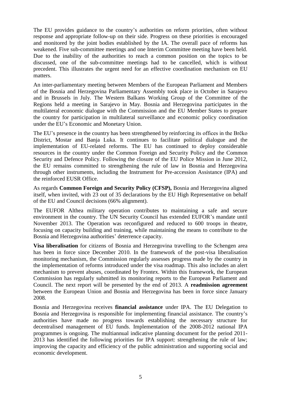The EU provides guidance to the country's authorities on reform priorities, often without response and appropriate follow-up on their side. Progress on these priorities is encouraged and monitored by the joint bodies established by the IA. The overall pace of reforms has weakened. Five sub-committee meetings and one Interim Committee meeting have been held. Due to the inability of the authorities to reach a common position on the topics to be discussed, one of the sub-committee meetings had to be cancelled, which is without precedent. This illustrates the urgent need for an effective coordination mechanism on EU matters.

An inter-parliamentary meeting between Members of the European Parliament and Members of the Bosnia and Herzegovina Parliamentary Assembly took place in October in Sarajevo and in Brussels in July. The Western Balkans Working Group of the Committee of the Regions held a meeting in Sarajevo in May. Bosnia and Herzegovina participates in the multilateral economic dialogue with the Commission and the EU Member States to prepare the country for participation in multilateral surveillance and economic policy coordination under the EU's Economic and Monetary Union.

The EU's presence in the country has been strengthened by reinforcing its offices in the Brčko District, Mostar and Banja Luka. It continues to facilitate political dialogue and the implementation of EU-related reforms. The EU has continued to deploy considerable resources in the country under the Common Foreign and Security Policy and the Common Security and Defence Policy. Following the closure of the EU Police Mission in June 2012, the EU remains committed to strengthening the rule of law in Bosnia and Herzegovina through other instruments, including the Instrument for Pre-accession Assistance (IPA) and the reinforced EUSR Office.

As regards **Common Foreign and Security Policy (CFSP),** Bosnia and Herzegovina aligned itself, when invited, with 23 out of 35 declarations by the EU High Representative on behalf of the EU and Council decisions (66% alignment).

The EUFOR Althea military operation contributes to maintaining a safe and secure environment in the country. The UN Security Council has extended EUFOR's mandate until November 2013. The Operation was reconfigured and reduced to 600 troops in theatre, focusing on capacity building and training, while maintaining the means to contribute to the Bosnia and Herzegovina authorities' deterrence capacity.

**Visa liberalisation** for citizens of Bosnia and Herzegovina travelling to the Schengen area has been in force since December 2010. In the framework of the post-visa liberalisation monitoring mechanism, the Commission regularly assesses progress made by the country in the implementation of reforms introduced under the visa roadmap. This also includes an alert mechanism to prevent abuses, coordinated by Frontex. Within this framework, the European Commission has regularly submitted its monitoring reports to the European Parliament and Council. The next report will be presented by the end of 2013. A **readmission agreement**  between the European Union and Bosnia and Herzegovina has been in force since January 2008.

Bosnia and Herzegovina receives **financial assistance** under IPA. The EU Delegation to Bosnia and Herzegovina is responsible for implementing financial assistance. The country's authorities have made no progress towards establishing the necessary structure for decentralised management of EU funds. Implementation of the 2008-2012 national IPA programmes is ongoing. The multiannual indicative planning document for the period 2011- 2013 has identified the following priorities for IPA support: strengthening the rule of law; improving the capacity and efficiency of the public administration and supporting social and economic development.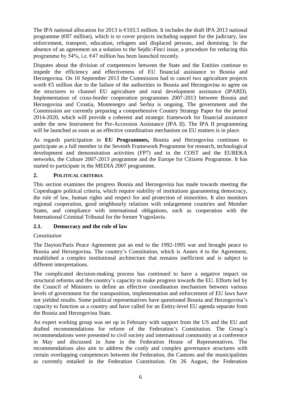The IPA national allocation for 2013 is  $\epsilon$ 103.5 million. It includes the draft IPA 2013 national programme ( $E$ 87 million), which is to cover projects including support for the judiciary, law enforcement, transport, education, refugees and displaced persons, and demining. In the absence of an agreement on a solution to the Sejdic-Finci issue, a procedure for reducing this programme by 54%, i.e.  $\epsilon$ 47 million has been launched recently.

Disputes about the division of competences between the State and the Entities continue to impede the efficiency and effectiveness of EU financial assistance to Bosnia and Herzegovina. On 10 September 2013 the Commission had to cancel two agriculture projects worth €5 million due to the failure of the authorities in Bosnia and Herzegovina to agree on the structures to channel EU agriculture and rural development assistance (IPARD). Implementation of cross-border cooperation programmes 2007-2013 between Bosnia and Herzegovina and Croatia, Montenegro and Serbia is ongoing. The government and the Commission are currently preparing a comprehensive Country Strategy Paper for the period 2014-2020, which will provide a coherent and strategic framework for financial assistance under the new Instrument for Pre-Accession Assistance (IPA II). The IPA II programming will be launched as soon as an effective coordination mechanism on EU matters is in place.

As regards participation in **EU Programmes,** Bosnia and Herzegovina continues to participate as a full member in the Seventh Framework Programme for research, technological development and demonstration activities (FP7) and in the COST and the EUREKA networks, the Culture 2007-2013 programme and the Europe for Citizens Programme. It has started to participate in the MEDIA 2007 programme.

# <span id="page-10-0"></span>**2. POLITICAL CRITERIA**

This section examines the progress Bosnia and Herzegovina has made towards meeting the Copenhagen political criteria, which require stability of institutions guaranteeing democracy, the rule of law, human rights and respect for and protection of minorities. It also monitors regional cooperation, good neighbourly relations with enlargement countries and Member States, and compliance with international obligations, such as cooperation with the International Criminal Tribunal for the former Yugoslavia.

# <span id="page-10-1"></span>**2.1. Democracy and the rule of law**

# *Constitution*

The Dayton/Paris Peace Agreement put an end to the 1992-1995 war and brought peace to Bosnia and Herzegovina. The country's Constitution, which is Annex 4 to the Agreement, established a complex institutional architecture that remains inefficient and is subject to different interpretations.

The complicated decision-making process has continued to have a negative impact on structural reforms and the country's capacity to make progress towards the EU. Efforts led by the Council of Ministers to define an effective coordination mechanism between various levels of government for the transposition, implementation and enforcement of EU laws have not yielded results. Some political representatives have questioned Bosnia and Herzegovina's capacity to function as a country and have called for an Entity-level EU agenda separate from the Bosnia and Herzegovina State.

An expert working group was set up in February with support from the US and the EU and drafted recommendations for reform of the Federation's Constitution. The Group's recommendations were presented to civil society and international community at a conference in May and discussed in June in the Federation House of Representatives. The recommendations also aim to address the costly and complex governance structures with certain overlapping competences between the Federation, the Cantons and the municipalities as currently entailed in the Federation Constitution. On 26 August, the Federation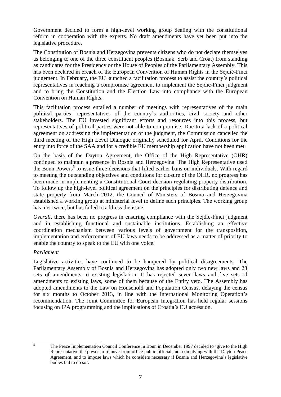Government decided to form a high-level working group dealing with the constitutional reform in cooperation with the experts. No draft amendments have yet been put into the legislative procedure.

The Constitution of Bosnia and Herzegovina prevents citizens who do not declare themselves as belonging to one of the three constituent peoples (Bosniak, Serb and Croat) from standing as candidates for the Presidency or the House of Peoples of the Parliamentary Assembly. This has been declared in breach of the European Convention of Human Rights in the Sejdić-Finci judgement. In February, the EU launched a facilitation process to assist the country's political representatives in reaching a compromise agreement to implement the Sejdic-Finci judgment and to bring the Constitution and the Election Law into compliance with the European Convention on Human Rights.

This facilitation process entailed a number of meetings with representatives of the main political parties, representatives of the country's authorities, civil society and other stakeholders. The EU invested significant efforts and resources into this process, but representatives of political parties were not able to compromise. Due to a lack of a political agreement on addressing the implementation of the judgment, the Commission cancelled the third meeting of the High Level Dialogue originally scheduled for April. Conditions for the entry into force of the SAA and for a credible EU membership application have not been met.

On the basis of the Dayton Agreement, the Office of the High Representative (OHR) continued to maintain a presence in Bosnia and Herzegovina. The High Representative used the Bonn Powers<sup>5</sup> to issue three decisions that lifted earlier bans on individuals. With regard to meeting the outstanding objectives and conditions for closure of the OHR, no progress has been made in implementing a Constitutional Court decision regulating property distribution. To follow up the high-level political agreement on the principles for distributing defence and state property from March 2012, the Council of Ministers of Bosnia and Herzegovina established a working group at ministerial level to define such principles. The working group has met twice, but has failed to address the issue.

*Overall*, there has been no progress in ensuring compliance with the Sejdic-Finci judgment and in establishing functional and sustainable institutions. Establishing an effective coordination mechanism between various levels of government for the transposition, implementation and enforcement of EU laws needs to be addressed as a matter of priority to enable the country to speak to the EU with one voice.

#### *Parliament*

Legislative activities have continued to be hampered by political disagreements. The Parliamentary Assembly of Bosnia and Herzegovina has adopted only two new laws and 23 sets of amendments to existing legislation. It has rejected seven laws and five sets of amendments to existing laws, some of them because of the Entity veto. The Assembly has adopted amendments to the Law on Household and Population Census, delaying the census for six months to October 2013, in line with the International Monitoring Operation's recommendation. The Joint Committee for European Integration has held regular sessions focusing on IPA programming and the implications of Croatia's EU accession.

 $\overline{5}$ 

<sup>5</sup> The Peace Implementation Council Conference in Bonn in December 1997 decided to 'give to the High Representative the power to remove from office public officials not complying with the Dayton Peace Agreement, and to impose laws which he considers necessary if Bosnia and Herzegovina's legislative bodies fail to do so'.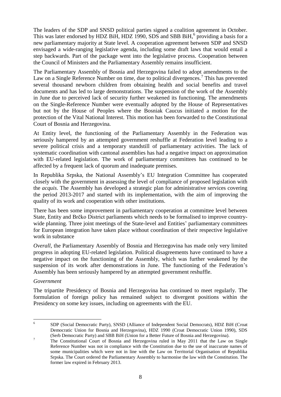The leaders of the SDP and SNSD political parties signed a coalition agreement in October. This was later endorsed by HDZ BiH, HDZ 1990, SDS and SBB BiH, $^6$  providing a basis for a new parliamentary majority at State level. A cooperation agreement between SDP and SNSD envisaged a wide-ranging legislative agenda, including some draft laws that would entail a step backwards. Part of the package went into the legislative process. Cooperation between the Council of Ministers and the Parliamentary Assembly remains insufficient.

The Parliamentary Assembly of Bosnia and Herzegovina failed to adopt amendments to the Law on a Single Reference Number on time, due to political divergences.<sup>7</sup> This has prevented several thousand newborn children from obtaining health and social benefits and travel documents and has led to large demonstrations. The suspension of the work of the Assembly in June due to perceived lack of security further weakened its functioning. The amendments on the Single-Reference Number were eventually adopted by the House of Representatives but not by the House of Peoples where the Bosniak Caucus initiated a motion for the protection of the Vital National Interest. This motion has been forwarded to the Constitutional Court of Bosnia and Herzegovina.

At Entity level, the functioning of the Parliamentary Assembly in the Federation was seriously hampered by an attempted government reshuffle at Federation level leading to a severe political crisis and a temporary standstill of parliamentary activities. The lack of systematic coordination with cantonal assemblies has had a negative impact on approximation with EU-related legislation. The work of parliamentary committees has continued to be affected by a frequent lack of quorum and inadequate premises.

In Republika Srpska, the National Assembly's EU Integration Committee has cooperated closely with the government in assessing the level of compliance of proposed legislation with the *acquis*. The Assembly has developed a strategic plan for administrative services covering the period 2013-2017 and started with its implementation, with the aim of improving the quality of its work and cooperation with other institutions.

There has been some improvement in parliamentary cooperation at committee level between State, Entity and Brčko District parliaments which needs to be formalised to improve countrywide planning. Three joint meetings of the State-level and Entities' parliamentary committees for European integration have taken place without coordination of their respective legislative work in substance

*Overall*, the Parliamentary Assembly of Bosnia and Herzegovina has made only very limited progress in adopting EU-related legislation. Political disagreements have continued to have a negative impact on the functioning of the Assembly, which was further weakened by the suspension of its work after demonstrations in June. The functioning of the Federation's Assembly has been seriously hampered by an attempted government reshuffle.

#### *Government*

The tripartite Presidency of Bosnia and Herzegovina has continued to meet regularly. The formulation of foreign policy has remained subject to divergent positions within the Presidency on some key issues, including on agreements with the EU.

 $\frac{1}{6}$ SDP (Social Democratic Party), SNSD (Alliance of Independent Social Democrats), HDZ BiH (Croat Democratic Union for Bosnia and Herzegovina), HDZ 1990 (Croat Democratic Union 1990), SDS (Serb Democratic Party) and SBB BiH (Union for a Better Future of Bosnia and Herzegovina).

<sup>&</sup>lt;sup>7</sup> The Constitutional Court of Bosnia and Herzegovina ruled in May 2011 that the Law on Single Reference Number was not in compliance with the Constitution due to the use of inaccurate names of some municipalities which were not in line with the Law on Territorial Organisation of Republika Srpska. The Court ordered the Parliamentary Assembly to harmonise the law with the Constitution. The former law expired in February 2013.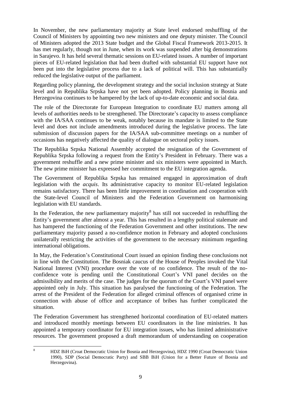In November, the new parliamentary majority at State level endorsed reshuffling of the Council of Ministers by appointing two new ministers and one deputy minister. The Council of Ministers adopted the 2013 State budget and the Global Fiscal Framework 2013-2015. It has met regularly, though not in June, when its work was suspended after big demonstrations in Sarajevo. It has held several thematic sessions on EU-related issues. A number of important pieces of EU-related legislation that had been drafted with substantial EU support have not been put into the legislative process due to a lack of political will. This has substantially reduced the legislative output of the parliament.

Regarding policy planning, the development strategy and the social inclusion strategy at State level and in Republika Srpska have not yet been adopted. Policy planning in Bosnia and Herzegovina continues to be hampered by the lack of up-to-date economic and social data.

The role of the Directorate for European Integration to coordinate EU matters among all levels of authorities needs to be strengthened. The Directorate's capacity to assess compliance with the IA/SAA continues to be weak, notably because its mandate is limited to the State level and does not include amendments introduced during the legislative process. The late submission of discussion papers for the IA/SAA sub-committee meetings on a number of occasions has negatively affected the quality of dialogue on sectoral policy issues.

The Republika Srpska National Assembly accepted the resignation of the Government of Republika Srpska following a request from the Entity's President in February. There was a government reshuffle and a new prime minister and six ministers were appointed in March. The new prime minister has expressed her commitment to the EU integration agenda.

The Government of Republika Srpska has remained engaged in approximation of draft legislation with the *acquis*. Its administrative capacity to monitor EU-related legislation remains satisfactory. There has been little improvement in coordination and cooperation with the State-level Council of Ministers and the Federation Government on harmonising legislation with EU standards.

In the Federation, the new parliamentary majority<sup>8</sup> has still not succeeded in reshuffling the Entity's government after almost a year. This has resulted in a lengthy political stalemate and has hampered the functioning of the Federation Government and other institutions. The new parliamentary majority passed a no-confidence motion in February and adopted conclusions unilaterally restricting the activities of the government to the necessary minimum regarding international obligations.

In May, the Federation's Constitutional Court issued an opinion finding these conclusions not in line with the Constitution. The Bosniak caucus of the House of Peoples invoked the Vital National Interest (VNI) procedure over the vote of no confidence. The result of the noconfidence vote is pending until the Constitutional Court's VNI panel decides on the admissibility and merits of the case. The judges for the quorum of the Court's VNI panel were appointed only in July. This situation has paralysed the functioning of the Federation. The arrest of the President of the Federation for alleged criminal offences of organised crime in connection with abuse of office and acceptance of bribes has further complicated the situation.

The Federation Government has strengthened horizontal coordination of EU-related matters and introduced monthly meetings between EU coordinators in the line ministries. It has appointed a temporary coordinator for EU integration issues, who has limited administrative resources. The government proposed a draft memorandum of understanding on cooperation

 $\mathbf{Q}$ 

<sup>8</sup> HDZ BiH (Croat Democratic Union for Bosnia and Herzegovina), HDZ 1990 (Croat Democratic Union 1990), SDP (Social Democratic Party) and SBB BiH (Union for a Better Future of Bosnia and Herzegovina).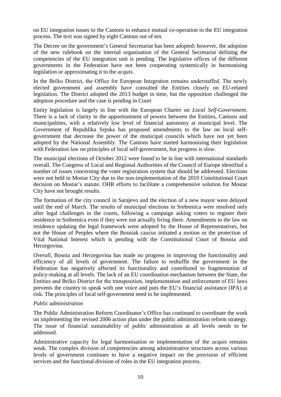on EU integration issues to the Cantons to enhance mutual co-operation in the EU integration process. The text was signed by eight Cantons out of ten.

The Decree on the government's General Secretariat has been adopted; however, the adoption of the new rulebook on the internal organisation of the General Secretariat defining the competencies of the EU integration unit is pending. The legislative offices of the different governments in the Federation have not been cooperating systemically in harmonising legislation or approximating it to the *acquis*.

In the Brčko District, the Office for European Integration remains understaffed. The newly elected government and assembly have consulted the Entities closely on EU-related legislation. The District adopted the 2013 budget in time, but the opposition challenged the adoption procedure and the case is pending in Court

Entity legislation is largely in line with the European Charter on *Local Self-Government*. There is a lack of clarity in the apportionment of powers between the Entities, Cantons and municipalities, with a relatively low level of financial autonomy at municipal level. The Government of Republika Srpska has proposed amendments to the law on local selfgovernment that decrease the power of the municipal councils which have not yet been adopted by the National Assembly. The Cantons have started harmonising their legislation with Federation law on principles of local self-government, but progress is slow.

The municipal elections of October 2012 were found to be in line with international standards overall. The Congress of Local and Regional Authorities of the Council of Europe identified a number of issues concerning the voter registration system that should be addressed. Elections were not held in Mostar City due to the non-implementation of the 2010 Constitutional Court decision on Mostar's statute. OHR efforts to facilitate a comprehensive solution for Mostar City have not brought results.

The formation of the city council in Sarajevo and the election of a new mayor were delayed until the end of March. The results of municipal elections in Srebrenica were resolved only after legal challenges in the courts, following a campaign asking voters to register their residence in Srebrenica even if they were not actually living there. Amendments to the law on residence updating the legal framework were adopted by the House of Representatives, but not the House of Peoples where the Bosniak caucus initiated a motion or the protection of Vital National Interest which is pending with the Constitutional Court of Bosnia and Herzegovina.

*Overall*, Bosnia and Herzegovina has made no progress in improving the functionality and efficiency of all levels of government. The failure to reshuffle the government in the Federation has negatively affected its functionality and contributed to fragmentation of policy-making at all levels. The lack of an EU coordination mechanism between the State, the Entities and Brčko District for the transposition, implementation and enforcement of EU laws prevents the country to speak with one voice and puts the EU's financial assistance (IPA) at risk. The principles of local self-government need to be implemented.

#### *Public administration*

The Public Administration Reform Coordinator's Office has continued to coordinate the work on implementing the revised 2006 action plan under the public administration reform strategy. The issue of financial sustainability of public administration at all levels needs to be addressed.

Administrative capacity for legal harmonisation or implementation of the *acquis* remains weak. The complex division of competencies among administrative structures across various levels of government continues to have a negative impact on the provision of efficient services and the functional division of roles in the EU integration process.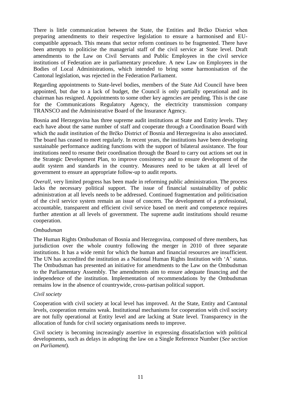There is little communication between the State, the Entities and Brčko District when preparing amendments to their respective legislation to ensure a harmonised and EUcompatible approach. This means that sector reform continues to be fragmented. There have been attempts to politicise the managerial staff of the civil service at State level. Draft amendments to the Law on Civil Servants and Public Employees in the civil service institutions of Federation are in parliamentary procedure. A new Law on Employees in the Bodies of Local Administrations, which intended to bring some harmonisation of the Cantonal legislation, was rejected in the Federation Parliament.

Regarding appointments to State-level bodies, members of the State Aid Council have been appointed, but due to a lack of budget, the Council is only partially operational and its chairman has resigned. Appointments to some other key agencies are pending. This is the case for the Communications Regulatory Agency, the electricity transmission company TRANSCO and the Administrative Board of the Insurance Agency.

Bosnia and Herzegovina has three supreme audit institutions at State and Entity levels. They each have about the same number of staff and cooperate through a Coordination Board with which the audit institution of the Brčko District of Bosnia and Herzegovina is also associated. The board has ceased to meet regularly. In recent years, the institutions have been developing sustainable performance auditing functions with the support of bilateral assistance. The four institutions need to resume their coordination through the Board to carry out actions set out in the Strategic Development Plan, to improve consistency and to ensure development of the audit system and standards in the country. Measures need to be taken at all level of government to ensure an appropriate follow-up to audit reports.

*Overall*, very limited progress has been made in reforming public administration. The process lacks the necessary political support. The issue of financial sustainability of public administration at all levels needs to be addressed. Continued fragmentation and politicisation of the civil service system remain an issue of concern. The development of a professional, accountable, transparent and efficient civil service based on merit and competence requires further attention at all levels of government. The supreme audit institutions should resume cooperation.

#### *Ombudsman*

The Human Rights Ombudsman of Bosnia and Herzegovina, composed of three members, has jurisdiction over the whole country following the merger in 2010 of three separate institutions. It has a wide remit for which the human and financial resources are insufficient. The UN has accredited the institution as a National Human Rights Institution with 'A' status. The Ombudsman has presented an initiative for amendments to the Law on the Ombudsman to the Parliamentary Assembly. The amendments aim to ensure adequate financing and the independence of the institution. Implementation of recommendations by the Ombudsman remains low in the absence of countrywide, cross-partisan political support.

#### *Civil society*

Cooperation with civil society at local level has improved. At the State, Entity and Cantonal levels, cooperation remains weak. Institutional mechanisms for cooperation with civil society are not fully operational at Entity level and are lacking at State level. Transparency in the allocation of funds for civil society organisations needs to improve.

Civil society is becoming increasingly assertive in expressing dissatisfaction with political developments, such as delays in adopting the law on a Single Reference Number (*See section on Parliament*).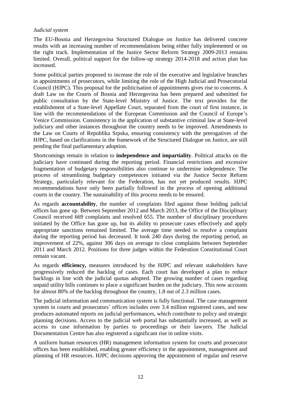#### *Judicial system*

The EU-Bosnia and Herzegovina Structured Dialogue on Justice has delivered concrete results with an increasing number of recommendations being either fully implemented or on the right track. Implementation of the Justice Sector Reform Strategy 2009-2013 remains limited. Overall, political support for the follow-up strategy 2014-2018 and action plan has increased.

Some political parties proposed to increase the role of the executive and legislative branches in appointments of prosecutors, while limiting the role of the High Judicial and Prosecutorial Council (HJPC). This proposal for the politicisation of appointments gives rise to concerns. A draft Law on the Courts of Bosnia and Herzegovina has been prepared and submitted for public consultation by the State-level Ministry of Justice. The text provides for the establishment of a State-level Appellate Court, separated from the court of first instance, in line with the recommendations of the European Commission and the Council of Europe's Venice Commission. Consistency in the application of substantive criminal law at State-level judiciary and other instances throughout the country needs to be improved. Amendments to the Law on Courts of Republika Srpska, ensuring consistency with the prerogatives of the HJPC, based on clarifications in the framework of the Structured Dialogue on Justice, are still pending the final parliamentary adoption.

Shortcomings remain in relation to **independence and impartiality**. Political attacks on the judiciary have continued during the reporting period. Financial restrictions and excessive fragmentation of budgetary responsibilities also continue to undermine independence. The process of streamlining budgetary competences initiated via the Justice Sector Reform Strategy, particularly relevant for the Federation, has not yet produced results. HJPC recommendations have only been partially followed in the process of opening additional courts in the country. The sustainability of this process needs to be ensured.

As regards **accountability**, the number of complaints filed against those holding judicial offices has gone up. Between September 2012 and March 2013, the Office of the Disciplinary Council received 669 complaints and resolved 655. The number of disciplinary procedures initiated by the Office has gone up, but its ability to prosecute cases effectively and apply appropriate sanctions remained limited. The average time needed to resolve a complaint during the reporting period has decreased. It took 240 days during the reporting period, an improvement of 22%, against 306 days on average to close complaints between September 2011 and March 2012. Positions for three judges within the Federation Constitutional Court remain vacant.

As regards **efficiency,** measures introduced by the HJPC and relevant stakeholders have progressively reduced the backlog of cases. Each court has developed a plan to reduce backlogs in line with the judicial quotas adopted. The growing number of cases regarding unpaid utility bills continues to place a significant burden on the judiciary. This now accounts for almost 80% of the backlog throughout the country, 1.8 out of 2.3 million cases.

The judicial information and communication system is fully functional. The case management system in courts and prosecutors' offices includes over 3.4 million registered cases, and now produces automated reports on judicial performances, which contribute to policy and strategic planning decisions. Access to the judicial web portal has substantially increased, as well as access to case information by parties to proceedings or their lawyers. The Judicial Documentation Centre has also registered a significant rise in online visits.

A uniform human resources (HR) management information system for courts and prosecutor offices has been established, enabling greater efficiency in the appointment, management and planning of HR resources. HJPC decisions approving the appointment of regular and reserve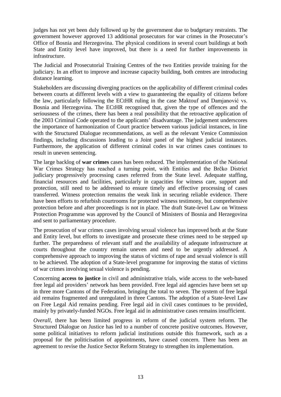judges has not yet been duly followed up by the government due to budgetary restraints. The government however approved 13 additional prosecutors for war crimes in the Prosecutor's Office of Bosnia and Herzegovina. The physical conditions in several court buildings at both State and Entity level have improved, but there is a need for further improvements in infrastructure.

The Judicial and Prosecutorial Training Centres of the two Entities provide training for the judiciary. In an effort to improve and increase capacity building, both centres are introducing distance learning.

Stakeholders are discussing diverging practices on the applicability of different criminal codes between courts at different levels with a view to guaranteeing the equality of citizens before the law, particularly following the ECtHR ruling in the case Maktouf and Damjanović vs. Bosnia and Herzegovina. The ECtHR recognised that, given the type of offences and the seriousness of the crimes, there has been a real possibility that the retroactive application of the 2003 Criminal Code operated to the applicants' disadvantage. The judgement underscores the importance of harmonization of Court practice between various judicial instances, in line with the Structured Dialogue recommendations, as well as the relevant Venice Commission findings, including discussions leading to a Joint panel of the highest judicial instances. Furthermore, the application of different criminal codes in war crimes cases continues to result in uneven sentencing.

The large backlog of **war crimes** cases has been reduced. The implementation of the National War Crimes Strategy has reached a turning point, with Entities and the Brčko District judiciary progressively processing cases referred from the State level. Adequate staffing, financial resources and facilities, particularly in capacities for witness care, support and protection, still need to be addressed to ensure timely and effective processing of cases transferred. Witness protection remains the weak link in securing reliable evidence. There have been efforts to refurbish courtrooms for protected witness testimony, but comprehensive protection before and after proceedings is not in place. The draft State-level Law on Witness Protection Programme was approved by the Council of Ministers of Bosnia and Herzegovina and sent to parliamentary procedure.

The prosecution of war crimes cases involving sexual violence has improved both at the State and Entity level, but efforts to investigate and prosecute these crimes need to be stepped up further. The preparedness of relevant staff and the availability of adequate infrastructure at courts throughout the country remain uneven and need to be urgently addressed. A comprehensive approach to improving the status of victims of rape and sexual violence is still to be achieved. The adoption of a State-level programme for improving the status of victims of war crimes involving sexual violence is pending.

Concerning **access to justice** in civil and administrative trials, wide access to the web-based free legal aid providers' network has been provided. Free legal aid agencies have been set up in three more Cantons of the Federation, bringing the total to seven. The system of free legal aid remains fragmented and unregulated in three Cantons. The adoption of a State-level Law on Free Legal Aid remains pending. Free legal aid in civil cases continues to be provided, mainly by privately-funded NGOs. Free legal aid in administrative cases remains insufficient.

*Overall*, there has been limited progress in reform of the judicial system reform. The Structured Dialogue on Justice has led to a number of concrete positive outcomes. However, some political initiatives to reform judicial institutions outside this framework, such as a proposal for the politicisation of appointments, have caused concern. There has been an agreement to revise the Justice Sector Reform Strategy to strengthen its implementation.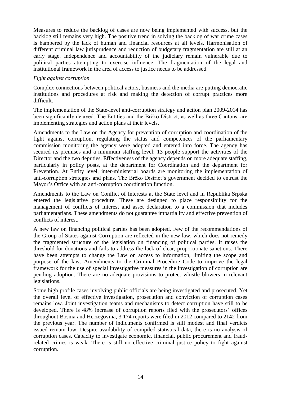Measures to reduce the backlog of cases are now being implemented with success, but the backlog still remains very high. The positive trend in solving the backlog of war crime cases is hampered by the lack of human and financial resources at all levels. Harmonisation of different criminal law jurisprudence and reduction of budgetary fragmentation are still at an early stage. Independence and accountability of the judiciary remain vulnerable due to political parties attempting to exercise influence. The fragmentation of the legal and institutional framework in the area of access to justice needs to be addressed.

#### *Fight against corruption*

Complex connections between political actors, business and the media are putting democratic institutions and procedures at risk and making the detection of corrupt practices more difficult.

The implementation of the State-level anti-corruption strategy and action plan 2009-2014 has been significantly delayed. The Entities and the Brčko District, as well as three Cantons, are implementing strategies and action plans at their levels.

Amendments to the Law on the Agency for prevention of corruption and coordination of the fight against corruption, regulating the status and competences of the parliamentary commission monitoring the agency were adopted and entered into force. The agency has secured its premises and a minimum staffing level: 13 people support the activities of the Director and the two deputies. Effectiveness of the agency depends on more adequate staffing, particularly in policy posts, at the department for Coordination and the department for Prevention. At Entity level, inter-ministerial boards are monitoring the implementation of anti-corruption strategies and plans. The Brčko District's government decided to entrust the Mayor's Office with an anti-corruption coordination function.

Amendments to the Law on Conflict of Interests at the State level and in Republika Srpska entered the legislative procedure. These are designed to place responsibility for the management of conflicts of interest and asset declaration to a commission that includes parliamentarians. These amendments do not guarantee impartiality and effective prevention of conflicts of interest.

A new law on financing political parties has been adopted. Few of the recommendations of the Group of States against Corruption are reflected in the new law, which does not remedy the fragmented structure of the legislation on financing of political parties. It raises the threshold for donations and fails to address the lack of clear, proportionate sanctions. There have been attempts to change the Law on access to information, limiting the scope and purpose of the law. Amendments to the Criminal Procedure Code to improve the legal framework for the use of special investigative measures in the investigation of corruption are pending adoption. There are no adequate provisions to protect whistle blowers in relevant legislations.

Some high profile cases involving public officials are being investigated and prosecuted. Yet the overall level of effective investigation, prosecution and conviction of corruption cases remains low. Joint investigation teams and mechanisms to detect corruption have still to be developed. There is 48% increase of corruption reports filed with the prosecutors' offices throughout Bosnia and Herzegovina, 3 174 reports were filed in 2012 compared to 2142 from the previous year. The number of indictments confirmed is still modest and final verdicts issued remain low. Despite availability of compiled statistical data, there is no analysis of corruption cases. Capacity to investigate economic, financial, public procurement and fraudrelated crimes is weak. There is still no effective criminal justice policy to fight against corruption.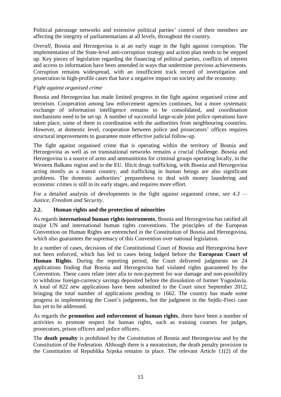Political patronage networks and extensive political parties' control of their members are affecting the integrity of parliamentarians at all levels, throughout the country.

*Overall*, Bosnia and Herzegovina is at an early stage in the fight against corruption. The implementation of the State-level anti-corruption strategy and action plan needs to be stepped up. Key pieces of legislation regarding the financing of political parties, conflicts of interest and access to information have been amended in ways that undermine previous achievements. Corruption remains widespread, with an insufficient track record of investigation and prosecution in high-profile cases that have a negative impact on society and the economy.

#### *Fight against organised crime*

Bosnia and Herzegovina has made limited progress in the fight against organised crime and terrorism. Cooperation among law enforcement agencies continues, but a more systematic exchange of information intelligence remains to be consolidated, and coordination mechanisms need to be set up. A number of successful large-scale joint police operations have taken place, some of them in coordination with the authorities from neighbouring countries. However, at domestic level, cooperation between police and prosecutors' offices requires structural improvements to guarantee more effective judicial follow-up.

The fight against organised crime that is operating within the territory of Bosnia and Herzegovina as well as on transnational networks remains a crucial challenge. Bosnia and Herzegovina is a source of arms and ammunitions for criminal groups operating locally, in the Western Balkans region and in the EU. Illicit drugs trafficking, with Bosnia and Herzegovina acting mostly as a transit country, and trafficking in human beings are also significant problems. The domestic authorities' preparedness to deal with money laundering and economic crimes is still in its early stages, and requires more effort.

For a detailed analysis of developments in the fight against organised crime, *see 4.3 — Justice, Freedom and Security*.

#### <span id="page-19-0"></span>**2.2. Human rights and the protection of minorities**

As regards **international human rights instruments**, Bosnia and Herzegovina has ratified all major UN and international human rights conventions. The principles of the European Convention on Human Rights are entrenched in the Constitution of Bosnia and Herzegovina, which also guarantees the supremacy of this Convention over national legislation.

In a number of cases, decisions of the Constitutional Court of Bosnia and Herzegovina have not been enforced, which has led to cases being lodged before the **European Court of Human Rights**. During the reporting period, the Court delivered judgments on 24 applications finding that Bosnia and Herzegovina had violated rights guaranteed by the Convention. These cases relate inter alia to non-payment for war damage and non-possibility to withdraw foreign-currency savings deposited before the dissolution of former Yugoslavia. A total of 822 new applications have been submitted to the Court since September 2012, bringing the total number of applications pending to 1662. The country has made some progress in implementing the Court's judgments, but the judgment in the Sejdic-Finci case has yet to be addressed.

As regards the **promotion and enforcement of human rights**, there have been a number of activities to promote respect for human rights, such as training courses for judges, prosecutors, prison officers and police officers.

The **death penalty** is prohibited by the Constitution of Bosnia and Herzegovina and by the Constitution of the Federation. Although there is a moratorium, the death penalty provision in the Constitution of Republika Srpska remains in place. The relevant Article 11(2) of the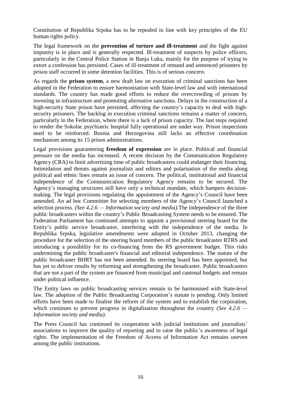Constitution of Republika Srpska has to be repealed in line with key principles of the EU human rights policy.

The legal framework on the **prevention of torture and ill-treatment** and the fight against impunity is in place and is generally respected. Ill-treatment of suspects by police officers, particularly in the Central Police Station in Banja Luka, mainly for the purpose of trying to extort a confession has persisted. Cases of ill-treatment of remand and sentenced prisoners by prison staff occurred in some detention facilities. This is of serious concern.

As regards the **prison system**, a new draft law on execution of criminal sanctions has been adopted in the Federation to ensure harmonisation with State-level law and with international standards. The country has made good efforts to reduce the overcrowding of prisons by investing in infrastructure and promoting alternative sanctions. Delays in the construction of a high-security State prison have persisted, affecting the country's capacity to deal with highsecurity prisoners. The backlog in execution criminal sanctions remains a matter of concern, particularly in the Federation, where there is a lack of prison capacity. The last steps required to render the Sokolac psychiatric hospital fully operational are under way. Prison inspections need to be reinforced. Bosnia and Herzegovina still lacks an effective coordination mechanism among its 15 prison administrations.

Legal provisions guaranteeing **freedom of expression** are in place. Political and financial pressure on the media has increased. A recent decision by the Communication Regulatory Agency (CRA) to limit advertising time of public broadcasters could endanger their financing. Intimidation and threats against journalists and editors and polarisation of the media along political and ethnic lines remain an issue of concern. The political, institutional and financial independence of the Communication Regulatory Agency remains to be secured. The Agency's managing structures still have only a technical mandate, which hampers decisionmaking. The legal provisions regulating the appointment of the Agency's Council have been amended. An ad hoc Committee for selecting members of the Agency's Council launched a selection process. *(See 4.2.6 — Information society and media).*The independence of the three public broadcasters within the country's Public Broadcasting System needs to be ensured. The Federation Parliament has continued attempts to appoint a provisional steering board for the Entity's public service broadcaster, interfering with the independence of the media. In Republika Srpska, legislative amendments were adopted in October 2013, changing the procedure for the selection of the steering board members of the public broadcaster RTRS and introducing a possibility for its co-financing from the RS government budget. This risks undermining the public broadcaster's financial and editorial independence. The statute of the public broadcaster BHRT has not been amended. Its steering board has been appointed, but has yet to deliver results by reforming and strengthening the broadcaster. Public broadcasters that are not a part of the system are financed from municipal and cantonal budgets and remain under political influence.

The Entity laws on public broadcasting services remain to be harmonised with State-level law. The adoption of the Public Broadcasting Corporation's statute is pending. Only limited efforts have been made to finalise the reform of the system and to establish the corporation, which continues to prevent progress in digitalisation throughout the country *(See 4.2.6 — Information society and media).*

The Press Council has continued its cooperation with judicial institutions and journalists' associations to improve the quality of reporting and to raise the public's awareness of legal rights. The implementation of the Freedom of Access of Information Act remains uneven among the public institutions.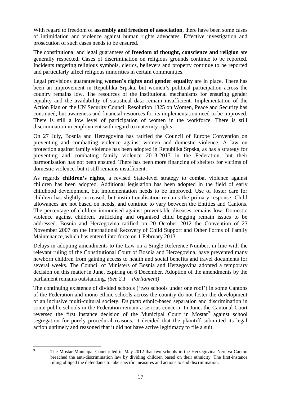With regard to freedom of **assembly and freedom of association**, there have been some cases of intimidation and violence against human rights advocates. Effective investigation and prosecution of such cases needs to be ensured.

The constitutional and legal guarantees of **freedom of thought, conscience and religion** are generally respected**.** Cases of discrimination on religious grounds continue to be reported. Incidents targeting religious symbols, clerics, believers and property continue to be reported and particularly affect religious minorities in certain communities.

Legal provisions guaranteeing **women's rights and gender equality** are in place. There has been an improvement in Republika Srpska, but women's political participation across the country remains low. The resources of the institutional mechanisms for ensuring gender equality and the availability of statistical data remain insufficient. Implementation of the Action Plan on the UN Security Council Resolution 1325 on Women, Peace and Security has continued, but awareness and financial resources for its implementation need to be improved. There is still a low level of participation of women in the workforce. There is still discrimination in employment with regard to maternity rights.

On 27 July, Bosnia and Herzegovina has ratified the Council of Europe Convention on preventing and combatting violence against women and domestic violence. A law on protection against family violence has been adopted in Republika Srpska, as has a strategy for preventing and combating family violence 2013-2017 in the Federation, but their harmonisation has not been ensured. There has been more financing of shelters for victims of domestic violence, but it still remains insufficient.

As regards **children's rights**, a revised State-level strategy to combat violence against children has been adopted. Additional legislation has been adopted in the field of early childhood development, but implementation needs to be improved. Use of foster care for children has slightly increased, but institutionalisation remains the primary response. Child allowances are not based on needs, and continue to vary between the Entities and Cantons. The percentage of children immunised against preventable diseases remains low. Domestic violence against children, trafficking and organised child begging remain issues to be addressed. Bosnia and Herzegovina ratified on 20 October 2012 the Convention of 23 November 2007 on the International Recovery of Child Support and Other Forms of Family Maintenance, which has entered into force on 1 February 2013.

Delays in adopting amendments to the Law on a Single Reference Number, in line with the relevant ruling of the Constitutional Court of Bosnia and Herzegovina, have prevented many newborn children from gaining access to health and social benefits and travel documents for several weeks. The Council of Ministers of Bosnia and Herzegovina adopted a temporary decision on this matter in June, expiring on 6 December. Adoption of the amendments by the parliament remains outstanding. *(See 2.1 Parliament)*

The continuing existence of divided schools ('two schools under one roof') in some Cantons of the Federation and mono-ethnic schools across the country do not foster the development of an inclusive multi-cultural society. *De facto* ethnic-based separation and discrimination in some public schools in the Federation remain a serious concern. In June, the Cantonal Court reversed the first instance decision of the Municipal Court in Mostar<sup>9</sup> against school segregation for purely procedural reasons. It decided that the plaintiff submitted its legal action untimely and reasoned that it did not have active legitimacy to file a suit.

 $\overline{Q}$ 

<sup>9</sup> The Mostar Municipal Court ruled in May 2012 that two schools in the Herzegovina-Neretva Canton breached the anti-discrimination law by dividing children based on their ethnicity. The first-instance ruling obliged the defendants to take specific measures and actions to end discrimination.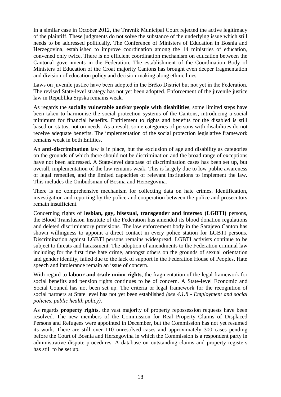In a similar case in October 2012, the Travnik Municipal Court rejected the active legitimacy of the plaintiff. These judgments do not solve the substance of the underlying issue which still needs to be addressed politically. The Conference of Ministers of Education in Bosnia and Herzegovina, established to improve coordination among the 14 ministries of education, convened only twice. There is no efficient coordination mechanism on education between the Cantonal governments in the Federation. The establishment of the Coordination Body of Ministers of Education of the Croat majority Cantons has brought even deeper fragmentation and division of education policy and decision-making along ethnic lines.

Laws on juvenile justice have been adopted in the Brčko District but not yet in the Federation. The revised State-level strategy has not yet been adopted. Enforcement of the juvenile justice law in Republika Srpska remains weak.

As regards the **socially vulnerable and/or people with disabilities**, some limited steps have been taken to harmonise the social protection systems of the Cantons, introducing a social minimum for financial benefits. Entitlement to rights and benefits for the disabled is still based on status, not on needs. As a result, some categories of persons with disabilities do not receive adequate benefits. The implementation of the social protection legislative framework remains weak in both Entities.

An **anti-discrimination** law is in place, but the exclusion of age and disability as categories on the grounds of which there should not be discrimination and the broad range of exceptions have not been addressed. A State-level database of discrimination cases has been set up, but overall, implementation of the law remains weak. This is largely due to low public awareness of legal remedies, and the limited capacities of relevant institutions to implement the law. This includes the Ombudsman of Bosnia and Herzegovina.

There is no comprehensive mechanism for collecting data on hate crimes. Identification, investigation and reporting by the police and cooperation between the police and prosecutors remain insufficient.

Concerning rights of **lesbian, gay, bisexual, transgender and intersex (LGBTI)** persons, the Blood Transfusion Institute of the Federation has amended its blood donation regulations and deleted discriminatory provisions. The law enforcement body in the Sarajevo Canton has shown willingness to appoint a direct contact in every police station for LGBTI persons. Discrimination against LGBTI persons remains widespread. LGBTI activists continue to be subject to threats and harassment. The adoption of amendments to the Federation criminal law including for the first time hate crime, amongst others on the grounds of sexual orientation and gender identity, failed due to the lack of support in the Federation House of Peoples. Hate speech and intolerance remain an issue of concern.

With regard to **labour and trade union rights**, the fragmentation of the legal framework for social benefits and pension rights continues to be of concern. A State-level Economic and Social Council has not been set up. The criteria or legal framework for the recognition of social partners at State level has not yet been established *(see 4.1.8 - Employment and social policies, public health policy)*.

As regards **property rights**, the vast majority of property repossession requests have been resolved. The new members of the Commission for Real Property Claims of Displaced Persons and Refugees were appointed in December, but the Commission has not yet resumed its work. There are still over 110 unresolved cases and approximately 300 cases pending before the Court of Bosnia and Herzegovina in which the Commission is a respondent party in administrative dispute procedures. A database on outstanding claims and property registers has still to be set up.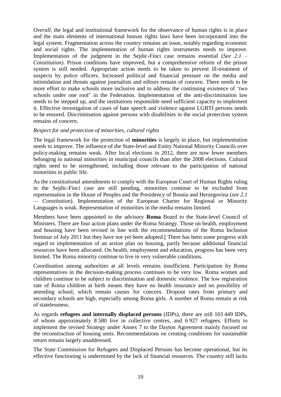*Overall*, the legal and institutional framework for the observance of human rights is in place and the main elements of international human rights laws have been incorporated into the legal system. Fragmentation across the country remains an issue, notably regarding economic and social rights. The implementation of human rights instruments needs to improve. Implementation of the judgment in the Sejdic-Finci case remains essential (*See 2.1 – Constitution)*. Prison conditions have improved, but a comprehensive reform of the prison system is still needed. Appropriate action needs to be taken to prevent ill-treatment of suspects by police officers. Increased political and financial pressure on the media and intimidation and threats against journalists and editors remain of concern. There needs to be more effort to make schools more inclusive and to address the continuing existence of 'two schools under one roof' in the Federation. Implementation of the anti-discrimination law needs to be stepped up, and the institutions responsible need sufficient capacity to implement it. Effective investigation of cases of hate speech and violence against LGBTI persons needs to be ensured. Discrimination against persons with disabilities in the social protection system remains of concern.

#### *Respect for and protection of minorities, cultural rights*

The legal framework for the protection of **minorities** is largely in place, but implementation needs to improve. The influence of the State-level and Entity National Minority Councils over policy-making remains weak. After local elections in 2012, there are now fewer members belonging to national minorities in municipal councils than after the 2008 elections. Cultural rights need to be strengthened, including those relevant to the participation of national minorities in public life.

As the constitutional amendments to comply with the European Court of Human Rights ruling in the Sejdic-Finci case are still pending, minorities continue to be excluded from representation in the House of Peoples and the Presidency of Bosnia and Herzegovina (*see 2.1 — Constitution*). Implementation of the European Charter for Regional or Minority Languages is weak. Representation of minorities in the media remains limited.

Members have been appointed to the advisory **Roma** Board to the State-level Council of Ministers. There are four action plans under the Roma Strategy. Those on health, employment and housing have been revised in line with the recommendations of the Roma Inclusion Seminar of July 2011 but they have not yet been adopted. There has been some progress with regard to implementation of an action plan on housing, partly because additional financial resources have been allocated. On health, employment and education, progress has been very limited. The Roma minority continue to live in very vulnerable conditions.

Coordination among authorities at all levels remains insufficient. Participation by Roma representatives in the decision-making process continues to be very low. Roma women and children continue to be subject to discrimination and domestic violence. The low registration rate of Roma children at birth means they have no health insurance and no possibility of attending school, which remain causes for concern. Dropout rates from primary and secondary schools are high, especially among Roma girls. A number of Roma remain at risk of statelessness.

As regards **refugees and internally displaced persons** (IDPs), there are still 103 449 IDPs, of whom approximately 8 580 live in collective centres, and 6 927 refugees. Efforts to implement the revised Strategy under Annex 7 to the Dayton Agreement mainly focused on the reconstruction of housing units. Recommendations on creating conditions for sustainable return remain largely unaddressed.

The State Commission for Refugees and Displaced Persons has become operational, but its effective functioning is undermined by the lack of financial resources. The country still lacks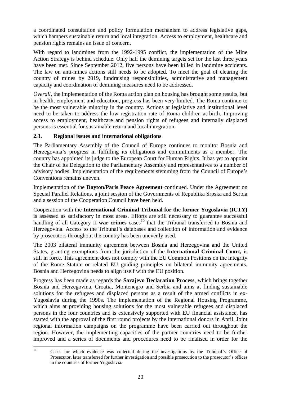a coordinated consultation and policy formulation mechanism to address legislative gaps, which hampers sustainable return and local integration. Access to employment, healthcare and pension rights remains an issue of concern.

With regard to landmines from the 1992-1995 conflict, the implementation of the Mine Action Strategy is behind schedule. Only half the demining targets set for the last three years have been met. Since September 2012, five persons have been killed in landmine accidents. The law on anti-mines actions still needs to be adopted. To meet the goal of clearing the country of mines by 2019, fundraising responsibilities, administrative and management capacity and coordination of demining measures need to be addressed.

*Overall*, the implementation of the Roma action plan on housing has brought some results, but in health, employment and education, progress has been very limited. The Roma continue to be the most vulnerable minority in the country. Actions at legislative and institutional level need to be taken to address the low registration rate of Roma children at birth. Improving access to employment, healthcare and pension rights of refugees and internally displaced persons is essential for sustainable return and local integration.

# <span id="page-24-0"></span>**2.3. Regional issues and international obligations**

The Parliamentary Assembly of the Council of Europe continues to monitor Bosnia and Herzegovina's progress in fulfilling its obligations and commitments as a member. The country has appointed its judge to the European Court for Human Rights. It has yet to appoint the Chair of its Delegation to the Parliamentary Assembly and representatives to a number of advisory bodies. Implementation of the requirements stemming from the Council of Europe's Conventions remains uneven.

Implementation of the **Dayton/Paris Peace Agreement** continued. Under the Agreement on Special Parallel Relations, a joint session of the Governments of Republika Srpska and Serbia and a session of the Cooperation Council have been held.

Cooperation with the **International Criminal Tribunal for the former Yugoslavia (ICTY)**  is assessed as satisfactory in most areas. Efforts are still necessary to guarantee successful handling of all Category II war crimes cases<sup>10</sup> that the Tribunal transferred to Bosnia and Herzegovina. Access to the Tribunal's databases and collection of information and evidence by prosecutors throughout the country has been unevenly used.

The 2003 bilateral immunity agreement between Bosnia and Herzegovina and the United States, granting exemptions from the jurisdiction of the **International Criminal Court,** is still in force. This agreement does not comply with the EU Common Positions on the integrity of the Rome Statute or related EU guiding principles on bilateral immunity agreements. Bosnia and Herzegovina needs to align itself with the EU position.

Progress has been made as regards the **Sarajevo Declaration Process**, which brings together Bosnia and Herzegovina, Croatia, Montenegro and Serbia and aims at finding sustainable solutions for the refugees and displaced persons as a result of the armed conflicts in ex-Yugoslavia during the 1990s. The implementation of the Regional Housing Programme, which aims at providing housing solutions for the most vulnerable refugees and displaced persons in the four countries and is extensively supported with EU financial assistance, has started with the approval of the first round projects by the international donors in April. Joint regional information campaigns on the programme have been carried out throughout the region. However, the implementing capacities of the partner countries need to be further improved and a series of documents and procedures need to be finalised in order for the

 $10<sup>10</sup>$ <sup>10</sup> Cases for which evidence was collected during the investigations by the Tribunal's Office of Prosecutor, later transferred for further investigation and possible prosecution to the prosecutor's offices in the countries of former Yugoslavia.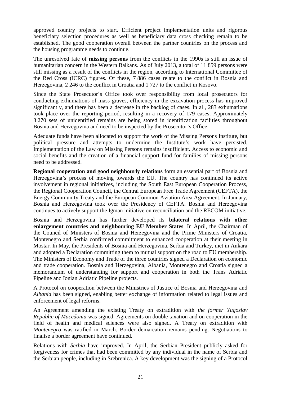approved country projects to start. Efficient project implementation units and rigorous beneficiary selection procedures as well as beneficiary data cross checking remain to be established. The good cooperation overall between the partner countries on the process and the housing programme needs to continue.

The unresolved fate of **missing persons** from the conflicts in the 1990s is still an issue of humanitarian concern in the Western Balkans. As of July 2013, a total of 11 859 persons were still missing as a result of the conflicts in the region, according to International Committee of the Red Cross (ICRC) figures. Of these, 7 886 cases relate to the conflict in Bosnia and Herzegovina, 2 246 to the conflict in Croatia and 1 727 to the conflict in Kosovo.

Since the State Prosecutor's Office took over responsibility from local prosecutors for conducting exhumations of mass graves, efficiency in the excavation process has improved significantly, and there has been a decrease in the backlog of cases. In all, 283 exhumations took place over the reporting period, resulting in a recovery of 179 cases. Approximately 3 270 sets of unidentified remains are being stored in identification facilities throughout Bosnia and Herzegovina and need to be inspected by the Prosecutor's Office.

Adequate funds have been allocated to support the work of the Missing Persons Institute, but political pressure and attempts to undermine the Institute's work have persisted. Implementation of the Law on Missing Persons remains insufficient. Access to economic and social benefits and the creation of a financial support fund for families of missing persons need to be addressed.

**Regional cooperation and good neighbourly relations** form an essential part of Bosnia and Herzegovina's process of moving towards the EU. The country has continued its active involvement in regional initiatives, including the South East European Cooperation Process, the Regional Cooperation Council, the Central European Free Trade Agreement (CEFTA), the Energy Community Treaty and the European Common Aviation Area Agreement. In January, Bosnia and Herzegovina took over the Presidency of CEFTA. Bosnia and Herzegovina continues to actively support the Igman initiative on reconciliation and the RECOM initiative.

Bosnia and Herzegovina has further developed its **bilateral relations with other enlargement countries and neighbouring EU Member States**. In April, the Chairman of the Council of Ministers of Bosnia and Herzegovina and the Prime Ministers of Croatia, Montenegro and Serbia confirmed commitment to enhanced cooperation at their meeting in Mostar. In May, the Presidents of Bosnia and Herzegovina, Serbia and Turkey, met in Ankara and adopted a Declaration committing them to mutual support on the road to EU membership. The Ministers of Economy and Trade of the three countries signed a Declaration on economic and trade cooperation. Bosnia and Herzegovina, Albania, Montenegro and Croatia signed a memorandum of understanding for support and cooperation in both the Trans Adriatic Pipeline and Ionian Adriatic Pipeline projects.

A Protocol on cooperation between the Ministries of Justice of Bosnia and Herzegovina and *Albania* has been signed, enabling better exchange of information related to legal issues and enforcement of legal reforms.

An Agreement amending the existing Treaty on extradition with *the former Yugoslav Republic of Macedonia* was signed. Agreements on double taxation and on cooperation in the field of health and medical sciences were also signed. A Treaty on extradition with *Montenegro* was ratified in March. Border demarcation remains pending. Negotiations to finalise a border agreement have continued.

Relations with *Serbia* have improved. In April, the Serbian President publicly asked for forgiveness for crimes that had been committed by any individual in the name of Serbia and the Serbian people, including in Srebrenica. A key development was the signing of a Protocol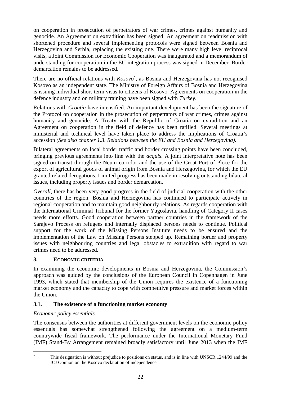on cooperation in prosecution of perpetrators of war crimes, crimes against humanity and genocide. An Agreement on extradition has been signed. An agreement on readmission with shortened procedure and several implementing protocols were signed between Bosnia and Herzegovina and Serbia, replacing the existing one. There were many high level reciprocal visits, a Joint Commission for Economic Cooperation was inaugurated and a memorandum of understanding for cooperation in the EU integration process was signed in December. Border demarcation remains to be addressed.

There are no official relations with *Kosovo* , as Bosnia and Herzegovina has not recognised Kosovo as an independent state. The Ministry of Foreign Affairs of Bosnia and Herzegovina is issuing individual short-term visas to citizens of Kosovo. Agreements on cooperation in the defence industry and on military training have been signed with *Turkey*.

Relations with *Croatia* have intensified. An important development has been the signature of the Protocol on cooperation in the prosecution of perpetrators of war crimes, crimes against humanity and genocide. A Treaty with the Republic of Croatia on extradition and an Agreement on cooperation in the field of defence has been ratified. Several meetings at ministerial and technical level have taken place to address the implications of Croatia's accession *(See also chapter 1.3. Relations between the EU and Bosnia and Herzegovina).*

Bilateral agreements on local border traffic and border crossing points have been concluded, bringing previous agreements into line with the *acquis*. A joint interpretative note has been signed on transit through the Neum corridor and the use of the Croat Port of Ploce for the export of agricultural goods of animal origin from Bosnia and Herzegovina, for which the EU granted related derogations*.* Limited progress has been made in resolving outstanding bilateral issues, including property issues and border demarcation.

*Overall*, there has been very good progress in the field of judicial cooperation with the other countries of the region. Bosnia and Herzegovina has continued to participate actively in regional cooperation and to maintain good neighbourly relations. As regards cooperation with the International Criminal Tribunal for the former Yugoslavia, handling of Category II cases needs more efforts. Good cooperation between partner countries in the framework of the Sarajevo Process on refugees and internally displaced persons needs to continue. Political support for the work of the Missing Persons Institute needs to be ensured and the implementation of the Law on Missing Persons stepped up. Remaining border and property issues with neighbouring countries and legal obstacles to extradition with regard to war crimes need to be addressed.

# <span id="page-26-0"></span>**3. ECONOMIC CRITERIA**

In examining the economic developments in Bosnia and Herzegovina, the Commission's approach was guided by the conclusions of the European Council in Copenhagen in June 1993, which stated that membership of the Union requires the existence of a functioning market economy and the capacity to cope with competitive pressure and market forces within the Union.

#### <span id="page-26-1"></span>**3.1. The existence of a functioning market economy**

#### *Economic policy essentials*

1

The consensus between the authorities at different government levels on the economic policy essentials has somewhat strengthened following the agreement on a medium-term countrywide fiscal framework. The performance under the International Monetary Fund (IMF) Stand-By Arrangement remained broadly satisfactory until June 2013 when the IMF

This designation is without prejudice to positions on status, and is in line with UNSCR 1244/99 and the ICJ Opinion on the Kosovo declaration of independence.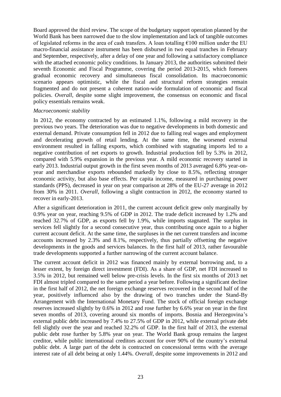Board approved the third review. The scope of the budgetary support operation planned by the World Bank has been narrowed due to the slow implementation and lack of tangible outcomes of legislated reforms in the area of cash transfers. A loan totalling  $\epsilon$ 100 million under the EU macro-financial assistance instrument has been disbursed in two equal tranches in February and September, respectively, after a delay of one year and following a satisfactory compliance with the attached economic policy conditions. In January 2013, the authorities submitted their seventh Economic and Fiscal Programme, covering the period 2013-2015, which foresees gradual economic recovery and simultaneous fiscal consolidation. Its macroeconomic scenario appears optimistic, while the fiscal and structural reform strategies remain fragmented and do not present a coherent nation-wide formulation of economic and fiscal policies. *Overall*, despite some slight improvement, the consensus on economic and fiscal policy essentials remains weak.

#### *Macroeconomic stability*

In 2012, the economy contracted by an estimated 1.1%, following a mild recovery in the previous two years. The deterioration was due to negative developments in both domestic and external demand. Private consumption fell in 2012 due to falling real wages and employment and decelerating growth of retail lending. At the same time, the worsened external environment resulted in falling exports, which combined with stagnating imports led to a negative contribution of net exports to growth. Industrial production fell by 5.3% in 2012, compared with 5.9% expansion in the previous year. A mild economic recovery started in early 2013. Industrial output growth in the first seven months of 2013 averaged 6.8% year-onyear and merchandise exports rebounded markedly by close to 8.5%, reflecting stronger economic activity, but also base effects. Per capita income, measured in purchasing power standards (PPS), decreased in year on year comparison at 28% of the EU-27 average in 2012 from 30% in 2011. *Overall*, following a slight contraction in 2012, the economy started to recover in early-2013.

After a significant deterioration in 2011, the current account deficit grew only marginally by 0.9% year on year, reaching 9.5% of GDP in 2012. The trade deficit increased by 1.2% and reached 32.7% of GDP, as exports fell by 1.9%, while imports stagnated. The surplus in services fell slightly for a second consecutive year, thus contributing once again to a higher current account deficit. At the same time, the surpluses in the net current transfers and income accounts increased by 2.3% and 8.1%, respectively, thus partially offsetting the negative developments in the goods and services balances. In the first half of 2013, rather favourable trade developments supported a further narrowing of the current account balance.

The current account deficit in 2012 was financed mainly by external borrowing and, to a lesser extent, by foreign direct investment (FDI). As a share of GDP, net FDI increased to 3.5% in 2012, but remained well below pre-crisis levels. In the first six months of 2013 net FDI almost tripled compared to the same period a year before. Following a significant decline in the first half of 2012, the net foreign exchange reserves recovered in the second half of the year, positively influenced also by the drawing of two tranches under the Stand-By Arrangement with the International Monetary Fund. The stock of official foreign exchange reserves increased slightly by 0.6% in 2012 and rose further by 6.6% year on year in the first seven months of 2013, covering around six months of imports. Bosnia and Herzegovina's external public debt increased by 7.4% to 27.5% of GDP in 2012, while external private debt fell slightly over the year and reached 32.2% of GDP. In the first half of 2013, the external public debt rose further by 5.8% year on year. The World Bank group remains the largest creditor, while public international creditors account for over 90% of the country's external public debt. A large part of the debt is contracted on concessional terms with the average interest rate of all debt being at only 1.44%. *Overall*, despite some improvements in 2012 and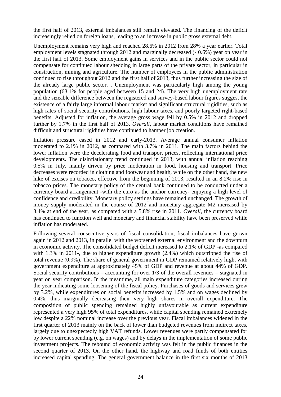the first half of 2013, external imbalances still remain elevated. The financing of the deficit increasingly relied on foreign loans, leading to an increase in public gross external debt.

Unemployment remains very high and reached 28.6% in 2012 from 28% a year earlier. Total employment levels stagnated through 2012 and marginally decreased (- 0.6%) year on year in the first half of 2013. Some employment gains in services and in the public sector could not compensate for continued labour shedding in large parts of the private sector, in particular in construction, mining and agriculture. The number of employees in the public administration continued to rise throughout 2012 and the first half of 2013, thus further increasing the size of the already large public sector. . Unemployment was particularly high among the young population (63.1% for people aged between 15 and 24). The very high unemployment rate and the sizeable difference between the registered and survey-based labour figures suggest the existence of a fairly large informal labour market and significant structural rigidities, such as high rates of social security contributions, high labour taxes, and poorly targeted right-based benefits. Adjusted for inflation, the average gross wage fell by 0.5% in 2012 and dropped further by 1.7% in the first half of 2013. *Overall*, labour market conditions have remained difficult and structural rigidities have continued to hamper job creation.

Inflation pressure eased in 2012 and early-2013. Average annual consumer inflation moderated to 2.1% in 2012, as compared with 3.7% in 2011. The main factors behind the lower inflation were the decelerating food and transport prices, reflecting international price developments. The disinflationary trend continued in 2013, with annual inflation reaching 0.5% in July, mainly driven by price moderation in food, housing and transport. Price decreases were recorded in clothing and footwear and health, while on the other hand, the new hike of excises on tobacco, effective from the beginning of 2013, resulted in an 8.2% rise in tobacco prices. The monetary policy of the central bank continued to be conducted under a currency board arrangement -with the euro as the anchor currency- enjoying a high level of confidence and credibility. Monetary policy settings have remained unchanged. The growth of money supply moderated in the course of 2012 and monetary aggregate M2 increased by 3.4% at end of the year, as compared with a 5.8% rise in 2011. *Overall*, the currency board has continued to function well and monetary and financial stability have been preserved while inflation has moderated.

Following several consecutive years of fiscal consolidation, fiscal imbalances have grown again in 2012 and 2013, in parallel with the worsened external environment and the downturn in economic activity. The consolidated budget deficit increased to 2.1% of GDP -as compared with 1.3% in 2011-, due to higher expenditure growth (2.4%) which outstripped the rise of total revenue (0.9%). The share of general government in GDP remained relatively high, with government expenditure at approximately 45% of GDP and revenue at about 44% of GDP. Social security contributions – accounting for over  $1/3$  of the overall revenues – stagnated in year on year comparison. In the meantime, all main expenditure categories increased during the year indicating some loosening of the fiscal policy. Purchases of goods and services grew by 3.2%, while expenditures on social benefits increased by 1.5% and on wages declined by 0.4%, thus marginally decreasing their very high shares in overall expenditure. The composition of public spending remained highly unfavourable as current expenditure represented a very high 95% of total expenditures, while capital spending remained extremely low despite a 22% nominal increase over the previous year. Fiscal imbalances widened in the first quarter of 2013 mainly on the back of lower than budgeted revenues from indirect taxes, largely due to unexpectedly high VAT refunds. Lower revenues were partly compensated for by lower current spending (e.g. on wages) and by delays in the implementation of some public investment projects. The rebound of economic activity was felt in the public finances in the second quarter of 2013. On the other hand, the highway and road funds of both entities increased capital spending. The general government balance in the first six months of 2013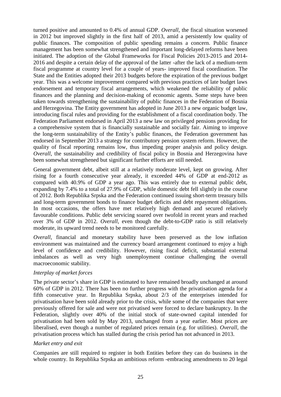turned positive and amounted to 0.4% of annual GDP. *Overall,* the fiscal situation worsened in 2012 but improved slightly in the first half of 2013, amid a persistently low quality of public finances. The composition of public spending remains a concern. Public finance management has been somewhat strengthened and important long-delayed reforms have been initiated. The adoption of the Global Frameworks for Fiscal Policies 2013-2015 and 2014- 2016 and despite a certain delay of the approval of the latter -after the lack of a medium-term fiscal programme at country level for a couple of years- improved fiscal coordination. The State and the Entities adopted their 2013 budgets before the expiration of the previous budget year. This was a welcome improvement compared with previous practices of late budget laws endorsement and temporary fiscal arrangements, which weakened the reliability of public finances and the planning and decision-making of economic agents. Some steps have been taken towards strengthening the sustainability of public finances in the Federation of Bosnia and Herzegovina. The Entity government has adopted in June 2013 a new organic budget law, introducing fiscal rules and providing for the establishment of a fiscal coordination body. The Federation Parliament endorsed in April 2013 a new law on privileged pensions providing for a comprehensive system that is financially sustainable and socially fair. Aiming to improve the long-term sustainability of the Entity's public finances, the Federation government has endorsed in September 2013 a strategy for contributory pension system reform. However, the quality of fiscal reporting remains low, thus impeding proper analysis and policy design. *Overall*, the sustainability and credibility of fiscal policy in Bosnia and Herzegovina have been somewhat strengthened but significant further efforts are still needed.

General government debt, albeit still at a relatively moderate level, kept on growing. After rising for a fourth consecutive year already, it exceeded 44% of GDP at end-2012 as compared with 40.9% of GDP a year ago. This was entirely due to external public debt, expanding by 7.4% to a total of 27.9% of GDP, while domestic debt fell slightly in the course of 2012. Both Republika Srpska and the Federation continued issuing short-term treasury bills and long-term government bonds to finance budget deficits and debt repayment obligations. In most occasions, the offers have met relatively high demand and secured relatively favourable conditions. Public debt servicing soared over twofold in recent years and reached over 3% of GDP in 2012. *Overall*, even though the debt-to-GDP ratio is still relatively moderate, its upward trend needs to be monitored carefully.

*Overall*, financial and monetary stability have been preserved as the low inflation environment was maintained and the currency board arrangement continued to enjoy a high level of confidence and credibility. However, rising fiscal deficit, substantial external imbalances as well as very high unemployment continue challenging the overall macroeconomic stability.

#### *Interplay of market forces*

The private sector's share in GDP is estimated to have remained broadly unchanged at around 60% of GDP in 2012. There has been no further progress with the privatisation agenda for a fifth consecutive year. In Republika Srpska, about 2/3 of the enterprises intended for privatisation have been sold already prior to the crisis, while some of the companies that were previously offered for sale and were not privatised were forced to declare bankruptcy. In the Federation, slightly over 40% of the initial stock of state-owned capital intended for privatisation had been sold by May 2013, unchanged from a year earlier. Most prices are liberalised, even though a number of regulated prices remain (e.g. for utilities). *Overall*, the privatisation process which has stalled during the crisis period has not advanced in 2013.

#### *Market entry and exit*

Companies are still required to register in both Entities before they can do business in the whole country. In Republika Srpska an ambitious reform -embracing amendments to 20 legal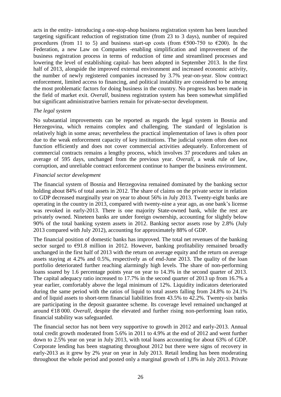acts in the entity- introducing a one-stop-shop business registration system has been launched targeting significant reduction of registration time (from 23 to 3 days), number of required procedures (from 11 to 5) and business start-up costs (from  $\epsilon$ 500-750 to  $\epsilon$ 200). In the Federation, a new Law on Companies -enabling simplification and improvement of the business registration process in terms of reduction of time and streamlined processes and lowering the level of establishing capital- has been adopted in September 2013. In the first half of 2013, alongside the improved external environment and increased economic activity, the number of newly registered companies increased by 3.7% year-on-year. Slow contract enforcement, limited access to financing, and political instability are considered to be among the most problematic factors for doing business in the country. No progress has been made in the field of market exit. *Overall*, business registration system has been somewhat simplified but significant administrative barriers remain for private-sector development.

#### *The legal system*

No substantial improvements can be reported as regards the legal system in Bosnia and Herzegovina, which remains complex and challenging. The standard of legislation is relatively high in some areas; nevertheless the practical implementation of laws is often poor due to the weak enforcement capacity of key institutions. The judicial system often does not function efficiently and does not cover commercial activities adequately. Enforcement of commercial contracts remains a lengthy process, which involves 37 procedures and takes an average of 595 days, unchanged from the previous year. *Overall*, a weak rule of law, corruption, and unreliable contract enforcement continue to hamper the business environment.

#### *Financial sector development*

The financial system of Bosnia and Herzegovina remained dominated by the banking sector holding about 84% of total assets in 2012. The share of claims on the private sector in relation to GDP decreased marginally year on year to about 56% in July 2013. Twenty-eight banks are operating in the country in 2013, compared with twenty-nine a year ago, as one bank's license was revoked in early-2013. There is one majority State-owned bank, while the rest are privately owned. Nineteen banks are under foreign ownership, accounting for slightly below 90% of the total banking system assets in 2012. Banking sector assets rose by 2.8% (July 2013 compared with July 2012), accounting for approximately 88% of GDP.

The financial position of domestic banks has improved. The total net revenues of the banking sector surged to  $\epsilon$ 91.8 million in 2012. However, banking profitability remained broadly unchanged in the first half of 2013 with the return on average equity and the return on average assets staying at 4.2% and 0.5%, respectively as of end-June 2013. The quality of the loan portfolio deteriorated further reaching alarmingly high levels. The share of non-performing loans soared by 1.6 percentage points year on year to 14.3% in the second quarter of 2013. The capital adequacy ratio increased to 17.7% in the second quarter of 2013 up from 16.7% a year earlier, comfortably above the legal minimum of 12%. Liquidity indicators deteriorated during the same period with the ratios of liquid to total assets falling from 24.8% to 24.1% and of liquid assets to short-term financial liabilities from 43.5% to 42.2%. Twenty-six banks are participating in the deposit guarantee scheme. Its coverage level remained unchanged at around €18 000. *Overall*, despite the elevated and further rising non-performing loan ratio, financial stability was safeguarded.

The financial sector has not been very supportive to growth in 2012 and early-2013. Annual total credit growth moderated from 5.6% in 2011 to 4.9% at the end of 2012 and went further down to 2.5% year on year in July 2013, with total loans accounting for about 63% of GDP. Corporate lending has been stagnating throughout 2012 but there were signs of recovery in early-2013 as it grew by 2% year on year in July 2013. Retail lending has been moderating throughout the whole period and posted only a marginal growth of 1.8% in July 2013. Private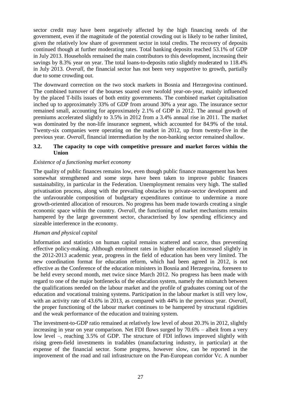sector credit may have been negatively affected by the high financing needs of the government, even if the magnitude of the potential crowding out is likely to be rather limited, given the relatively low share of government sector in total credits. The recovery of deposits continued though at further moderating rates. Total banking deposits reached 53.1% of GDP in July 2013. Households remained the main contributors to this development, increasing their savings by 8.3% year on year. The total loans-to-deposits ratio slightly moderated to 118.4% in July 2013. *Overall*, the financial sector has not been very supportive to growth, partially due to some crowding out.

The downward correction on the two stock markets in Bosnia and Herzegovina continued. The combined turnover of the bourses soared over twofold year-on-year, mainly influenced by the placed T-bills issues of both entity governments. The combined market capitalisation inched up to approximately 33% of GDP from around 30% a year ago. The insurance sector remained small, accounting for approximately 2.1% of GDP in 2012. The annual growth of premiums accelerated slightly to 3.5% in 2012 from a 3.4% annual rise in 2011. The market was dominated by the non-life insurance segment, which accounted for 84.9% of the total. Twenty-six companies were operating on the market in 2012, up from twenty-five in the previous year. *Overall*, financial intermediation by the non-banking sector remained shallow.

#### <span id="page-31-0"></span>**3.2. The capacity to cope with competitive pressure and market forces within the Union**

#### *Existence of a functioning market economy*

The quality of public finances remains low, even though public finance management has been somewhat strengthened and some steps have been taken to improve public finances sustainability, in particular in the Federation. Unemployment remains very high. The stalled privatisation process, along with the prevailing obstacles to private-sector development and the unfavourable composition of budgetary expenditures continue to undermine a more growth-oriented allocation of resources. No progress has been made towards creating a single economic space within the country. *Overall*, the functioning of market mechanisms remains hampered by the large government sector, characterised by low spending efficiency and sizeable interference in the economy.

#### *Human and physical capital*

Information and statistics on human capital remains scattered and scarce, thus preventing effective policy-making. Although enrolment rates in higher education increased slightly in the 2012-2013 academic year, progress in the field of education has been very limited. The new coordination format for education reform, which had been agreed in 2012, is not effective as the Conference of the education ministers in Bosnia and Herzegovina, foreseen to be held every second month, met twice since March 2012. No progress has been made with regard to one of the major bottlenecks of the education system, namely the mismatch between the qualifications needed on the labour market and the profile of graduates coming out of the education and vocational training systems. Participation in the labour market is still very low, with an activity rate of 43.6% in 2013, as compared with 44% in the previous year. *Overall*, the proper functioning of the labour market continues to be hampered by structural rigidities and the weak performance of the education and training system.

The investment-to-GDP ratio remained at relatively low level of about 20.3% in 2012, slightly increasing in year on year comparison. Net FDI flows surged by 70.6% – albeit from a very low level –, reaching 3.5% of GDP. The structure of FDI inflows improved slightly with rising green-field investments in tradables (manufacturing industry, in particular) at the expense of the financial sector. Some progress, however slow, can be reported in the improvement of the road and rail infrastructure on the Pan-European corridor Vc. A number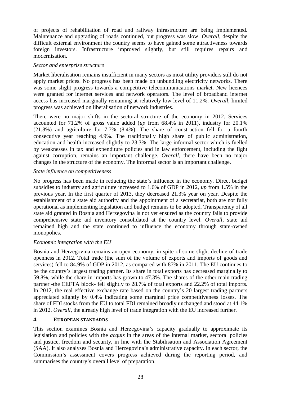of projects of rehabilitation of road and railway infrastructure are being implemented. Maintenance and upgrading of roads continued, but progress was slow. *Overall*, despite the difficult external environment the country seems to have gained some attractiveness towards foreign investors. Infrastructure improved slightly, but still requires repairs and modernisation.

#### *Sector and enterprise structure*

Market liberalisation remains insufficient in many sectors as most utility providers still do not apply market prices. No progress has been made on unbundling electricity networks. There was some slight progress towards a competitive telecommunications market. New licences were granted for internet services and network operators. The level of broadband internet access has increased marginally remaining at relatively low level of 11.2%. *Overall*, limited progress was achieved on liberalisation of network industries.

There were no major shifts in the sectoral structure of the economy in 2012. Services accounted for 71.2% of gross value added (*up* from 68.4% in 2011), industry for 20.1% (21.8%) and agriculture for 7.7% (8.4%). The share of construction fell for a fourth consecutive year reaching 4.9%. The traditionally high share of public administration, education and health increased slightly to 23.3%. The large informal sector which is fuelled by weaknesses in tax and expenditure policies and in law enforcement, including the fight against corruption, remains an important challenge. *Overall*, there have been no major changes in the structure of the economy. The informal sector is an important challenge.

#### *State influence on competitiveness*

No progress has been made in reducing the state's influence in the economy. Direct budget subsidies to industry and agriculture increased to 1.6% of GDP in 2012, *up* from 1.5% in the previous year. In the first quarter of 2013, they decreased 21.3% year on year. Despite the establishment of a state aid authority and the appointment of a secretariat, both are not fully operational as implementing legislation and budget remains to be adopted. Transparency of all state aid granted in Bosnia and Herzegovina is not yet ensured as the country fails to provide comprehensive state aid inventory consolidated at the country level. *Overall*, state aid remained high and the state continued to influence the economy through state-owned monopolies.

#### *Economic integration with the EU*

Bosnia and Herzegovina remains an open economy, in spite of some slight decline of trade openness in 2012. Total trade (the sum of the volume of exports and imports of goods and services) fell to 84.9% of GDP in 2012, as compared with 87% in 2011. The EU continues to be the country's largest trading partner. Its share in total exports has decreased marginally to 59.8%, while the share in imports has grown to 47.3%. The shares of the other main trading partner -the CEFTA block- fell slightly to 28.7% of total exports and 22.2% of total imports. In 2012, the real effective exchange rate based on the country's 20 largest trading partners appreciated slightly by 0.4% indicating some marginal price competitiveness losses. The share of FDI stocks from the EU to total FDI remained broadly unchanged and stood at 44.1% in 2012. *Overall*, the already high level of trade integration with the EU increased further.

#### <span id="page-32-0"></span>**4. EUROPEAN STANDARDS**

This section examines Bosnia and Herzegovina's capacity gradually to approximate its legislation and policies with the *acquis* in the areas of the internal market, sectoral policies and justice, freedom and security, in line with the Stabilisation and Association Agreement (SAA). It also analyses Bosnia and Herzegovina's administrative capacity. In each sector, the Commission's assessment covers progress achieved during the reporting period, and summarises the country's overall level of preparation.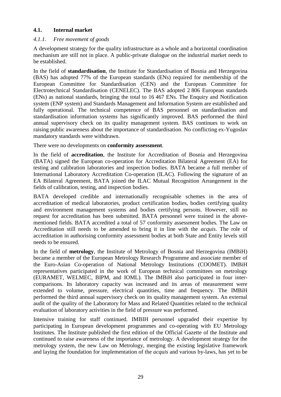#### <span id="page-33-0"></span>**4.1. Internal market**

#### <span id="page-33-1"></span>*4.1.1. Free movement of goods*

A development strategy for the quality infrastructure as a whole and a horizontal coordination mechanism are still not in place. A public-private dialogue on the industrial market needs to be established.

In the field of **standardisation**, the Institute for Standardisation of Bosnia and Herzegovina (BAS) has adopted 77% of the European standards (ENs) required for membership of the European Committee for Standardisation (CEN) and the European Committee for Electrotechnical Standardisation (CENELEC). The BAS adopted 2 806 European standards (ENs) as national standards, bringing the total to 16 467 ENs. The Enquiry and Notification system (ENP system) and Standards Management and Information System are established and fully operational. The technical competence of BAS personnel on standardisation and standardisation information systems has significantly improved. BAS performed the third annual supervisory check on its quality management system. BAS continues to work on raising public awareness about the importance of standardisation. No conflicting ex-Yugoslav mandatory standards were withdrawn.

There were no developments on **conformity assessment**.

In the field of **accreditation**, the Institute for Accreditation of Bosnia and Herzegovina (BATA) signed the European co-operation for Accreditation Bilateral Agreement (EA) for testing and calibration laboratories and inspection bodies. BATA became a full member of International Laboratory Accreditation Co-operation (ILAC). Following the signature of an EA Bilateral Agreement, BATA joined the ILAC Mutual Recognition Arrangement in the fields of calibration, testing, and inspection bodies.

BATA developed credible and internationally recognisable schemes in the area of accreditation of medical laboratories, product certification bodies, bodies certifying quality and environment management systems and bodies certifying persons. However, still no request for accreditation has been submitted. BATA personnel were trained in the abovementioned fields. BATA accredited a total of 57 conformity assessment bodies. The Law on Accreditation still needs to be amended to bring it in line with the *acquis*. The role of accreditation in authorising conformity assessment bodies at both State and Entity levels still needs to be ensured.

In the field of **metrology**, the Institute of Metrology of Bosnia and Herzegovina (IMBiH) became a member of the European Metrology Research Programme and associate member of the Euro-Asian Co-operation of National Metrology Institutions (COOMET). IMBiH representatives participated in the work of European technical committees on metrology (EURAMET, WELMEC, BIPM, and IOML). The IMBiH also participated in four intercomparisons. Its laboratory capacity was increased and its areas of measurement were extended to volume, pressure, electrical quantities, time and frequency. The IMBiH performed the third annual supervisory check on its quality management system. An external audit of the quality of the Laboratory for Mass and Related Quantities related to the technical evaluation of laboratory activities in the field of pressure was performed.

Intensive training for staff continued. IMBIH personnel upgraded their expertise by participating in European development programmes and co-operating with EU Metrology Institutes. The Institute published the first edition of the Official Gazette of the Institute and continued to raise awareness of the importance of metrology. A development strategy for the metrology system, the new Law on Metrology, merging the existing legislative framework and laying the foundation for implementation of the *acquis* and various by-laws, has yet to be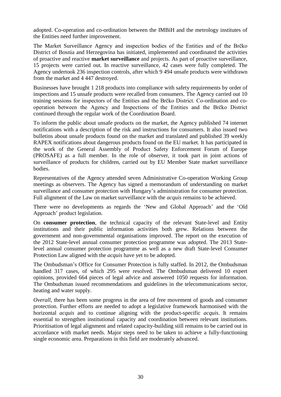adopted. Co-operation and co-ordination between the IMBiH and the metrology institutes of the Entities need further improvement.

The Market Surveillance Agency and inspection bodies of the Entities and of the Brčko District of Bosnia and Herzegovina has initiated, implemented and coordinated the activities of proactive and reactive **market surveillance** and projects. As part of proactive surveillance, 15 projects were carried out. In reactive surveillance, 42 cases were fully completed. The Agency undertook 236 inspection controls, after which 9 494 unsafe products were withdrawn from the market and 4 447 destroyed.

Businesses have brought 1 218 products into compliance with safety requirements by order of inspections and 15 unsafe products were recalled from consumers. The Agency carried out 10 training sessions for inspectors of the Entities and the Brčko District. Co-ordination and cooperation between the Agency and Inspections of the Entities and the Brčko District continued through the regular work of the Coordination Board.

To inform the public about unsafe products on the market, the Agency published 74 internet notifications with a description of the risk and instructions for consumers. It also issued two bulletins about unsafe products found on the market and translated and published 39 weekly RAPEX notifications about dangerous products found on the EU market. It has participated in the work of the General Assembly of Product Safety Enforcement Forum of Europe (PROSAFE) as a full member. In the role of observer, it took part in joint actions of surveillance of products for children, carried out by EU Member State market surveillance bodies.

Representatives of the Agency attended seven Administrative Co-operation Working Group meetings as observers. The Agency has signed a memorandum of understanding on market surveillance and consumer protection with Hungary's administration for consumer protection. Full alignment of the Law on market surveillance with the *acquis* remains to be achieved.

There were no developments as regards the 'New and Global Approach' and the 'Old Approach' product legislation.

On **consumer protection**, the technical capacity of the relevant State-level and Entity institutions and their public information activities both grew. Relations between the government and non-governmental organisations improved. The report on the execution of the 2012 State-level annual consumer protection programme was adopted. The 2013 Statelevel annual consumer protection programme as well as a new draft State-level Consumer Protection Law aligned with the *acquis* have yet to be adopted.

The Ombudsman's Office for Consumer Protection is fully staffed. In 2012, the Ombudsman handled 317 cases, of which 295 were resolved. The Ombudsman delivered 10 expert opinions, provided 664 pieces of legal advice and answered 1050 requests for information. The Ombudsman issued recommendations and guidelines in the telecommunications sector, heating and water supply.

*Overall*, there has been some progress in the area of free movement of goods and consumer protection. Further efforts are needed to adopt a legislative framework harmonised with the horizontal *acquis* and to continue aligning with the product-specific *acquis*. It remains essential to strengthen institutional capacity and coordination between relevant institutions. Prioritisation of legal alignment and related capacity-building still remains to be carried out in accordance with market needs. Major steps need to be taken to achieve a fully-functioning single economic area. Preparations in this field are moderately advanced.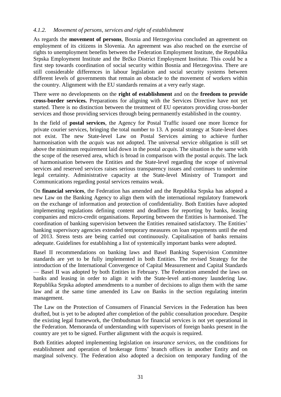#### <span id="page-35-0"></span>*4.1.2. Movement of persons, services and right of establishment*

As regards the **movement of persons**, Bosnia and Herzegovina concluded an agreement on employment of its citizens in Slovenia. An agreement was also reached on the exercise of rights to unemployment benefits between the Federation Employment Institute, the Republika Srpska Employment Institute and the Brčko District Employment Institute. This could be a first step towards coordination of social security within Bosnia and Herzegovina. There are still considerable differences in labour legislation and social security systems between different levels of governments that remain an obstacle to the movement of workers within the country. Alignment with the EU standards remains at a very early stage.

There were no developments on the **right of establishment** and on the **freedom to provide cross-border services.** Preparations for aligning with the Services Directive have not yet started. There is no distinction between the treatment of EU operators providing cross-border services and those providing services through being permanently established in the country.

In the field of **postal services**, the Agency for Postal Traffic issued one more licence for private courier services, bringing the total number to 13. A postal strategy at State-level does not exist. The new State-level Law on Postal Services aiming to achieve further harmonisation with the *acquis* was not adopted. The universal service obligation is still set above the minimum requirement laid down in the postal *acquis*. The situation is the same with the scope of the reserved area, which is broad in comparison with the postal *acquis*. The lack of harmonisation between the Entities and the State-level regarding the scope of universal services and reserved services raises serious transparency issues and continues to undermine legal certainty. Administrative capacity at the State-level Ministry of Transport and Communications regarding postal services remains weak.

On **financial services**, the Federation has amended and the Republika Srpska has adopted a new Law on the Banking Agency to align them with the international regulatory framework on the exchange of information and protection of confidentiality. Both Entities have adopted implementing regulations defining content and deadlines for reporting by banks, leasing companies and micro-credit organisations. Reporting between the Entities is harmonised. The coordination of banking supervision between the Entities remained satisfactory. The Entities' banking supervisory agencies extended temporary measures on loan repayments until the end of 2013. Stress tests are being carried out continuously. Capitalisation of banks remains adequate. Guidelines for establishing a list of systemically important banks were adopted.

Basel II recommendations on banking laws and Basel Banking Supervision Committee standards are yet to be fully implemented in both Entities. The revised Strategy for the introduction of the International Convergence of Capital Measurement and Capital Standards — Basel II was adopted by both Entities in February. The Federation amended the laws on banks and leasing in order to align it with the State-level anti-money laundering law. Republika Srpska adopted amendments to a number of decisions to align them with the same law and at the same time amended its Law on Banks in the section regulating interim management.

The Law on the Protection of Consumers of Financial Services in the Federation has been drafted, but is yet to be adopted after completion of the public consultation procedure. Despite the existing legal framework, the Ombudsman for financial services is not yet operational in the Federation. Memoranda of understanding with supervisors of foreign banks present in the country are yet to be signed. Further alignment with the *acquis* is required.

Both Entities adopted implementing legislation on *insurance services*, on the conditions for establishment and operation of brokerage firms' branch offices in another Entity and on marginal solvency. The Federation also adopted a decision on temporary funding of the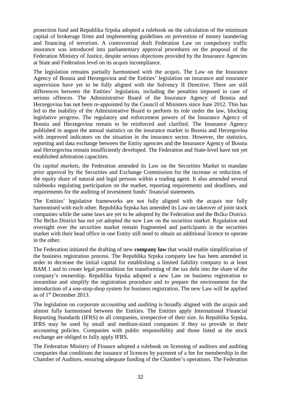protection fund and Republika Srpska adopted a rulebook on the calculation of the minimum capital of brokerage firms and implementing guidelines on prevention of money laundering and financing of terrorism. A controversial draft Federation Law on compulsory traffic insurance was introduced into parliamentary approval procedures on the proposal of the Federation Ministry of Justice, despite serious objections provided by the Insurance Agencies at State and Federation level on its *acquis* incompliance.

The legislation remains partially harmonised with the *acquis*. The Law on the Insurance Agency of Bosnia and Herzegovina and the Entities' legislation on insurance and insurance supervision have yet to be fully aligned with the Solvency II Directive. There are still differences between the Entities' legislation, including the penalties imposed in case of serious offences. The Administrative Board of the Insurance Agency of Bosnia and Herzegovina has not been re-appointed by the Council of Ministers since June 2012. This has led to the inability of the Administrative Board to perform its role under the law, blocking legislative progress. The regulatory and enforcement powers of the Insurance Agency of Bosnia and Herzegovina remain to be reinforced and clarified. The Insurance Agency published in august the annual statistics on the insurance market in Bosnia and Herzegovina with improved indicators on the situation in the insurance sector. However, the statistics, reporting and data exchange between the Entity agencies and the Insurance Agency of Bosnia and Herzegovina remain insufficiently developed. The Federation and State-level have not yet established arbitration capacities.

On *capital markets*, the Federation amended its Law on the Securities Market to mandate prior approval by the Securities and Exchange Commission for the increase or reduction of the equity share of natural and legal persons within a trading agent. It also amended several rulebooks regulating participation on the market, reporting requirements and deadlines, and requirements for the auditing of investment funds' financial statements.

The Entities' legislative frameworks are not fully aligned with the *acquis* nor fully harmonised with each other. Republika Srpska has amended its Law on takeover of joint stock companies while the same laws are yet to be adopted by the Federation and the Brčko District. The Brčko District has not yet adopted the new Law on the securities market. Regulation and oversight over the securities market remain fragmented and participants in the securities market with their head office in one Entity still need to obtain an additional licence to operate in the other.

The Federation initiated the drafting of new **company law** that would enable simplification of the business registration process. The Republika Srpska company law has been amended in order to decrease the initial capital for establishing a limited liability company to at least BAM 1 and to create legal precondition for transforming of the tax debt into the share of the company's ownership. Republika Srpska adopted a new Law on business registration to streamline and simplify the registration procedure and to prepare the environment for the introduction of a one-stop-shop system for business registration. The new Law will be applied as of  $1<sup>st</sup>$  December 2013.

The legislation on *corporate accounting* and *auditing* is broadly aligned with the *acquis* and almost fully harmonised between the Entities. The Entities apply International Financial Reporting Standards (IFRS) to all companies, irrespective of their size. In Republika Srpska, IFRS may be used by small and medium-sized companies if they so provide in their accounting policies. Companies with public responsibility and those listed at the stock exchange are obliged to fully apply IFRS.

The Federation Ministry of Finance adopted a rulebook on licensing of auditors and auditing companies that conditions the issuance of licences by payment of a fee for membership in the Chamber of Auditors, ensuring adequate funding of the Chamber's operations. The Federation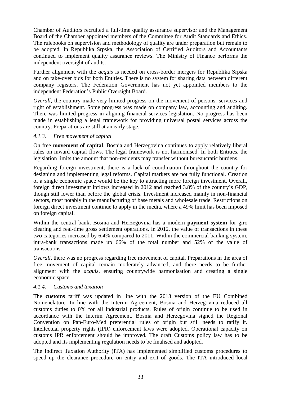Chamber of Auditors recruited a full-time quality assurance supervisor and the Management Board of the Chamber appointed members of the Committee for Audit Standards and Ethics. The rulebooks on supervision and methodology of quality are under preparation but remain to be adopted. In Republika Srpska, the Association of Certified Auditors and Accountants continued to implement quality assurance reviews. The Ministry of Finance performs the independent oversight of audits.

Further alignment with the *acquis* is needed on cross-border mergers for Republika Srpska and on take-over bids for both Entities. There is no system for sharing data between different company registers. The Federation Government has not yet appointed members to the independent Federation's Public Oversight Board.

*Overall*, the country made very limited progress on the movement of persons, services and right of establishment. Some progress was made on company law, accounting and auditing. There was limited progress in aligning financial services legislation. No progress has been made in establishing a legal framework for providing universal postal services across the country. Preparations are still at an early stage.

#### <span id="page-37-0"></span>*4.1.3. Free movement of capital*

On free **movement of capital**, Bosnia and Herzegovina continues to apply relatively liberal rules on inward capital flows. The legal framework is not harmonised. In both Entities, the legislation limits the amount that non-residents may transfer without bureaucratic burdens.

Regarding foreign investment, there is a lack of coordination throughout the country for designing and implementing legal reforms. Capital markets are not fully functional. Creation of a single economic space would be the key to attracting more foreign investment. Overall, foreign direct investment inflows increased in 2012 and reached 3.8% of the country's GDP, though still lower than before the global crisis. Investment increased mainly in non-financial sectors, most notably in the manufacturing of base metals and wholesale trade. Restrictions on foreign direct investment continue to apply in the media, where a 49% limit has been imposed on foreign capital.

Within the central bank, Bosnia and Herzegovina has a modern **payment system** for giro clearing and real-time gross settlement operations. In 2012, the value of transactions in these two categories increased by 6.4% compared to 2011. Within the commercial banking system, intra-bank transactions made up 66% of the total number and 52% of the value of transactions.

*Overall*, there was no progress regarding free movement of capital. Preparations in the area of free movement of capital remain moderately advanced, and there needs to be further alignment with the *acquis*, ensuring countrywide harmonisation and creating a single economic space.

#### <span id="page-37-1"></span>*4.1.4. Customs and taxation*

The **customs** tariff was updated in line with the 2013 version of the EU Combined Nomenclature. In line with the Interim Agreement, Bosnia and Herzegovina reduced all customs duties to 0% for all industrial products. Rules of origin continue to be used in accordance with the Interim Agreement. Bosnia and Herzegovina signed the Regional Convention on Pan-Euro-Med preferential rules of origin but still needs to ratify it. Intellectual property rights (IPR) enforcement laws were adopted. Operational capacity on customs IPR enforcement should be improved. The draft Customs policy law has to be adopted and its implementing regulation needs to be finalised and adopted.

The Indirect Taxation Authority (ITA) has implemented simplified customs procedures to speed up the clearance procedure on entry and exit of goods. The ITA introduced local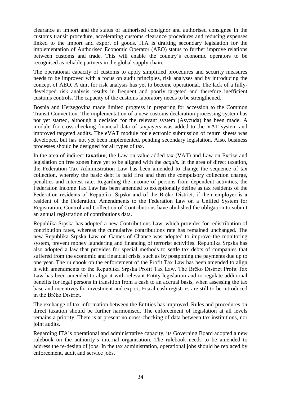clearance at import and the status of authorised consignor and authorised consignee in the customs transit procedure, accelerating customs clearance procedures and reducing expenses linked to the import and export of goods. ITA is drafting secondary legislation for the implementation of Authorised Economic Operator (AEO) status to further improve relations between customs and trade. This will enable the country's economic operators to be recognised as reliable partners in the global supply chain.

The operational capacity of customs to apply simplified procedures and security measures needs to be improved with a focus on audit principles, risk analyses and by introducing the concept of AEO. A unit for risk analysis has yet to become operational. The lack of a fullydeveloped risk analysis results in frequent and poorly targeted and therefore inefficient customs controls. The capacity of the customs laboratory needs to be strengthened.

Bosnia and Herzegovina made limited progress in preparing for accession to the Common Transit Convention. The implementation of a new customs declaration processing system has not yet started, although a decision for the relevant system (Asycuda) has been made. A module for cross-checking financial data of taxpayers was added to the VAT system and improved targeted audits. The eVAT module for electronic submission of return sheets was developed, but has not yet been implemented, pending secondary legislation. Also, business processes should be designed for all types of tax.

In the area of indirect **taxation**, the Law on value added tax (VAT) and Law on Excise and legislation on free zones have yet to be aligned with the *acquis.* In the area of direct taxation, the Federation Tax Administration Law has been amended to change the sequence of tax collection, whereby the basic debt is paid first and then the compulsory collection charge, penalties and interest rate. Regarding the income of persons from dependent activities, the Federation Income Tax Law has been amended to exceptionally define as tax residents of the Federation residents of Republika Srpska and of the Brčko District, if their employer is a resident of the Federation. Amendments to the Federation Law on a Unified System for Registration, Control and Collection of Contributions have abolished the obligation to submit an annual registration of contributions data.

Republika Srpska has adopted a new Contributions Law, which provides for redistribution of contribution rates, whereas the cumulative contributions rate has remained unchanged. The new Republika Srpska Law on Games of Chance was adopted to improve the monitoring system, prevent money laundering and financing of terrorist activities. Republika Srpska has also adopted a law that provides for special methods to settle tax debts of companies that suffered from the economic and financial crisis, such as by postponing the payments due up to one year. The rulebook on the enforcement of the Profit Tax Law has been amended to align it with amendments to the Republika Srpska Profit Tax Law. The Brčko District Profit Tax Law has been amended to align it with relevant Entity legislation and to regulate additional benefits for legal persons in transition from a cash to an accrual basis, when assessing the tax base and incentives for investment and export. Fiscal cash registries are still to be introduced in the Brčko District.

The exchange of tax information between the Entities has improved. Rules and procedures on direct taxation should be further harmonised. The enforcement of legislation at all levels remains a priority. There is at present no cross-checking of data between tax institutions, nor joint audits.

Regarding ITA's operational and administrative capacity, its Governing Board adopted a new rulebook on the authority's internal organisation. The rulebook needs to be amended to address the re-design of jobs. In the tax administration, operational jobs should be replaced by enforcement, audit and service jobs.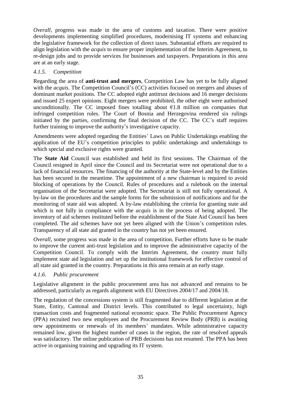*Overall*, progress was made in the area of customs and taxation. There were positive developments implementing simplified procedures, modernising IT systems and enhancing the legislative framework for the collection of direct taxes. Substantial efforts are required to align legislation with the *acquis* to ensure proper implementation of the Interim Agreement, to re-design jobs and to provide services for businesses and taxpayers. Preparations in this area are at an early stage.

### <span id="page-39-0"></span>*4.1.5. Competition*

Regarding the area of **anti-trust and mergers**, Competition Law has yet to be fully aligned with the *acquis*. The Competition Council's (CC) activities focused on mergers and abuses of dominant market positions. The CC adopted eight antitrust decisions and 16 merger decisions and issued 25 expert opinions. Eight mergers were prohibited, the other eight were authorised unconditionally. The CC imposed fines totalling about  $E1.8$  million on companies that infringed competition rules. The Court of Bosnia and Herzegovina rendered six rulings initiated by the parties, confirming the final decision of the CC. The CC's staff requires further training to improve the authority's investigative capacity.

Amendments were adopted regarding the Entities' Laws on Public Undertakings enabling the application of the EU's competition principles to public undertakings and undertakings to which special and exclusive rights were granted.

The **State Aid** Council was established and held its first sessions. The Chairman of the Council resigned in April since the Council and its Secretariat were not operational due to a lack of financial resources. The financing of the authority at the State-level and by the Entities has been secured in the meantime. The appointment of a new chairman is required to avoid blocking of operations by the Council. Rules of procedures and a rulebook on the internal organisation of the Secretariat were adopted. The Secretariat is still not fully operational. A by-law on the procedures and the sample forms for the submission of notifications and for the monitoring of state aid was adopted. A by-law establishing the criteria for granting state aid which is not fully in compliance with the *acquis* is in the process of being adopted. The inventory of aid schemes instituted before the establishment of the State Aid Council has been completed. The aid schemes have not yet been aligned with the Union's competition rules. Transparency of all state aid granted in the country has not yet been ensured.

*Overall*, some progress was made in the area of competition. Further efforts have to be made to improve the current anti-trust legislation and to improve the administrative capacity of the Competition Council. To comply with the Interim Agreement, the country must fully implement state aid legislation and set up the institutional framework for effective control of all state aid granted in the country. Preparations in this area remain at an early stage.

#### <span id="page-39-1"></span>*4.1.6. Public procurement*

Legislative alignment in the public procurement area has not advanced and remains to be addressed, particularly as regards alignment with EU Directives 2004/17 and 2004/18.

The regulation of the concessions system is still fragmented due to different legislation at the State, Entity, Cantonal and District levels. This contributed to legal uncertainty, high transaction costs and fragmented national economic space. The Public Procurement Agency (PPA) recruited two new employees and the Procurement Review Body (PRB) is awaiting new appointments or renewals of its members' mandates. While administrative capacity remained low, given the highest number of cases in the region, the rate of resolved appeals was satisfactory. The online publication of PRB decisions has not resumed. The PPA has been active in organising training and upgrading its IT system.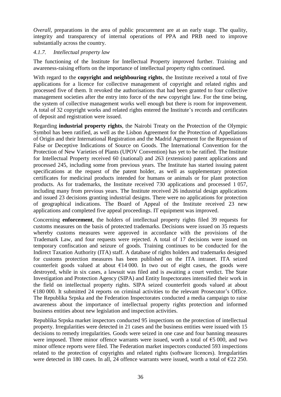*Overall*, preparations in the area of public procurement are at an early stage. The quality, integrity and transparency of internal operations of PPA and PRB need to improve substantially across the country.

### <span id="page-40-0"></span>*4.1.7. Intellectual property law*

The functioning of the Institute for Intellectual Property improved further. Training and awareness-raising efforts on the importance of intellectual property rights continued.

With regard to the **copyright and neighbouring rights**, the Institute received a total of five applications for a licence for collective management of copyright and related rights and processed five of them. It revoked the authorisations that had been granted to four collective management societies after the entry into force of the new copyright law. For the time being, the system of collective management works well enough but there is room for improvement. A total of 32 copyright works and related rights entered the Institute's records and certificates of deposit and registration were issued.

Regarding **industrial property rights**, the Nairobi Treaty on the Protection of the Olympic Symbol has been ratified, as well as the Lisbon Agreement for the Protection of Appellations of Origin and their International Registration and the Madrid Agreement for the Repression of False or Deceptive Indications of Source on Goods. The International Convention for the Protection of New Varieties of Plants (UPOV Convention) has yet to be ratified. The Institute for Intellectual Property received 60 (national) and 263 (extension) patent applications and processed 245, including some from previous years. The Institute has started issuing patent specifications at the request of the patent holder, as well as supplementary protection certificates for medicinal products intended for humans or animals or for plant protection products. As for trademarks, the Institute received 730 applications and processed 1 057, including many from previous years. The Institute received 26 industrial design applications and issued 23 decisions granting industrial designs. There were no applications for protection of geographical indications. The Board of Appeal of the Institute received 23 new applications and completed five appeal proceedings. IT equipment was improved.

Concerning **enforcement**, the holders of intellectual property rights filed 39 requests for customs measures on the basis of protected trademarks. Decisions were issued on 35 requests whereby customs measures were approved in accordance with the provisions of the Trademark Law, and four requests were rejected. A total of 17 decisions were issued on temporary confiscation and seizure of goods. Training continues to be conducted for the Indirect Taxation Authority (ITA) staff. A database of rights holders and trademarks designed for customs protection measures has been published on the ITA intranet. ITA seized counterfeit goods valued at about  $\epsilon$ 14 000. In two out of eight cases, the goods were destroyed, while in six cases, a lawsuit was filed and is awaiting a court verdict. The State Investigation and Protection Agency (SIPA) and Entity Inspectorates intensified their work in the field on intellectual property rights. SIPA seized counterfeit goods valued at about €180 000. It submitted 24 reports on criminal activities to the relevant Prosecutor's Office. The Republika Srpska and the Federation Inspectorates conducted a media campaign to raise awareness about the importance of intellectual property rights protection and informed business entities about new legislation and inspection activities.

Republika Srpska market inspectors conducted 95 inspections on the protection of intellectual property. Irregularities were detected in 21 cases and the business entities were issued with 15 decisions to remedy irregularities. Goods were seized in one case and four banning measures were imposed. Three minor offence warrants were issued, worth a total of  $\epsilon$ 5 000, and two minor offence reports were filed. The Federation market inspectors conducted 593 inspections related to the protection of copyrights and related rights (software licences). Irregularities were detected in 180 cases. In all, 24 offence warrants were issued, worth a total of  $\epsilon$ 22 250.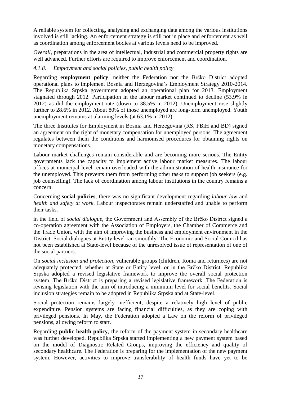A reliable system for collecting, analysing and exchanging data among the various institutions involved is still lacking. An enforcement strategy is still not in place and enforcement as well as coordination among enforcement bodies at various levels need to be improved.

*Overall*, preparations in the area of intellectual, industrial and commercial property rights are well advanced. Further efforts are required to improve enforcement and coordination.

# <span id="page-41-0"></span>*4.1.8. Employment and social policies, public health policy*

Regarding **employment policy**, neither the Federation nor the Brčko District adopted operational plans to implement Bosnia and Herzegovina's Employment Strategy 2010-2014. The Republika Srpska government adopted an operational plan for 2013. Employment stagnated through 2012. Participation in the labour market continued to decline (53.9% in 2012) as did the employment rate (down to 38.5% in 2012). Unemployment rose slightly further to 28.6% in 2012. About 80% of those unemployed are long-term unemployed. Youth unemployment remains at alarming levels (at 63.1% in 2012).

The three Institutes for Employment in Bosnia and Herzegovina (RS, FBiH and BD) signed an agreement on the right of monetary compensation for unemployed persons. The agreement regulates between them the conditions and harmonised procedures for obtaining rights on monetary compensations.

Labour market challenges remain considerable and are becoming more serious. The Entity governments lack the capacity to implement active labour market measures. The labour offices at municipal level remain overloaded with the administration of health insurance for the unemployed. This prevents them from performing other tasks to support job seekers (e.g. job counselling). The lack of coordination among labour institutions in the country remains a concern.

Concerning **social policies**, there was no significant development regarding *labour law* and *health and safety at work*. Labour inspectorates remain understaffed and unable to perform their tasks.

in the field of *social dialogue,* the Government and Assembly of the Brčko District signed a co-operation agreement with the Association of Employers, the Chamber of Commerce and the Trade Union, with the aim of improving the business and employment environment in the District. Social dialogues at Entity level ran smoothly. The Economic and Social Council has not been established at State-level because of the unresolved issue of representation of one of the social partners.

On *social inclusion and protection*, vulnerable groups (children, Roma and returnees) are not adequately protected, whether at State or Entity level, or in the Brčko District. Republika Srpska adopted a revised legislative framework to improve the overall social protection system. The Brčko District is preparing a revised legislative framework. The Federation is revising legislation with the aim of introducing a minimum level for social benefits. Social inclusion strategies remain to be adopted in Republika Srpska and at State-level.

Social protection remains largely inefficient, despite a relatively high level of public expenditure. Pension systems are facing financial difficulties, as they are coping with privileged pensions. In May, the Federation adopted a Law on the reform of privileged pensions, allowing reform to start.

Regarding **public health policy**, the reform of the payment system in secondary healthcare was further developed. Republika Srpska started implementing a new payment system based on the model of Diagnostic Related Groups, improving the efficiency and quality of secondary healthcare. The Federation is preparing for the implementation of the new payment system. However, activities to improve transferability of health funds have yet to be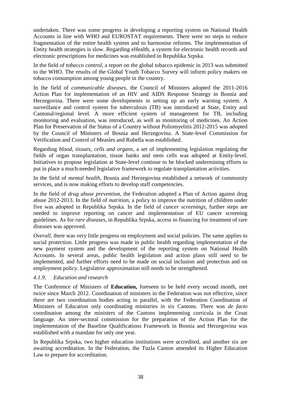undertaken. There was some progress in developing a reporting system on National Health Accounts in line with WHO and EUROSTAT requirements. There were no steps to reduce fragmentation of the entire health system and to harmonise reforms. The implementation of Entity health strategies is slow. Regarding eHealth, a system for electronic health records and electronic prescriptions for medicines was established in Republika Srpska.

In the field of *tobacco control*, a report on the global tobacco epidemic in 2013 was submitted to the WHO. The results of the Global Youth Tobacco Survey will inform policy makers on tobacco consumption among young people in the country.

In the field of *communicable diseases*, the Council of Ministers adopted the 2011-2016 Action Plan for implementation of an HIV and AIDS Response Strategy in Bosnia and Herzegovina. There were some developments in setting up an early warning system. A surveillance and control system for tuberculosis (TB) was introduced at State, Entity and Cantonal/regional level. A more efficient system of management for TB, including monitoring and evaluation, was introduced, as well as monitoring of medicines. An Action Plan for Preservation of the Status of a Country without Poliomyelitis 2012-2015 was adopted by the Council of Ministers of Bosnia and Herzegovina. A State-level Commission for Verification and Control of Measles and Rubella was established.

Regarding *blood, tissues, cells and organs,* a set of implementing legislation regulating the fields of organ transplantation, tissue banks and stem cells was adopted at Entity-level. Initiatives to propose legislation at State-level continue to be blocked undermining efforts to put in place a much-needed legislative framework to regulate transplantation activities.

In the field of *mental health*, Bosnia and Herzegovina established a network of community services, and is now making efforts to develop staff competencies.

In the field of *drug abuse prevention*, the Federation adopted a Plan of Action against drug abuse 2012-2013. In the field of *nutrition*, a policy to improve the nutrition of children under five was adopted in Republika Srpska. In the field of *cancer screenings*, further steps are needed to improve reporting on cancer and implementation of EU cancer screening guidelines. As for *rare diseases*, in Republika Srpska, access to financing for treatment of rare diseases was approved.

*Overall*, there was very little progress on employment and social policies. The same applies to social protection. Little progress was made in public health regarding implementation of the new payment system and the development of the reporting system on National Health Accounts. In several areas, public health legislation and action plans still need to be implemented, and further efforts need to be made on social inclusion and protection and on employment policy. Legislative approximation still needs to be strengthened.

#### <span id="page-42-0"></span>*4.1.9. Education and research*

The Conference of Ministers of **Education,** foreseen to be held every second month, met twice since March 2012. Coordination of ministers in the Federation was not effective, since there are two coordination bodies acting in parallel, with the Federation Coordination of Ministers of Education only coordinating ministries in six Cantons. There was *de facto* coordination among the ministers of the Cantons implementing curricula in the Croat language. An inter-sectoral commission for the preparation of the Action Plan for the implementation of the Baseline Qualifications Framework in Bosnia and Herzegovina was established with a mandate for only one year.

In Republika Srpska, two higher education institutions were accredited, and another six are awaiting accreditation. In the Federation, the Tuzla Canton amended its Higher Education Law to prepare for accreditation.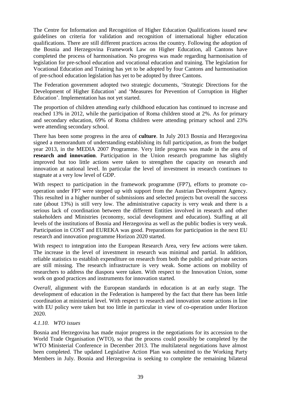The Centre for Information and Recognition of Higher Education Qualifications issued new guidelines on criteria for validation and recognition of international higher education qualifications. There are still different practices across the country. Following the adoption of the Bosnia and Herzegovina Framework Law on Higher Education, all Cantons have completed the process of harmonisation. No progress was made regarding harmonisation of legislation for pre-school education and vocational education and training. The legislation for Vocational Education and Training has yet to be adopted by four Cantons and harmonisation of pre-school education legislation has yet to be adopted by three Cantons.

The Federation government adopted two strategic documents, 'Strategic Directions for the Development of Higher Education' and 'Measures for Prevention of Corruption in Higher Education'. Implementation has not yet started.

The proportion of children attending early childhood education has continued to increase and reached 13% in 2012, while the participation of Roma children stood at 2%. As for primary and secondary education, 69% of Roma children were attending primary school and 23% were attending secondary school.

There has been some progress in the area of **culture**. In July 2013 Bosnia and Herzegovina signed a memorandum of understanding establishing its full participation, as from the budget year 2013, in the MEDIA 2007 Programme. Very little progress was made in the area of **research and innovation**. Participation in the Union research programme has slightly improved but too little actions were taken to strengthen the capacity on research and innovation at national level. In particular the level of investment in research continues to stagnate at a very low level of GDP.

With respect to participation in the framework programme (FP7), efforts to promote cooperation under FP7 were stepped up with support from the Austrian Development Agency. This resulted in a higher number of submissions and selected projects but overall the success rate (about 13%) is still very low. The administrative capacity is very weak and there is a serious lack of coordination between the different Entities involved in research and other stakeholders and Ministries (economy, social development and education). Staffing at all levels of the institutions of Bosnia and Herzegovina as well as the public bodies is very weak. Participation in COST and EUREKA was good. Preparations for participation in the next EU research and innovation programme Horizon 2020 started.

With respect to integration into the European Research Area, very few actions were taken. The increase in the level of investment in research was minimal and partial. In addition, reliable statistics to establish expenditure on research from both the public and private sectors are still missing. The research infrastructure is very weak. Some actions on mobility of researchers to address the diaspora were taken. With respect to the Innovation Union, some work on good practices and instruments for innovation started.

*Overall*, alignment with the European standards in education is at an early stage. The development of education in the Federation is hampered by the fact that there has been little coordination at ministerial level. With respect to research and innovation some actions in line with EU policy were taken but too little in particular in view of co-operation under Horizon 2020.

#### <span id="page-43-0"></span>*4.1.10. WTO issues*

Bosnia and Herzegovina has made major progress in the negotiations for its accession to the World Trade Organisation (WTO), so that the process could possibly be completed by the WTO Ministerial Conference in December 2013. The multilateral negotiations have almost been completed. The updated Legislative Action Plan was submitted to the Working Party Members in July. Bosnia and Herzegovina is seeking to complete the remaining bilateral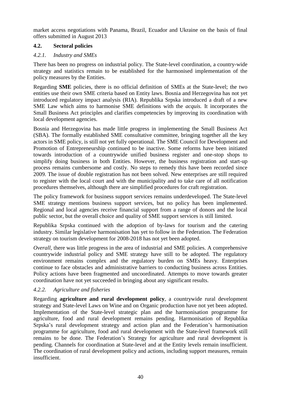market access negotiations with Panama, Brazil, Ecuador and Ukraine on the basis of final offers submitted in August 2013

# <span id="page-44-0"></span>**4.2. Sectoral policies**

# <span id="page-44-1"></span>*4.2.1. Industry and SMEs*

There has been no progress on industrial policy. The State-level coordination, a country-wide strategy and statistics remain to be established for the harmonised implementation of the policy measures by the Entities.

Regarding **SME** policies, there is no official definition of SMEs at the State-level; the two entities use their own SME criteria based on Entity laws. Bosnia and Herzegovina has not yet introduced regulatory impact analysis (RIA). Republika Srpska introduced a draft of a new SME Law which aims to harmonise SME definitions with the *acquis.* It incorporates the Small Business Act principles and clarifies competencies by improving its coordination with local development agencies.

Bosnia and Herzegovina has made little progress in implementing the Small Business Act (SBA). The formally established SME consultative committee, bringing together all the key actors in SME policy, is still not yet fully operational. The SME Council for Development and Promotion of Entrepreneurship continued to be inactive. Some reforms have been initiated towards introduction of a countrywide unified business register and one-stop shops to simplify doing business in both Entities. However, the business registration and start-up process remains cumbersome and costly. No steps to remedy this have been recorded since 2009. The issue of double registration has not been solved. New enterprises are still required to register with the local court and with the municipality and to take care of all notification procedures themselves, although there are simplified procedures for craft registration.

The policy framework for business support services remains underdeveloped. The State-level SME strategy mentions business support services, but no policy has been implemented. Regional and local agencies receive financial support from a range of donors and the local public sector, but the overall choice and quality of SME support services is still limited.

Republika Srpska continued with the adoption of by-laws for tourism and the catering industry. Similar legislative harmonisation has yet to follow in the Federation. The Federation strategy on tourism development for 2008-2018 has not yet been adopted.

*Overall*, there was little progress in the area of industrial and SME policies. A comprehensive countrywide industrial policy and SME strategy have still to be adopted. The regulatory environment remains complex and the regulatory burden on SMEs heavy. Enterprises continue to face obstacles and administrative barriers to conducting business across Entities. Policy actions have been fragmented and uncoordinated. Attempts to move towards greater coordination have not yet succeeded in bringing about any significant results.

# <span id="page-44-2"></span>*4.2.2. Agriculture and fisheries*

Regarding **agriculture and rural development policy**, a countrywide rural development strategy and State-level Laws on Wine and on Organic production have not yet been adopted. Implementation of the State-level strategic plan and the harmonisation programme for agriculture, food and rural development remains pending. Harmonisation of Republika Srpska's rural development strategy and action plan and the Federation's harmonisation programme for agriculture, food and rural development with the State-level framework still remains to be done. The Federation's Strategy for agriculture and rural development is pending. Channels for coordination at State-level and at the Entity levels remain insufficient. The coordination of rural development policy and actions, including support measures, remain insufficient.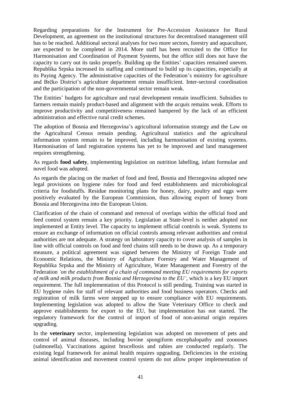Regarding preparations for the Instrument for Pre-Accession Assistance for Rural Development, an agreement on the institutional structures for decentralised management still has to be reached. Additional sectoral analyses for two more sectors, forestry and aquaculture, are expected to be completed in 2014. More staff has been recruited to the Office for Harmonisation and Coordination of Payment Systems, but the office still does not have the capacity to carry out its tasks properly. Building up the Entities' capacities remained uneven. Republika Srpska increased its staffing and continued to build up its capacities, especially at its Paying Agency. The administrative capacities of the Federation's ministry for agriculture and Brčko District's agriculture department remain insufficient. Inter-sectoral coordination and the participation of the non-governmental sector remain weak.

The Entities' budgets for agriculture and rural development remain insufficient. Subsidies to farmers remain mainly product-based and alignment with the *acquis* remains weak. Efforts to improve productivity and competitiveness remained hampered by the lack of an efficient administration and effective rural credit schemes.

The adoption of Bosnia and Herzegovina's agricultural information strategy and the Law on the Agricultural Census remain pending. Agricultural statistics and the agricultural information system remain to be improved, including harmonisation of existing systems. Harmonisation of land registration systems has yet to be improved and land management requires strengthening.

As regards **food safety**, implementing legislation on nutrition labelling, infant formulae and novel food was adopted.

As regards the placing on the market of food and feed, Bosnia and Herzegovina adopted new legal provisions on hygiene rules for food and feed establishments and microbiological criteria for foodstuffs. Residue monitoring plans for honey, dairy, poultry and eggs were positively evaluated by the European Commission, thus allowing export of honey from Bosnia and Herzegovina into the European Union.

Clarification of the chain of command and removal of overlaps within the official food and feed control system remain a key priority. Legislation at State-level is neither adopted nor implemented at Entity level. The capacity to implement official controls is weak. Systems to ensure an exchange of information on official controls among relevant authorities and central authorities are not adequate. A strategy on laboratory capacity to cover analysis of samples in line with official controls on food and feed chains still needs to be drawn up. As a temporary measure, a political agreement was signed between the Ministry of Foreign Trade and Economic Relations, the Ministry of Agriculture Forestry and Water Management of Republika Srpska and the Ministry of Agriculture, Water Management and Forestry of the Federation *'on the establishment of a chain of command meeting EU requirements for exports of milk and milk products from Bosnia and Herzegovina to the EU',* which is a key EU import requirement. The full implementation of this Protocol is still pending. Training was started in EU hygiene rules for staff of relevant authorities and food business operators. Checks and registration of milk farms were stepped up to ensure compliance with EU requirements. Implementing legislation was adopted to allow the State Veterinary Office to check and approve establishments for export to the EU, but implementation has not started. The regulatory framework for the control of import of food of non-animal origin requires upgrading.

In the **veterinary** sector, implementing legislation was adopted on movement of pets and control of animal diseases, including bovine spongiform encephalopathy and zoonoses (salmonella). Vaccinations against brucellosis and rabies are conducted regularly. The existing legal framework for animal health requires upgrading. Deficiencies in the existing animal identification and movement control system do not allow proper implementation of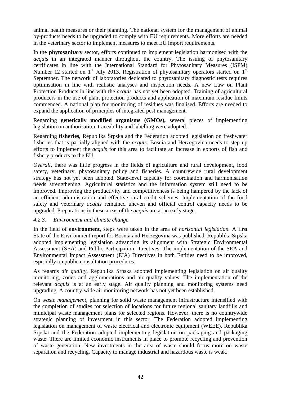animal health measures or their planning. The national system for the management of animal by-products needs to be upgraded to comply with EU requirements. More efforts are needed in the veterinary sector to implement measures to meet EU import requirements.

In the **phytosanitary** sector, efforts continued to implement legislation harmonised with the *acquis* in an integrated manner throughout the country. The issuing of phytosanitary certificates in line with the International Standard for Phytosanitary Measures (ISPM) Number 12 started on  $1<sup>st</sup>$  July 2013. Registration of phytosanitary operators started on  $1<sup>st</sup>$ September. The network of laboratories dedicated to phytosanitary diagnostic tests requires optimisation in line with realistic analyses and inspection needs. A new Law on Plant Protection Products in line with the *acquis* has not yet been adopted. Training of agricultural producers in the use of plant protection products and application of maximum residue limits commenced. A national plan for monitoring of residues was finalised. Efforts are needed to expand the application of principles of integrated pest management.

Regarding **genetically modified organisms (GMOs),** several pieces of implementing legislation on authorisation, traceability and labelling were adopted.

Regarding **fisheries**, Republika Srpska and the Federation adopted legislation on freshwater fisheries that is partially aligned with the *acquis*. Bosnia and Herzegovina needs to step up efforts to implement the *acquis* for this area to facilitate an increase in exports of fish and fishery products to the EU.

*Overall*, there was little progress in the fields of agriculture and rural development, food safety, veterinary, phytosanitary policy and fisheries. A countrywide rural development strategy has not yet been adopted. State-level capacity for coordination and harmonisation needs strengthening. Agricultural statistics and the information system still need to be improved. Improving the productivity and competitiveness is being hampered by the lack of an efficient administration and effective rural credit schemes. Implementation of the food safety and veterinary *acquis* remained uneven and official control capacity needs to be upgraded. Preparations in these areas of the *acquis* are at an early stage.

#### <span id="page-46-0"></span>*4.2.3. Environment and climate change*

In the field of **environment**, steps were taken in the area of *horizontal legislation.* A first State of the Environment report for Bosnia and Herzegovina was published. Republika Srpska adopted implementing legislation advancing its alignment with Strategic Environmental Assessment (SEA) and Public Participation Directives. The implementation of the SEA and Environmental Impact Assessment (EIA) Directives in both Entities need to be improved, especially on public consultation procedures.

As regards *air quality*, Republika Srpska adopted implementing legislation on air quality monitoring, zones and agglomerations and air quality values. The implementation of the relevant *acquis* is at an early stage. Air quality planning and monitoring systems need upgrading. A country-wide air monitoring network has not yet been established.

On *waste management*, planning for solid waste management infrastructure intensified with the completion of studies for selection of locations for future regional sanitary landfills and municipal waste management plans for selected regions. However, there is no countrywide strategic planning of investment in this sector. The Federation adopted implementing legislation on management of waste electrical and electronic equipment (WEEE). Republika Srpska and the Federation adopted implementing legislation on packaging and packaging waste. There are limited economic instruments in place to promote recycling and prevention of waste generation. New investments in the area of waste should focus more on waste separation and recycling. Capacity to manage industrial and hazardous waste is weak.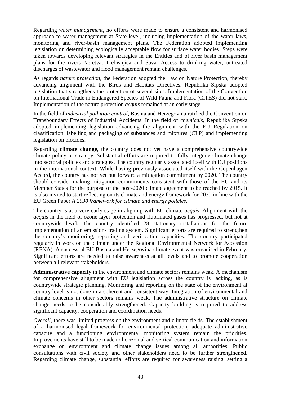Regarding *water management*, no efforts were made to ensure a consistent and harmonised approach to water management at State-level, including implementation of the water laws, monitoring and river-basin management plans. The Federation adopted implementing legislation on determining ecologically acceptable flow for surface water bodies. Steps were taken towards developing relevant strategies in the Entities and of river basin management plans for the rivers Neretva, Trebisnjica and Sava. Access to drinking water, untreated discharges of wastewater and flood management remain challenges.

As regards *nature protection*, the Federation adopted the Law on Nature Protection, thereby advancing alignment with the Birds and Habitats Directives. Republika Srpska adopted legislation that strengthens the protection of several sites. Implementation of the Convention on International Trade in Endangered Species of Wild Fauna and Flora (CITES) did not start. Implementation of the nature protection *acquis* remained at an early stage.

In the field of *industrial pollution control*, Bosnia and Herzegovina ratified the Convention on Transboundary Effects of Industrial Accidents. In the field of *chemicals*, Republika Srpska adopted implementing legislation advancing the alignment with the EU Regulation on classification, labelling and packaging of substances and mixtures (CLP) and implementing legislation on biocides.

Regarding **climate change**, the country does not yet have a comprehensive countrywide climate policy or strategy. Substantial efforts are required to fully integrate climate change into sectoral policies and strategies. The country regularly associated itself with EU positions in the international context. While having previously associated itself with the Copenhagen Accord, the country has not yet put forward a mitigation commitment by 2020. The country should consider making mitigation commitments consistent with those of the EU and its Member States for the purpose of the post-2020 climate agreement to be reached by 2015. It is also invited to start reflecting on its climate and energy framework for 2030 in line with the EU Green Paper *A 2030 framework for climate and energy policies*.

The country is at a very early stage in aligning with EU climate *acquis*. Alignment with the *acquis* in the field of ozone layer protection and fluorinated gases has progressed, but not at countrywide level. The country identified 28 stationary installations for the future implementation of an emissions trading system. Significant efforts are required to strengthen the country's monitoring, reporting and verification capacities. The country participated regularly in work on the climate under the Regional Environmental Network for Accession (RENA). A successful EU-Bosnia and Herzegovina climate event was organised in February. Significant efforts are needed to raise awareness at all levels and to promote cooperation between all relevant stakeholders.

**Administrative capacity** in the environment and climate sectors remains weak. A mechanism for comprehensive alignment with EU legislation across the country is lacking, as is countrywide strategic planning. Monitoring and reporting on the state of the environment at country level is not done in a coherent and consistent way. Integration of environmental and climate concerns in other sectors remains weak. The administrative structure on climate change needs to be considerably strengthened. Capacity building is required to address significant capacity, cooperation and coordination needs.

*Overall*, there was limited progress on the environment and climate fields. The establishment of a harmonised legal framework for environmental protection, adequate administrative capacity and a functioning environmental monitoring system remain the priorities. Improvements have still to be made to horizontal and vertical communication and information exchange on environment and climate change issues among all authorities. Public consultations with civil society and other stakeholders need to be further strengthened. Regarding climate change, substantial efforts are required for awareness raising, setting a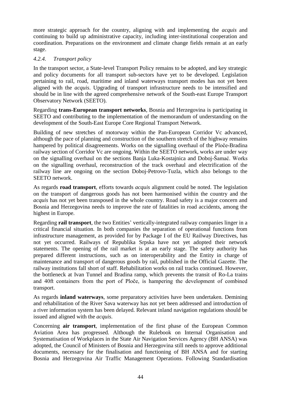more strategic approach for the country, aligning with and implementing the *acquis* and continuing to build up administrative capacity, including inter-institutional cooperation and coordination. Preparations on the environment and climate change fields remain at an early stage.

### <span id="page-48-0"></span>*4.2.4. Transport policy*

In the transport sector, a State-level Transport Policy remains to be adopted, and key strategic and policy documents for all transport sub-sectors have yet to be developed. Legislation pertaining to rail, road, maritime and inland waterways transport modes has not yet been aligned with the *acquis*. Upgrading of transport infrastructure needs to be intensified and should be in line with the agreed comprehensive network of the South-east Europe Transport Observatory Network (SEETO).

Regarding **trans-European transport networks**, Bosnia and Herzegovina is participating in SEETO and contributing to the implementation of the memorandum of understanding on the development of the South-East Europe Core Regional Transport Network.

Building of new stretches of motorway within the Pan-European Corridor Vc advanced, although the pace of planning and construction of the southern stretch of the highway remains hampered by political disagreements. Works on the signalling overhaul of the Ploče-Bradina railway section of Corridor Vc are ongoing. Within the SEETO network, works are under way on the signalling overhaul on the sections Banja Luka-Kostajnica and Doboj-Šamać. Works on the signalling overhaul, reconstruction of the track overhaul and electrification of the railway line are ongoing on the section Doboj-Petrovo-Tuzla, which also belongs to the SEETO network.

As regards **road transport**, efforts towards *acquis* alignment could be noted. The legislation on the transport of dangerous goods has not been harmonised within the country and the *acquis* has not yet been transposed in the whole country. Road safety is a major concern and Bosnia and Herzegovina needs to improve the rate of fatalities in road accidents, among the highest in Europe.

Regarding **rail transport**, the two Entities' vertically-integrated railway companies linger in a critical financial situation. In both companies the separation of operational functions from infrastructure management, as provided for by Package I of the EU Railway Directives, has not yet occurred. Railways of Republika Srpska have not yet adopted their network statements. The opening of the rail market is at an early stage. The safety authority has prepared different instructions, such as on interoperability and the Entity in charge of maintenance and transport of dangerous goods by rail, published in the Official Gazette. The railway institutions fall short of staff. Rehabilitation works on rail tracks continued. However, the bottleneck at Ivan Tunnel and Bradina ramp, which prevents the transit of Ro-La trains and 40ft containers from the port of Ploče, is hampering the development of combined transport.

As regards **inland waterways**, some preparatory activities have been undertaken. Demining and rehabilitation of the River Sava waterway has not yet been addressed and introduction of a river information system has been delayed. Relevant inland navigation regulations should be issued and aligned with the *acquis*.

Concerning **air transport**, implementation of the first phase of the European Common Aviation Area has progressed. Although the Rulebook on Internal Organisation and Systematisation of Workplaces in the State Air Navigation Services Agency (BH ANSA) was adopted, the Council of Ministers of Bosnia and Herzegovina still needs to approve additional documents, necessary for the finalisation and functioning of BH ANSA and for starting Bosnia and Herzegovina Air Traffic Management Operations. Following Standardisation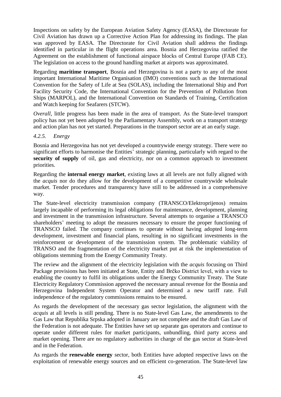Inspections on safety by the European Aviation Safety Agency (EASA), the Directorate for Civil Aviation has drawn up a Corrective Action Plan for addressing its findings. The plan was approved by EASA. The Directorate for Civil Aviation shall address the findings identified in particular in the flight operations area. Bosnia and Herzegovina ratified the Agreement on the establishment of functional airspace blocks of Central Europe (FAB CE). The legislation on access to the ground handling market at airports was approximated.

Regarding **maritime transport**, Bosnia and Herzegovina is not a party to any of the most important International Maritime Organisation (IMO) conventions such as the International Convention for the Safety of Life at Sea (SOLAS), including the International Ship and Port Facility Security Code, the International Convention for the Prevention of Pollution from Ships (MARPOL), and the International Convention on Standards of Training, Certification and Watch keeping for Seafarers (STCW).

*Overall*, little progress has been made in the area of transport. As the State-level transport policy has not yet been adopted by the Parliamentary Assembly, work on a transport strategy and action plan has not yet started. Preparations in the transport sector are at an early stage.

#### <span id="page-49-0"></span>*4.2.5. Energy*

Bosnia and Herzegovina has not yet developed a countrywide energy strategy. There were no significant efforts to harmonise the Entities' strategic planning, particularly with regard to the **security of supply** of oil, gas and electricity, nor on a common approach to investment priorities.

Regarding the **internal energy market**, existing laws at all levels are not fully aligned with the *acquis* nor do they allow for the development of a competitive countrywide wholesale market. Tender procedures and transparency have still to be addressed in a comprehensive way.

The State-level electricity transmission company (TRANSCO/Elektroprijenos) remains largely incapable of performing its legal obligations for maintenance, development, planning and investment in the transmission infrastructure. Several attempts to organise a TRANSCO shareholders' meeting to adopt the measures necessary to ensure the proper functioning of TRANSCO failed. The company continues to operate without having adopted long-term development, investment and financial plans, resulting in no significant investments in the reinforcement or development of the transmission system. The problematic viability of TRANSO and the fragmentation of the electricity market put at risk the implementation of obligations stemming from the Energy Community Treaty.

The review and the alignment of the electricity legislation with the *acquis* focusing on Third Package provisions has been initiated at State, Entity and Brčko District level, with a view to enabling the country to fulfil its obligations under the Energy Community Treaty. The State Electricity Regulatory Commission approved the necessary annual revenue for the Bosnia and Herzegovina Independent System Operator and determined a new tariff rate. Full independence of the regulatory commissions remains to be ensured.

As regards the development of the necessary gas sector legislation, the alignment with the *acquis* at all levels is still pending. There is no State-level Gas Law, the amendments to the Gas Law that Republika Srpska adopted in January are not complete and the draft Gas Law of the Federation is not adequate. The Entities have set up separate gas operators and continue to operate under different rules for market participants, unbundling, third party access and market opening. There are no regulatory authorities in charge of the gas sector at State-level and in the Federation.

As regards the **renewable energy** sector, both Entities have adopted respective laws on the exploitation of renewable energy sources and on efficient co-generation. The State-level law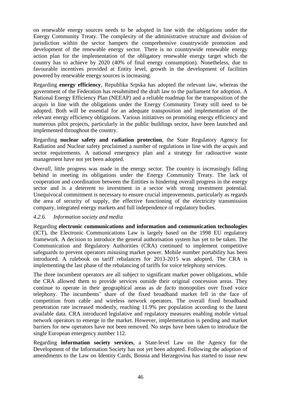on renewable energy sources needs to be adopted in line with the obligations under the Energy Community Treaty. The complexity of the administrative structure and division of jurisdiction within the sector hampers the comprehensive countrywide promotion and development of the renewable energy sector. There is no countrywide renewable energy action plan for the implementation of the obligatory renewable energy target which the country has to achieve by 2020 (40% of final energy consumption). Nonetheless, due to favourable incentives provided at Entity level, growth in the development of facilities powered by renewable energy sources is increasing.

Regarding **energy efficiency**, Republika Srpska has adopted the relevant law, whereas the government of the Federation has resubmitted the draft law to the parliament for adoption. A National Energy Efficiency Plan (NEEAP) and a reliable roadmap for the transposition of the *acquis* in line with the obligations under the Energy Community Treaty still need to be adopted. Both will be essential for an adequate transposition and implementation of the relevant energy efficiency obligations. Various initiatives on promoting energy efficiency and numerous pilot projects, particularly in the public buildings sector, have been launched and implemented throughout the country.

Regarding **nuclear safety and radiation protection**, the State Regulatory Agency for Radiation and Nuclear safety proclaimed a number of regulations in line with the *acquis* and sector requirements. A national emergency plan and a strategy for radioactive waste management have not yet been adopted.

*Overall*, little progress was made in the energy sector. The country is increasingly falling behind in meeting its obligations under the Energy Community Treaty. The lack of cooperation and coordination between the Entities is hindering overall progress in the energy sector and is a deterrent to investment in a sector with strong investment potential. Unequivocal commitment is necessary to ensure crucial improvements, particularly as regards the area of security of supply, the effective functioning of the electricity transmission company, integrated energy markets and full independence of regulatory bodies.

#### <span id="page-50-0"></span>*4.2.6. Information society and media*

Regarding **electronic communications and information and communication technologies**  (ICT), the Electronic Communications Law is largely based on the 1998 EU regulatory framework. A decision to introduce the general authorisation system has yet to be taken. The Communication and Regulatory Authorities (CRA) continued to implement competitive safeguards to prevent operators misusing market power. Mobile number portability has been introduced. A rulebook on tariff rebalances for 2013-2015 was adopted. The CRA is implementing the last phase of the rebalancing of tariffs for voice telephony services.

The three incumbent operators are all subject to significant market power obligations, while the CRA allowed them to provide services outside their original concession areas. They continue to operate in their geographical areas as *de facto* monopolies over fixed voice telephony. The incumbents' share of the fixed broadband market fell in the face of competition from cable and wireless network operators. The overall fixed broadband penetration rate increased modestly, reaching 11.9% per population according to the latest available data. CRA introduced legislative and regulatory measures enabling mobile virtual network operators to emerge in the market. However, implementation is pending and market barriers for new operators have not been removed. No steps have been taken to introduce the single European emergency number 112.

Regarding **information society services**, a State-level Law on the Agency for the Development of the Information Society has not yet been adopted. Following the adoption of amendments to the Law on Identity Cards, Bosnia and Herzegovina has started to issue new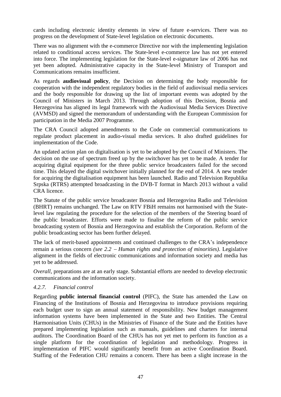cards including electronic identity elements in view of future e-services. There was no progress on the development of State-level legislation on electronic documents.

There was no alignment with the e-commerce Directive nor with the implementing legislation related to conditional access services. The State-level e-commerce law has not yet entered into force. The implementing legislation for the State-level e-signature law of 2006 has not yet been adopted. Administrative capacity in the State-level Ministry of Transport and Communications remains insufficient.

As regards **audiovisual policy**, the Decision on determining the body responsible for cooperation with the independent regulatory bodies in the field of audiovisual media services and the body responsible for drawing up the list of important events was adopted by the Council of Ministers in March 2013. Through adoption of this Decision, Bosnia and Herzegovina has aligned its legal framework with the Audiovisual Media Services Directive (AVMSD) and signed the memorandum of understanding with the European Commission for participation in the Media 2007 Programme.

The CRA Council adopted amendments to the Code on commercial communications to regulate product placement in audio-visual media services. It also drafted guidelines for implementation of the Code.

An updated action plan on digitalisation is yet to be adopted by the Council of Ministers. The decision on the use of spectrum freed up by the switchover has yet to be made. A tender for acquiring digital equipment for the three public service broadcasters failed for the second time. This delayed the digital switchover initially planned for the end of 2014. A new tender for acquiring the digitalisation equipment has been launched. Radio and Television Republika Srpska (RTRS) attempted broadcasting in the DVB-T format in March 2013 without a valid CRA licence.

The Statute of the public service broadcaster Bosnia and Herzegovina Radio and Television (BHRT) remains unchanged. The Law on RTV FBiH remains not harmonised with the Statelevel law regulating the procedure for the selection of the members of the Steering board of the public broadcaster. Efforts were made to finalise the reform of the public service broadcasting system of Bosnia and Herzegovina and establish the Corporation. Reform of the public broadcasting sector has been further delayed.

The lack of merit-based appointments and continued challenges to the CRA's independence remain a serious concern *(see 2.2 Human rights and protection of minorities)*. Legislative alignment in the fields of electronic communications and information society and media has yet to be addressed.

*Overall*, preparations are at an early stage. Substantial efforts are needed to develop electronic communications and the information society.

#### <span id="page-51-0"></span>*4.2.7. Financial control*

Regarding **public internal financial control** (PIFC), the State has amended the Law on Financing of the Institutions of Bosnia and Herzegovina to introduce provisions requiring each budget user to sign an annual statement of responsibility. New budget management information systems have been implemented in the State and two Entities. The Central Harmonisation Units (CHUs) in the Ministries of Finance of the State and the Entities have prepared implementing legislation such as manuals, guidelines and charters for internal auditors. The Coordination Board of the CHUs has not yet met to perform its function as a single platform for the coordination of legislation and methodology. Progress in implementation of PIFC would significantly benefit from an active Coordination Board. Staffing of the Federation CHU remains a concern. There has been a slight increase in the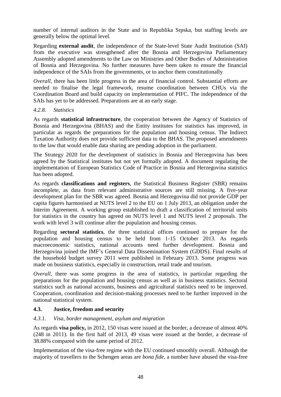number of internal auditors in the State and in Republika Srpska, but staffing levels are generally below the optimal level.

Regarding **external audit**, the independence of the State-level State Audit Institution (SAI) from the executive was strengthened after the Bosnia and Herzegovina Parliamentary Assembly adopted amendments to the Law on Ministries and Other Bodies of Administration of Bosnia and Herzegovina. No further measures have been taken to ensure the financial independence of the SAIs from the governments, or to anchor them constitutionally

*Overall*, there has been little progress in the area of financial control. Substantial efforts are needed to finalise the legal framework, resume coordination between CHUs via the Coordination Board and build capacity on implementation of PIFC. The independence of the SAIs has yet to be addressed. Preparations are at an early stage.

#### <span id="page-52-0"></span>*4.2.8. Statistics*

As regards **statistical infrastructure**, the cooperation between the Agency of Statistics of Bosnia and Herzegovina (BHAS) and the Entity institutes for statistics has improved, in particular as regards the preparations for the population and housing census. The Indirect Taxation Authority does not provide sufficient data to the BHAS. The proposed amendments to the law that would enable data sharing are pending adoption in the parliament.

The Strategy 2020 for the development of statistics in Bosnia and Herzegovina has been agreed by the Statistical institutes but not yet formally adopted. A document regulating the implementation of European Statistics Code of Practice in Bosnia and Herzegovina statistics has been adopted.

As regards **classifications and registers**, the Statistical Business Register (SBR) remains incomplete, as data from relevant administrative sources are still missing. A five-year development plan for the SBR was agreed. Bosnia and Herzegovina did not provide GDP per capita figures harmonised at NUTS level 2 to the EU on 1 July 2013, an obligation under the Interim Agreement. A working group established to draft a classification of territorial units for statistics in the country has agreed on NUTS level 1 and NUTS level 2 proposals. The work with level 3 will continue after the population and housing census.

Regarding **sectoral statistics**, the three statistical offices continued to prepare for the population and housing census to be held from 1-15 October 2013. As regards macroeconomic statistics, national accounts need further development. Bosnia and Herzegovina joined the IMF's General Data Dissemination System (GDDS). Final results of the household budget survey 2011 were published in February 2013. Some progress was made on business statistics, especially in construction, retail trade and tourism.

*Overall*, there was some progress in the area of statistics, in particular regarding the preparations for the population and housing census as well as in business statistics. Sectoral statistics such as national accounts, business and agricultural statistics need to be improved. Cooperation, coordination and decision-making processes need to be further improved in the national statistical system.

#### <span id="page-52-1"></span>**4.3. Justice, freedom and security**

#### <span id="page-52-2"></span>*4.3.1. Visa, border management, asylum and migration*

As regards **visa policy,** in 2012, 150 visas were issued at the border, a decrease of almost 40% (248 in 2011). In the first half of 2013, 49 visas were issued at the border, a decrease of 38.88% compared with the same period of 2012.

Implementation of the visa-free regime with the EU continued smoothly overall. Although the majority of travellers to the Schengen areas are *bona fide*, a number have abused the visa-free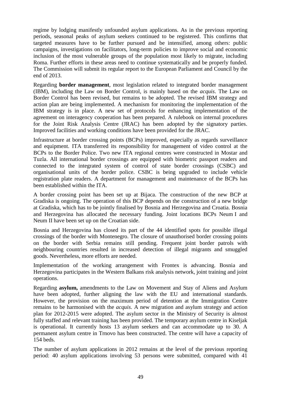regime by lodging manifestly unfounded asylum applications. As in the previous reporting periods, seasonal peaks of asylum seekers continued to be registered. This confirms that targeted measures have to be further pursued and be intensified, among others: public campaigns, investigations on facilitators, long-term policies to improve social and economic inclusion of the most vulnerable groups of the population most likely to migrate, including Roma. Further efforts in these areas need to continue systematically and be properly funded. The Commission will submit its regular report to the European Parliament and Council by the end of 2013.

Regarding **border management**, most legislation related to integrated border management (IBM), including the Law on Border Control, is mainly based on the *acquis*. The Law on Border Control has been revised, but remains to be adopted. The revised IBM strategy and action plan are being implemented. A mechanism for monitoring the implementation of the IBM strategy is in place. A new set of protocols for enhancing implementation of the agreement on interagency cooperation has been prepared. A rulebook on internal procedures for the Joint Risk Analysis Centre (JRAC) has been adopted by the signatory parties. Improved facilities and working conditions have been provided for the JRAC.

Infrastructure at border crossing points (BCPs) improved, especially as regards surveillance and equipment. ITA transferred its responsibility for management of video control at the BCPs to the Border Police. Two new ITA regional centres were constructed in Mostar and Tuzla. All international border crossings are equipped with biometric passport readers and connected to the integrated system of control of state border crossings (CSBC) and organisational units of the border police. CSBC is being upgraded to include vehicle registration plate readers. A department for management and maintenance of the BCPs has been established within the ITA.

A border crossing point has been set up at Bijaca. The construction of the new BCP at Gradiska is ongoing. The operation of this BCP depends on the construction of a new bridge at Gradiska, which has to be jointly finalised by Bosnia and Herzegovina and Croatia. Bosnia and Herzegovina has allocated the necessary funding. Joint locations BCPs Neum I and Neum II have been set up on the Croatian side.

Bosnia and Herzegovina has closed its part of the 44 identified spots for possible illegal crossings of the border with Montenegro. The closure of unauthorised border crossing points on the border with Serbia remains still pending. Frequent joint border patrols with neighbouring countries resulted in increased detection of illegal migrants and smuggled goods. Nevertheless, more efforts are needed.

Implementation of the working arrangement with Frontex is advancing. Bosnia and Herzegovina participates in the Western Balkans risk analysis network, joint training and joint operations.

Regarding **asylum,** amendments to the Law on Movement and Stay of Aliens and Asylum have been adopted, further aligning the law with the EU and international standards. However, the provision on the maximum period of detention at the Immigration Centre remains to be harmonised with the *acquis*. A new migration and asylum strategy and action plan for 2012-2015 were adopted. The asylum sector in the Ministry of Security is almost fully staffed and relevant training has been provided. The temporary asylum centre in Kiseljak is operational. It currently hosts 13 asylum seekers and can accommodate up to 30. A permanent asylum centre in Trnovo has been constructed. The centre will have a capacity of 154 beds.

The number of asylum applications in 2012 remains at the level of the previous reporting period: 40 asylum applications involving 53 persons were submitted, compared with 41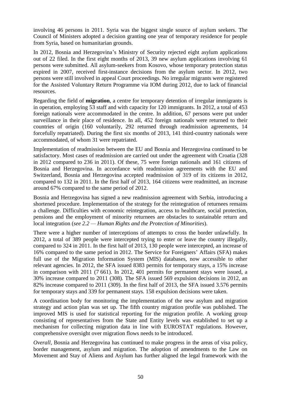involving 46 persons in 2011. Syria was the biggest single source of asylum seekers. The Council of Ministers adopted a decision granting one year of temporary residence for people from Syria, based on humanitarian grounds.

In 2012, Bosnia and Herzegovina's Ministry of Security rejected eight asylum applications out of 22 filed. In the first eight months of 2013, 39 new asylum applications involving 61 persons were submitted. All asylum-seekers from Kosovo, whose temporary protection status expired in 2007, received first-instance decisions from the asylum sector. In 2012, two persons were still involved in appeal Court proceedings. No irregular migrants were registered for the Assisted Voluntary Return Programme via IOM during 2012, due to lack of financial resources.

Regarding the field of **migration**, a centre for temporary detention of irregular immigrants is in operation, employing 53 staff and with capacity for 120 immigrants. In 2012, a total of 453 foreign nationals were accommodated in the centre. In addition, 67 persons were put under surveillance in their place of residence. In all, 452 foreign nationals were returned to their countries of origin (160 voluntarily, 292 returned through readmission agreements, 14 forcefully repatriated). During the first six months of 2013, 141 third-country nationals were accommodated, of whom 31 were repatriated.

Implementation of readmission between the EU and Bosnia and Herzegovina continued to be satisfactory. Most cases of readmission are carried out under the agreement with Croatia (328 in 2012 compared to 236 in 2011). Of these, 75 were foreign nationals and 161 citizens of Bosnia and Herzegovina. In accordance with readmission agreements with the EU and Switzerland, Bosnia and Herzegovina accepted readmission of 319 of its citizens in 2012, compared to 132 in 2011. In the first half of 2013, 164 citizens were readmitted, an increase around 67% compared to the same period of 2012.

Bosnia and Herzegovina has signed a new readmission agreement with Serbia, introducing a shortened procedure. Implementation of the strategy for the reintegration of returnees remains a challenge. Difficulties with economic reintegration, access to healthcare, social protection, pensions and the employment of minority returnees are obstacles to sustainable return and local integration (*see 2.2 — Human Rights and the Protection of Minorities*).

There were a higher number of interceptions of attempts to cross the border unlawfully. In 2012, a total of 389 people were intercepted trying to enter or leave the country illegally, compared to 324 in 2011. In the first half of 2013, 130 people were intercepted, an increase of 16% compared to the same period in 2012. The Service for Foreigners' Affairs (SFA) makes full use of the Migration Information System (MIS) databases, now accessible to other relevant agencies. In 2012, the SFA issued 8383 permits for temporary stays, a 15% increase in comparison with 2011 (7 661). In 2012, 401 permits for permanent stays were issued, a 30% increase compared to 2011 (308). The SFA issued 569 expulsion decisions in 2012, an 82% increase compared to 2011 (309). In the first half of 2013, the SFA issued 3.576 permits for temporary stays and 339 for permanent stays. 158 expulsion decisions were taken.

A coordination body for monitoring the implementation of the new asylum and migration strategy and action plan was set up. The fifth country migration profile was published. The improved MIS is used for statistical reporting for the migration profile. A working group consisting of representatives from the State and Entity levels was established to set up a mechanism for collecting migration data in line with EUROSTAT regulations. However, comprehensive oversight over migration flows needs to be introduced.

*Overall*, Bosnia and Herzegovina has continued to make progress in the areas of visa policy, border management, asylum and migration. The adoption of amendments to the Law on Movement and Stay of Aliens and Asylum has further aligned the legal framework with the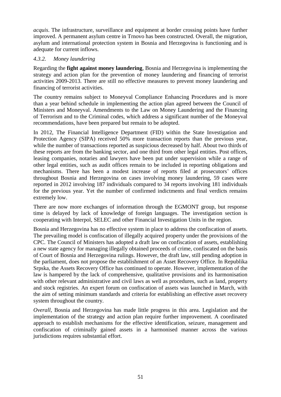*acquis*. The infrastructure, surveillance and equipment at border crossing points have further improved. A permanent asylum centre in Trnovo has been constructed. Overall, the migration, asylum and international protection system in Bosnia and Herzegovina is functioning and is adequate for current inflows.

# <span id="page-55-0"></span>*4.3.2. Money laundering*

Regarding the **fight against money laundering**, Bosnia and Herzegovina is implementing the strategy and action plan for the prevention of money laundering and financing of terrorist activities 2009-2013. There are still no effective measures to prevent money laundering and financing of terrorist activities.

The country remains subject to Moneyval Compliance Enhancing Procedures and is more than a year behind schedule in implementing the action plan agreed between the Council of Ministers and Moneyval. Amendments to the Law on Money Laundering and the Financing of Terrorism and to the Criminal codes, which address a significant number of the Moneyval recommendations, have been prepared but remain to be adopted.

In 2012, The Financial Intelligence Department (FID) within the State Investigation and Protection Agency (SIPA) received 50% more transaction reports than the previous year, while the number of transactions reported as suspicious decreased by half. About two thirds of these reports are from the banking sector, and one third from other legal entities. Post offices, leasing companies, notaries and lawyers have been put under supervision while a range of other legal entities, such as audit offices remain to be included in reporting obligations and mechanisms. There has been a modest increase of reports filed at prosecutors' offices throughout Bosnia and Herzegovina on cases involving money laundering, 59 cases were reported in 2012 involving 187 individuals compared to 34 reports involving 181 individuals for the previous year. Yet the number of confirmed indictments and final verdicts remains extremely low.

There are now more exchanges of information through the EGMONT group, but response time is delayed by lack of knowledge of foreign languages. The investigation section is cooperating with Interpol, SELEC and other Financial Investigation Units in the region.

Bosnia and Herzegovina has no effective system in place to address the confiscation of assets. The prevailing model is confiscation of illegally acquired property under the provisions of the CPC. The Council of Ministers has adopted a draft law on confiscation of assets, establishing a new state agency for managing illegally obtained proceeds of crime, confiscated on the basis of Court of Bosnia and Herzegovina rulings. However, the draft law, still pending adoption in the parliament, does not propose the establishment of an Asset Recovery Office. In Republika Srpska, the Assets Recovery Office has continued to operate. However, implementation of the law is hampered by the lack of comprehensive, qualitative provisions and its harmonisation with other relevant administrative and civil laws as well as procedures, such as land, property and stock registries. An expert forum on confiscation of assets was launched in March, with the aim of setting minimum standards and criteria for establishing an effective asset recovery system throughout the country.

*Overall*, Bosnia and Herzegovina has made little progress in this area. Legislation and the implementation of the strategy and action plan require further improvement. A coordinated approach to establish mechanisms for the effective identification, seizure, management and confiscation of criminally gained assets in a harmonised manner across the various jurisdictions requires substantial effort.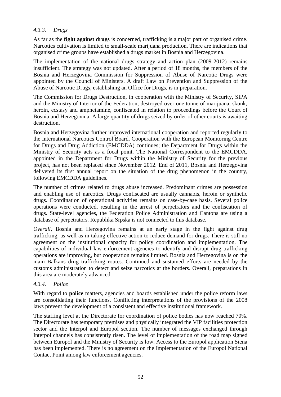### <span id="page-56-0"></span>*4.3.3. Drugs*

As far as the **fight against drugs** is concerned, trafficking is a major part of organised crime. Narcotics cultivation is limited to small-scale marijuana production. There are indications that organised crime groups have established a drugs market in Bosnia and Herzegovina.

The implementation of the national drugs strategy and action plan (2009-2012) remains insufficient. The strategy was not updated. After a period of 18 months, the members of the Bosnia and Herzegovina Commission for Suppression of Abuse of Narcotic Drugs were appointed by the Council of Ministers. A draft Law on Prevention and Suppression of the Abuse of Narcotic Drugs, establishing an Office for Drugs, is in preparation.

The Commission for Drugs Destruction, in cooperation with the Ministry of Security, SIPA and the Ministry of Interior of the Federation, destroyed over one tonne of marijuana, skunk, heroin, ecstasy and amphetamine, confiscated in relation to proceedings before the Court of Bosnia and Herzegovina. A large quantity of drugs seized by order of other courts is awaiting destruction.

Bosnia and Herzegovina further improved international cooperation and reported regularly to the International Narcotics Control Board. Cooperation with the European Monitoring Centre for Drugs and Drug Addiction (EMCDDA) continues; the Department for Drugs within the Ministry of Security acts as a focal point. The National Correspondent to the EMCDDA, appointed in the Department for Drugs within the Ministry of Security for the previous project, has not been replaced since November 2012. End of 2011, Bosnia and Herzegovina delivered its first annual report on the situation of the drug phenomenon in the country, following EMCDDA guidelines.

The number of crimes related to drugs abuse increased. Predominant crimes are possession and enabling use of narcotics. Drugs confiscated are usually cannabis, heroin or synthetic drugs. Coordination of operational activities remains on case-by-case basis. Several police operations were conducted, resulting in the arrest of perpetrators and the confiscation of drugs. State-level agencies, the Federation Police Administration and Cantons are using a database of perpetrators. Republika Srpska is not connected to this database.

*Overall*, Bosnia and Herzegovina remains at an early stage in the fight against drug trafficking, as well as in taking effective action to reduce demand for drugs. There is still no agreement on the institutional capacity for policy coordination and implementation. The capabilities of individual law enforcement agencies to identify and disrupt drug trafficking operations are improving, but cooperation remains limited. Bosnia and Herzegovina is on the main Balkans drug trafficking routes. Continued and sustained efforts are needed by the customs administration to detect and seize narcotics at the borders. Overall, preparations in this area are moderately advanced.

#### <span id="page-56-1"></span>*4.3.4. Police*

With regard to **police** matters, agencies and boards established under the police reform laws are consolidating their functions. Conflicting interpretations of the provisions of the 2008 laws prevent the development of a consistent and effective institutional framework.

The staffing level at the Directorate for coordination of police bodies has now reached 70%. The Directorate has temporary premises and physically integrated the VIP facilities protection sector and the Interpol and Europol section. The number of messages exchanged through Interpol channels has consistently risen. The level of implementation of the road map signed between Europol and the Ministry of Security is low. Access to the Europol application Siena has been implemented. There is no agreement on the Implementation of the Europol National Contact Point among law enforcement agencies.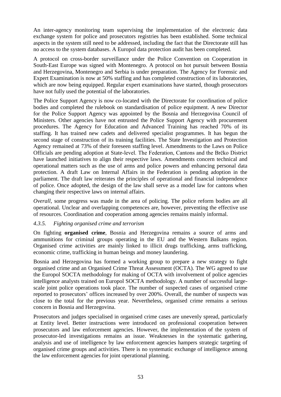An inter-agency monitoring team supervising the implementation of the electronic data exchange system for police and prosecutors registries has been established. Some technical aspects in the system still need to be addressed, including the fact that the Directorate still has no access to the system databases. A Europol data protection audit has been completed.

A protocol on cross-border surveillance under the Police Convention on Cooperation in South-East Europe was signed with Montenegro. A protocol on hot pursuit between Bosnia and Herzegovina, Montenegro and Serbia is under preparation. The Agency for Forensic and Expert Examination is now at 50% staffing and has completed construction of its laboratories, which are now being equipped. Regular expert examinations have started, though prosecutors have not fully used the potential of the laboratories.

The Police Support Agency is now co-located with the Directorate for coordination of police bodies and completed the rulebook on standardisation of police equipment. A new Director for the Police Support Agency was appointed by the Bosnia and Herzegovina Council of Ministers. Other agencies have not entrusted the Police Support Agency with procurement procedures. The Agency for Education and Advanced Training has reached 70% of its staffing. It has trained new cadets and delivered specialist programmes. It has begun the second stage of construction of its training facilities. The State Investigation and Protection Agency remained at 73% of their foreseen staffing level. Amendments to the Laws on Police Officials are pending adoption at State-level. The Federation, Cantons and the Brčko District have launched initiatives to align their respective laws. Amendments concern technical and operational matters such as the use of arms and police powers and enhancing personal data protection. A draft Law on Internal Affairs in the Federation is pending adoption in the parliament. The draft law reiterates the principles of operational and financial independence of police. Once adopted, the design of the law shall serve as a model law for cantons when changing their respective laws on internal affairs.

*Overall*, some progress was made in the area of policing. The police reform bodies are all operational. Unclear and overlapping competences are, however, preventing the effective use of resources. Coordination and cooperation among agencies remains mainly informal.

#### <span id="page-57-0"></span>*4.3.5. Fighting organised crime and terrorism*

On fighting **organised crime**, Bosnia and Herzegovina remains a source of arms and ammunitions for criminal groups operating in the EU and the Western Balkans region. Organised crime activities are mainly linked to illicit drugs trafficking, arms trafficking, economic crime, trafficking in human beings and money laundering.

Bosnia and Herzegovina has formed a working group to prepare a new strategy to fight organised crime and an Organised Crime Threat Assessment (OCTA). The WG agreed to use the Europol SOCTA methodology for making of OCTA with involvement of police agencies intelligence analysts trained on Europol SOCTA methodology. A number of successful largescale joint police operations took place. The number of suspected cases of organised crime reported to prosecutors' offices increased by over 200%. Overall, the number of suspects was close to the total for the previous year. Nevertheless, organised crime remains a serious concern in Bosnia and Herzegovina.

Prosecutors and judges specialised in organised crime cases are unevenly spread, particularly at Entity level. Better instructions were introduced on professional cooperation between prosecutors and law enforcement agencies. However, the implementation of the system of prosecutor-led investigations remains an issue. Weaknesses in the systematic gathering, analysis and use of intelligence by law enforcement agencies hampers strategic targeting of organised crime groups and activities. There is no systematic exchange of intelligence among the law enforcement agencies for joint operational planning.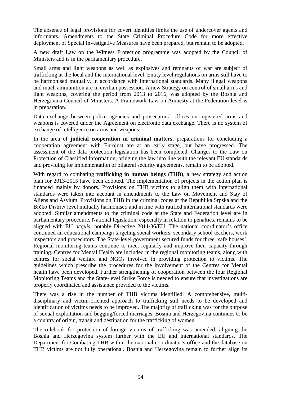The absence of legal provisions for covert identities limits the use of undercover agents and informants. Amendments to the State Criminal Procedure Code for more effective deployment of Special Investigative Measures have been prepared, but remain to be adopted.

A new draft Law on the Witness Protection programme was adopted by the Council of Ministers and is in the parliamentary procedure.

Small arms and light weapons as well as explosives and remnants of war are subject of trafficking at the local and the international level. Entity level regulations on arms still have to be harmonised mutually, in accordance with international standards. Many illegal weapons and much ammunition are in civilian possession. A new Strategy on control of small arms and light weapons, covering the period from 2013 to 2016, was adopted by the Bosnia and Herzegovina Council of Ministers. A Framework Law on Amnesty at the Federation level is in preparation.

Data exchange between police agencies and prosecutors' offices on registered arms and weapons is covered under the Agreement on electronic data exchange. There is no system of exchange of intelligence on arms and weapons.

In the area of **judicial cooperation in criminal matters**, preparations for concluding a cooperation agreement with Eurojust are at an early stage, but have progressed. The assessment of the data protection legislation has been completed. Changes to the Law on Protection of Classified Information, bringing the law into line with the relevant EU standards and providing for implementation of bilateral security agreements, remain to be adopted.

With regard to combating **trafficking in human beings** (THB), a new strategy and action plan for 2013-2015 have been adopted. The implementation of projects in the action plan is financed mainly by donors. Provisions on THB victims to align them with international standards were taken into account in amendments to the Law on Movement and Stay of Aliens and Asylum. Provisions on THB in the criminal codes at the Republika Srpska and the Brčko District level mutually harmonised and in line with ratified international standards were adopted. Similar amendments to the criminal code at the State and Federation level are in parliamentary procedure. National legislation, especially in relation to penalties, remains to be aligned with EU *acquis,* notably Directive 2011/36/EU. The national coordinator's office continued an educational campaign targeting social workers, secondary school teachers, work inspectors and prosecutors. The State-level government secured funds for three 'safe houses'. Regional monitoring teams continue to meet regularly and improve their capacity through training. Centres for Mental Health are included in the regional monitoring teams, along with centres for social welfare and NGOs involved in providing protection to victims. The guidelines which prescribe the procedures for the involvement of the Centres for Mental health have been developed. Further strengthening of cooperation between the four Regional Monitoring Teams and the State-level Strike Force is needed to ensure that investigations are properly coordinated and assistance provided to the victims.

There was a rise in the number of THB victims identified. A comprehensive, multidisciplinary and victim-oriented approach to trafficking still needs to be developed and identification of victims needs to be improved. The majority of trafficking was for the purpose of sexual exploitation and begging/forced marriages. Bosnia and Herzegovina continues to be a country of origin, transit and destination for the trafficking of women.

The rulebook for protection of foreign victims of trafficking was amended, aligning the Bosnia and Herzegovina system further with the EU and international standards. The Department for Combating THB within the national coordinator's office and the database on THB victims are not fully operational. Bosnia and Herzegovina remain to further align its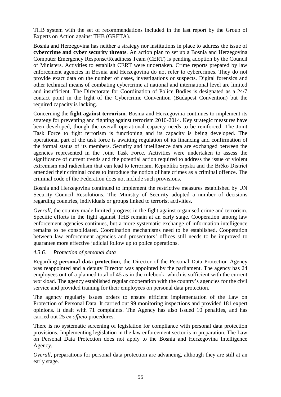THB system with the set of recommendations included in the last report by the Group of Experts on Action against THB (GRETA).

Bosnia and Herzegovina has neither a strategy nor institutions in place to address the issue of **cybercrime and cyber security threats**. An action plan to set up a Bosnia and Herzegovina Computer Emergency Response/Readiness Team (CERT) is pending adoption by the Council of Ministers. Activities to establish CERT were undertaken. Crime reports prepared by law enforcement agencies in Bosnia and Herzegovina do not refer to cybercrimes. They do not provide exact data on the number of cases, investigations or suspects. Digital forensics and other technical means of combating cybercrime at national and international level are limited and insufficient. The Directorate for Coordination of Police Bodies is designated as a 24/7 contact point in the light of the Cybercrime Convention (Budapest Convention) but the required capacity is lacking.

Concerning the **fight against terrorism***,* Bosnia and Herzegovina continues to implement its strategy for preventing and fighting against terrorism 2010-2014. Key strategic measures have been developed, though the overall operational capacity needs to be reinforced. The Joint Task Force to fight terrorism is functioning and its capacity is being developed. The operational part of the task force is awaiting regulation of its financing and confirmation of the formal status of its members. Security and intelligence data are exchanged between the agencies represented in the Joint Task Force. Activities were undertaken to assess the significance of current trends and the potential action required to address the issue of violent extremism and radicalism that can lead to terrorism. Republika Srpska and the Brčko District amended their criminal codes to introduce the notion of hate crimes as a criminal offence. The criminal code of the Federation does not include such provisions.

Bosnia and Herzegovina continued to implement the restrictive measures established by UN Security Council Resolutions. The Ministry of Security adopted a number of decisions regarding countries, individuals or groups linked to terrorist activities.

*Overall*, the country made limited progress in the fight against organised crime and terrorism. Specific efforts in the fight against THB remain at an early stage. Cooperation among law enforcement agencies continues, but a more systematic exchange of information intelligence remains to be consolidated. Coordination mechanisms need to be established. Cooperation between law enforcement agencies and prosecutors' offices still needs to be improved to guarantee more effective judicial follow up to police operations.

#### <span id="page-59-0"></span>*4.3.6. Protection of personal data*

Regarding **personal data protection**, the Director of the Personal Data Protection Agency was reappointed and a deputy Director was appointed by the parliament. The agency has 24 employees out of a planned total of 45 as in the rulebook, which is sufficient with the current workload. The agency established regular cooperation with the country's agencies for the civil service and provided training for their employees on personal data protection.

The agency regularly issues orders to ensure efficient implementation of the Law on Protection of Personal Data. It carried out 99 monitoring inspections and provided 181 expert opinions. It dealt with 71 complaints. The Agency has also issued 10 penalties, and has carried out 25 *ex officio* procedures.

There is no systematic screening of legislation for compliance with personal data protection provisions. Implementing legislation in the law enforcement sector is in preparation. The Law on Personal Data Protection does not apply to the Bosnia and Herzegovina Intelligence Agency.

*Overall*, preparations for personal data protection are advancing, although they are still at an early stage.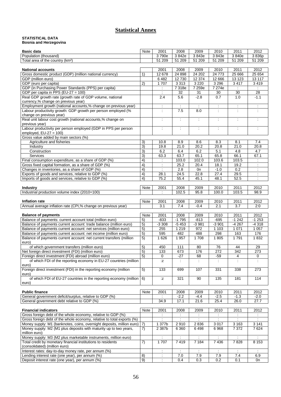# **Statistical Annex**

#### **STATISTICAL DATA Bosnia and Herzegovina**

| <b>Basic data</b>                                                                                  | Note            | 2001                     | 2008                 | 2009                     | 2010                 | 2011                     | 2012                 |
|----------------------------------------------------------------------------------------------------|-----------------|--------------------------|----------------------|--------------------------|----------------------|--------------------------|----------------------|
| Population (thousand)                                                                              |                 | 3790e                    | 3842e                | 3843e                    | 3843e                | 3840e                    | 3836p                |
| Total area of the country (km <sup>2</sup> )                                                       |                 | 51 209                   | 51 209               | 51 209                   | 51 209               | 51 209                   | 51 209               |
|                                                                                                    |                 |                          |                      |                          |                      |                          |                      |
| <b>National accounts</b>                                                                           |                 | 2001                     | 2008                 | 2009                     | 2010                 | 2011                     | 2012                 |
| Gross domestic product (GDP) (million national currency)                                           | 1)              | 12 678                   | 24 898               | 24 202                   | 24 7 73              | 25 6 66                  | 25 654               |
| GDP (million euro)                                                                                 |                 | $6\,482$                 | 12 730               | 12 374                   | 12 6 66              | 13 123                   | 13 117               |
| GDP (euro per capita)                                                                              | 2)              | 1707                     | 3 3 1 3              | 3 2 2 0                  | 3 2 9 6              | 3 4 1 7                  | 3 4 1 9              |
| GDP (in Purchasing Power Standards (PPS) per capita)                                               |                 | ÷                        | 7318e                | 7 259e                   | 7 274e               |                          |                      |
| GDP per capita in PPS (EU-27 = 100)                                                                |                 | $\overline{\phantom{a}}$ | 32                   | 31                       | 30                   | 30                       | 28                   |
| Real GDP growth rate (growth rate of GDP volume, national                                          |                 | 2.4                      | 5.6                  | $-2.8$                   | 0.7                  | 1.0                      | $-1.1$               |
| currency,% change on previous year)                                                                |                 |                          |                      |                          |                      |                          |                      |
| Employment growth (national accounts,% change on previous year)                                    |                 | $\ddot{\phantom{a}}$     | $\ddot{\phantom{a}}$ | $\ddot{\phantom{a}}$     | $\ddot{\phantom{a}}$ | $\ddot{\phantom{a}}$     | $\ddot{\phantom{a}}$ |
| Labour productivity growth: GDP growth per person employed (%                                      |                 | ÷                        | 7.5                  | 8.0                      | ÷                    | $\ddot{\cdot}$           |                      |
| change on previous year)                                                                           |                 |                          |                      |                          |                      |                          |                      |
| Real unit labour cost growth (national accounts,% change on                                        |                 | $\ddot{\phantom{a}}$     | $\ddot{\phantom{a}}$ | $\ddot{\phantom{a}}$     | ÷                    | $\ddot{\phantom{a}}$     | $\ddot{\phantom{a}}$ |
| previous year)                                                                                     |                 |                          |                      |                          |                      |                          |                      |
| Labour productivity per person employed (GDP in PPS per person                                     |                 | ÷                        | ÷                    | $\overline{\phantom{a}}$ | $\tilde{\mathbb{Z}}$ | $\overline{\phantom{a}}$ | $\tilde{\mathbb{Z}}$ |
| employed, $EU-27 = 100$ )                                                                          |                 |                          |                      |                          |                      |                          |                      |
| Gross value added by main sectors (%)                                                              |                 |                          |                      |                          |                      |                          |                      |
| Agriculture and fisheries                                                                          | 3)              | 10.8                     | 8.9                  | 8.6                      | 8.3                  | 8.1                      | 7.4                  |
| Industry                                                                                           | 3)              | 19.8                     | 21.0                 | 20.2                     | 20.8                 | 21.0                     | 20.8                 |
| Construction                                                                                       | 3)              | 6.2                      | 6.4                  | 6.2                      | 5.1                  | 4.8                      | 4.7                  |
| <b>Services</b>                                                                                    | 3)              | 63.3                     | 63.7                 | 65.1                     | 65.8                 | 66.1                     | 67.1                 |
| Final consumption expenditure, as a share of GDP (%)                                               | 4)              | ÷                        | 103.0                | 102.0                    | 103.6                | 103.5                    | $\ddot{\phantom{a}}$ |
| Gross fixed capital formation, as a share of GDP (%)                                               | 4)              | $\ddot{\phantom{a}}$     | 25.2                 | 20.4                     | 18.1                 | 19.2                     | $\ddot{\phantom{a}}$ |
| Changes in inventories, as a share of GDP (%)                                                      | 4)              | ÷                        | 2.8                  | 0n                       | $-1.0$               | 0.2                      |                      |
| Exports of goods and services, relative to GDP (%)                                                 | 4)              | 28.1                     | 24.5                 | 22.8                     | 27.4                 | 29.5                     | $\mathcal{L}$        |
| Imports of goods and services, relative to GDP (%)                                                 | 4)              | 75.2                     | 55.4                 | 45.1                     | 48.1                 | 52.5                     |                      |
|                                                                                                    |                 |                          |                      |                          |                      |                          |                      |
| <b>Industry</b>                                                                                    | Note            | 2001                     | 2008                 | 2009                     | 2010                 | 2011                     | 2012                 |
| Industrial production volume index (2010=100)                                                      |                 |                          | 102.5                | 95.8                     | 100.0                | 103.5                    | 98.9                 |
|                                                                                                    |                 |                          |                      |                          |                      |                          |                      |
| Inflation rate                                                                                     | Note            | 2001                     | 2008                 | 2009                     | 2010                 | 2011                     | 2012                 |
| Annual average inflation rate (CPI,% change on previous year)                                      |                 | 3.1                      | 7.4                  | $-0.4$                   | 2.1                  | 3.7                      | 2:0                  |
|                                                                                                    |                 |                          |                      |                          |                      |                          |                      |
| <b>Balance of payments</b>                                                                         | Note            | 2001                     | 2008                 | 2009                     | 2010                 | 2011                     | 2012                 |
| Balance of payments: current account total (million euro)                                          | 5)              | $-833$                   | $-1795$              | $-813$                   | $-695$               | $-1242$                  | $-1253$              |
| Balance of payments current account: trade balance (million euro)                                  | 5)              | $-3308$                  | $-5453$              | $-3981$                  | $-3901$              | $-4267$                  | $-4318$              |
| Balance of payments current account: net services (million euro)                                   | 5)              | 255                      | 1 2 1 9              | 972                      | 1 1 0 3              | 1 0 7 1                  | 1 0 5 7              |
| Balance of payments current account: net income (million euro)                                     | $\overline{5)}$ | 595                      | 482                  | 488                      | 298                  | 163                      | 176                  |
| Balance of payments current account: net current transfers (million                                | 5)              | 1626                     | 1 9 5 7              | 1708                     | 1805                 | 1791                     | 1832                 |
| euro)                                                                                              |                 |                          |                      |                          |                      |                          |                      |
| of which government transfers (million euro)                                                       | 5)              | 450                      | 111                  | 80                       | 76                   | 44                       | 29                   |
| Net foreign direct investment (FDI) (million euro)                                                 | 5)              | 133                      | 673                  | 176                      | 272                  | 342                      | 273                  |
| Foreign direct investment (FDI) abroad (million euro)                                              | 5)              | $\Omega$                 | $-27$                | 68                       | $-59$                | 4                        | 0                    |
| of which FDI of the reporting economy in EU-27 countries (million                                  |                 | :Z                       |                      | ÷                        | ÷                    |                          |                      |
| euro)                                                                                              |                 |                          |                      |                          |                      |                          |                      |
| Foreign direct investment (FDI) in the reporting economy (million                                  | 5)              | 133                      | 699                  | 107                      | 331                  | 338                      | 273                  |
| euro)                                                                                              |                 |                          |                      |                          |                      |                          |                      |
| of which FDI of EU-27 countries in the reporting economy (million                                  | 6)              | $\mathbb{Z}$             | 321                  | 90                       | 135                  | 181                      | 114                  |
| euro)                                                                                              |                 |                          |                      |                          |                      |                          |                      |
|                                                                                                    |                 |                          |                      |                          |                      |                          |                      |
| <b>Public finance</b>                                                                              | Note            | 2001                     | 2008                 | 2009                     | 2010                 | 2011                     | 2012                 |
| General government deficit/surplus, relative to GDP (%)                                            |                 |                          | $-2.2$               | $-4.4$                   | $-2.5$               | $-1.3$                   | $-2.0$               |
| General government debt relative to GDP (%)                                                        |                 | 34.9                     | 17.1                 | 21.6                     | 25.4                 | 26.0                     | 27.7                 |
|                                                                                                    |                 |                          |                      |                          |                      |                          |                      |
| <b>Financial indicators</b>                                                                        | Note            | 2001                     | 2008                 | 2009                     | 2010                 | 2011                     | 2012                 |
| Gross foreign debt of the whole economy, relative to GDP (%)                                       |                 | $\ddot{\phantom{a}}$     | $\mathcal{L}$        | $\ddot{\phantom{a}}$     | $\ddot{\phantom{a}}$ | $\ddot{\phantom{a}}$     | $\ddot{\phantom{a}}$ |
| Gross foreign debt of the whole economy, relative to total exports (%)                             |                 | ÷                        | $\ddot{\phantom{a}}$ | $\ddot{\cdot}$           | ÷                    | $\ddot{\cdot}$           | $\overline{z}$       |
| Money supply: M1 (banknotes, coins, overnight deposits, million euro)                              | 7)              | 1 377b                   | 2910                 | 2836                     | 3 0 1 7              | 3 1 6 3                  | 3 1 4 1              |
| Money supply: M2 (M1 plus deposits with maturity up to two years,                                  | 7)              | 2 387b                   | 6 3 6 0              | 6498                     | 6968                 | 7 3 7 2                  | 7624                 |
| million euro)                                                                                      |                 |                          |                      |                          |                      |                          |                      |
| Money supply: M3 (M2 plus marketable instruments, million euro)                                    |                 | $\ddot{\phantom{a}}$     | $\ddot{\phantom{a}}$ | $\mathbb{C}$             | ÷                    | $\ddot{\phantom{a}}$     | $\ddot{\phantom{a}}$ |
| Total credit by monetary financial institutions to residents                                       | 7)              | 1707                     | 7419                 | 7 1 8 4                  | 7436                 | 7828                     | 8153                 |
| (consolidated) (million euro)                                                                      |                 |                          |                      |                          |                      |                          |                      |
| Interest rates: day-to-day money rate, per annum (%)                                               |                 |                          |                      |                          | ÷                    | ÷                        | 6.9                  |
| Lending interest rate (one year), per annum (%)<br>Deposit interest rate (one year), per annum (%) | 8)<br>9)        | $\ddot{\cdot}$           | 7.0                  | 7.9<br>0.3               | 7.9<br>0.2           | 7.4<br>0.1               | 0n                   |
|                                                                                                    |                 | $\mathcal{L}$            | 0.4                  |                          |                      |                          |                      |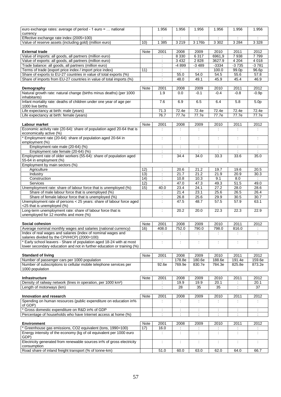| euro exchange rates: average of period - 1 euro =  national<br>currency                                                        |                 | 1.956                    | 1.956                         | 1.956                                        | 1.956                   | 1.956                     | 1.956                       |  |
|--------------------------------------------------------------------------------------------------------------------------------|-----------------|--------------------------|-------------------------------|----------------------------------------------|-------------------------|---------------------------|-----------------------------|--|
| Effective exchange rate index (2005=100)                                                                                       |                 | ÷                        | ÷                             | $\cdot$                                      | ÷                       | $\cdot$                   | ÷                           |  |
| Value of reserve assets (including gold) (million euro)                                                                        |                 | 1 3 8 5                  | 3219                          | 3 176b                                       | 3 3 0 2                 | 3 2 8 4                   | 3 3 2 8                     |  |
|                                                                                                                                | $\overline{10}$ |                          |                               |                                              |                         |                           |                             |  |
| <b>External trade</b>                                                                                                          |                 | 2001                     | 2008                          | 2009                                         | 2010                    | 2011                      | 2012                        |  |
| Value of imports: all goods, all partners (million euro)                                                                       |                 |                          | 8 3 3 0                       | 6317                                         | 6961,9                  | 7938                      | 7799                        |  |
| Value of exports: all goods, all partners (million euro)                                                                       |                 | $\ddot{\cdot}$           | 3 4 3 2                       | 2828                                         | 3627.9                  | 4 2 0 4                   | 4 0 18                      |  |
| Trade balance: all goods, all partners (million euro)                                                                          |                 | $\ddot{\phantom{a}}$     | -4 899                        | $-3489$                                      | $-3334$                 | $-3735$                   | $-3781$                     |  |
| Terms of trade (export price index / import price index)                                                                       | 11)             | Ì.                       |                               |                                              | 100.0                   | 99.0p                     | 96.6p                       |  |
| Share of exports to EU-27 countries in value of total exports (%)                                                              |                 | $\ddot{\phantom{a}}$     | 55.0                          | 54.0                                         | 54.5                    | 55.6                      | 57.8                        |  |
| Share of imports from EU-27 countries in value of total imports (%)                                                            |                 | ÷                        | 48.0                          | 49.1                                         | 45.9                    | 45.4                      | 46.9                        |  |
| Demography                                                                                                                     | <b>Note</b>     | 2001                     | 2008                          | 2009                                         | 2010                    | 2011                      | 2012                        |  |
| Natural growth rate: natural change (births minus deaths) (per 1000                                                            |                 | 1.9                      | 0.0                           | $-0.1$                                       | $-0.4$                  | $-0.8$                    | $-0.9p$                     |  |
| inhabitants)                                                                                                                   |                 |                          |                               |                                              |                         |                           |                             |  |
| Infant mortality rate: deaths of children under one year of age per<br>1000 live births                                        |                 | 7.6                      | 6.9                           | 6.5                                          | 6.4                     | 5.8                       | 5.0 <sub>p</sub>            |  |
| Life expectancy at birth: male (years)                                                                                         |                 | 71.3                     | 72.4e                         | 72.4e                                        | 72.4e                   | 72.4e                     | 72.4e                       |  |
| Life expectancy at birth: female (years)                                                                                       |                 | 76.7                     | 77.7e                         | 77.7e                                        | 77.7e                   | 77.7e                     | 77.7e                       |  |
|                                                                                                                                |                 |                          |                               |                                              |                         |                           |                             |  |
| Labour market                                                                                                                  | Note            | 2001                     | 2008                          | 2009                                         | 2010                    | 2011                      | 2012                        |  |
| Economic activity rate (20-64): share of population aged 20-64 that is                                                         |                 | $\ddot{\phantom{a}}$     | ÷                             |                                              |                         |                           |                             |  |
| economically active (%)                                                                                                        |                 |                          |                               |                                              |                         |                           |                             |  |
| Employment rate (20-64): share of population aged 20-64 in<br>employment (%)                                                   |                 | $\ddot{\phantom{a}}$     | ÷                             | $\ddot{\phantom{a}}$                         | $\ddot{\phantom{a}}$    | $\ddot{\cdot}$            | $\ddot{\phantom{a}}$        |  |
| Employment rate male (20-64) (%)                                                                                               |                 | $\ddot{\cdot}$           | $\ddot{\cdot}$                | $\ddot{\phantom{a}}$                         | $\ddot{\phantom{a}}$    |                           | $\ddot{\phantom{a}}$        |  |
| Employment rate female (20-64) (%)                                                                                             |                 | $\ddot{\cdot}$           | $\ddot{\phantom{a}}$          | $\ddot{\cdot}$                               | $\overline{\mathbb{R}}$ | $\ddot{\cdot}$            | $\ddot{\phantom{a}}$        |  |
| Employment rate of older workers (55-64): share of population aged<br>55-64 in employment (%)                                  |                 | $\ddot{\cdot}$           | 34.4                          | 34.0                                         | 33.3                    | 33.6                      | 35.0                        |  |
| Employment by main sectors (%)                                                                                                 |                 |                          |                               |                                              |                         |                           |                             |  |
| Agriculture                                                                                                                    | 12)             |                          | 20.6                          | 21.2                                         | 19.7                    | 19.6                      | 20.5                        |  |
| Industry                                                                                                                       | 13)             | $\ddot{\cdot}$           | 21.7                          | 21.2                                         | 21.9                    | 20.9                      | 30.3                        |  |
| Construction                                                                                                                   | 14)             | $\ddot{\phantom{a}}$     | 10.8                          | 10.3                                         | 9.1                     | 8.0                       | $\mathcal{L}^{\mathcal{L}}$ |  |
| Services                                                                                                                       | 12)             | $\overline{\mathbb{R}}$  | 47.0                          | 47.3                                         | 49.3                    | 51.5                      | 49.0                        |  |
| Unemployment rate: share of labour force that is unemployed (%)                                                                | 15)             | 40.0                     | 23.4                          | 24.1                                         | 27.2                    | 28.0                      | 28.6                        |  |
| Share of male labour force that is unemployed (%)                                                                              |                 |                          | 21.4                          | 23.1                                         | 25.6                    | 26.5                      | 26.4                        |  |
| Share of female labour force that is unemployed (%)                                                                            |                 | $\ddot{\phantom{a}}$     | 26.8                          | $25.\overline{6}$                            | 29.9                    | 30.5                      | 30.7                        |  |
| Unemployment rate of persons < 25 years: share of labour force aged<br><25 that is unemployed (%)                              |                 | ÷                        | 47.5                          | 48.7                                         | 57.5                    | 57.9                      | 63.1                        |  |
| Long-term unemployment rate: share of labour force that is                                                                     |                 | ÷                        | 20.2                          | 20.0                                         | 22.3                    | 22.3                      | 22.9                        |  |
| unemployed for 12 months and more (%)                                                                                          |                 |                          |                               |                                              |                         |                           |                             |  |
|                                                                                                                                |                 |                          |                               |                                              |                         |                           |                             |  |
| Social cohesion                                                                                                                | Note            | 2001                     | 2008                          | 2009                                         | 2010                    | 2011                      | 2012                        |  |
| Average nominal monthly wages and salaries (national currency)<br>Index of real wages and salaries (index of nominal wages and | 16)             | 408.0                    | 752.0<br>$\ddot{\phantom{a}}$ | 790.0<br>$\ddot{\phantom{a}}$                | 798.0<br>÷              | 816.0<br>÷                | $\ddot{\phantom{a}}$        |  |
| salaries divided by the CPI/HICP) (2000=100)                                                                                   |                 |                          |                               |                                              |                         |                           |                             |  |
| * Early school leavers - Share of population aged 18-24 with at most                                                           |                 | ÷                        | $\ddot{\cdot}$                | $\ddot{\phantom{a}}$                         | ÷                       | $\ddot{\phantom{a}}$      | ÷                           |  |
| lower secondary education and not in further education or training (%)                                                         |                 |                          |                               |                                              |                         |                           |                             |  |
|                                                                                                                                | Note            |                          |                               | 2009                                         | 2010                    | 2011                      | 2012                        |  |
| <b>Standard of living</b><br>Number of passenger cars per 1000 population                                                      |                 | 2001<br>÷                | 2008<br>178.8e                | 180.6e                                       | 188.6e                  | 191.4e                    | 159.6e                      |  |
| Number of subscriptions to cellular mobile telephone services per                                                              |                 | 92.6e                    | 769.9e                        | 830.7e                                       | 784.3e                  | 825.8e                    | 873.2e                      |  |
| 1000 population                                                                                                                |                 |                          |                               |                                              |                         |                           |                             |  |
|                                                                                                                                |                 |                          |                               |                                              |                         |                           |                             |  |
| <b>Infrastructure</b>                                                                                                          | Note            | 2001                     | 2008                          | 2009                                         | 2010                    | 2011                      | 2012                        |  |
| Density of railway network (lines in operation, per 1000 km <sup>2</sup> )                                                     |                 |                          | 19.9                          | 19.9                                         | 20.1                    |                           | 20.1                        |  |
| Length of motorways (km)                                                                                                       |                 | $\overline{\phantom{a}}$ | 28                            | 35                                           | 35                      | $\ddot{\cdot}$            | 37                          |  |
| Innovation and research                                                                                                        | <b>Note</b>     | 2001                     | 2008                          | 2009                                         | 2010                    | 2011                      | 2012                        |  |
| Spending on human resources (public expenditure on education in%                                                               |                 | ÷                        | ÷                             |                                              |                         |                           |                             |  |
| of GDP)                                                                                                                        |                 |                          |                               |                                              |                         |                           |                             |  |
| Gross domestic expenditure on R&D in% of GDP                                                                                   |                 | ÷                        | $\ddot{\phantom{a}}$          | $\overline{\phantom{a}}$                     | ÷                       |                           | ÷                           |  |
| Percentage of households who have Internet access at home (%)                                                                  |                 | $\ddot{\phantom{a}}$     | ÷                             | $\overline{\phantom{a}}$                     | $\ddot{\phantom{a}}$    |                           | $\ddot{\phantom{a}}$        |  |
|                                                                                                                                |                 |                          |                               |                                              |                         |                           |                             |  |
| <b>Environment</b><br>* Greenhouse gas emissions, CO2 equivalent (tons, 1990=100)                                              | Note<br>17)     | 2001<br>16.0             | 2008                          | 2009                                         | 2010                    | 2011                      | 2012                        |  |
| Energy intensity of the economy (kg of oil equivalent per 1000 euro                                                            |                 | ÷                        | ÷,<br>÷                       | $\ddot{\phantom{a}}$<br>$\ddot{\phantom{a}}$ | ÷                       | ÷<br>$\ddot{\phantom{a}}$ | $\ddot{\phantom{a}}$        |  |
| GDP)                                                                                                                           |                 |                          |                               |                                              |                         |                           |                             |  |
| Electricity generated from renewable sources in% of gross electricity<br>consumption                                           |                 | t                        | t                             | $\ddot{\phantom{a}}$                         | ÷                       |                           | ÷                           |  |
| Road share of inland freight transport (% of tonne-km)                                                                         |                 | 51.0                     | 60.0                          | 63.0                                         | 62.0                    | 64.0                      | 66.7                        |  |